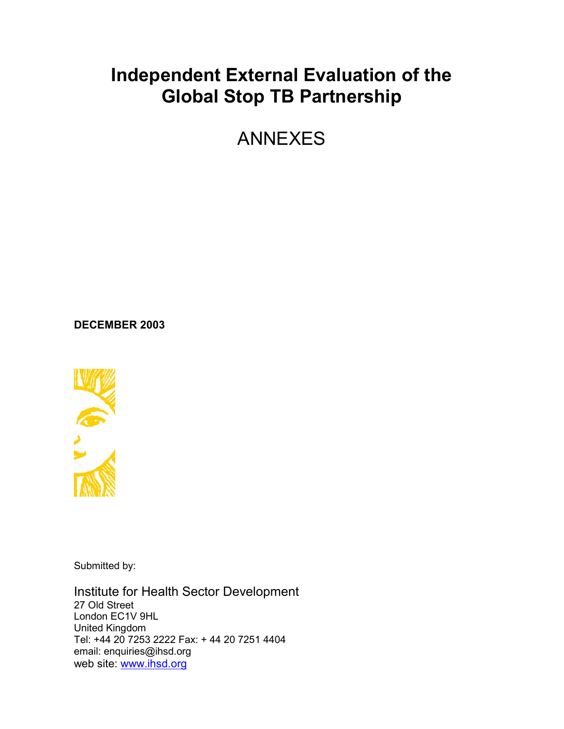# **Independent External Evaluation of the Global Stop TB Partnership**

ANNEXES

**DECEMBER 2003**



Submitted by:

Institute for Health Sector Development 27 Old Street London EC1V 9HL United Kingdom Tel: +44 20 7253 2222 Fax: + 44 20 7251 4404 email: enquiries@ihsd.org web site: www.ihsd.org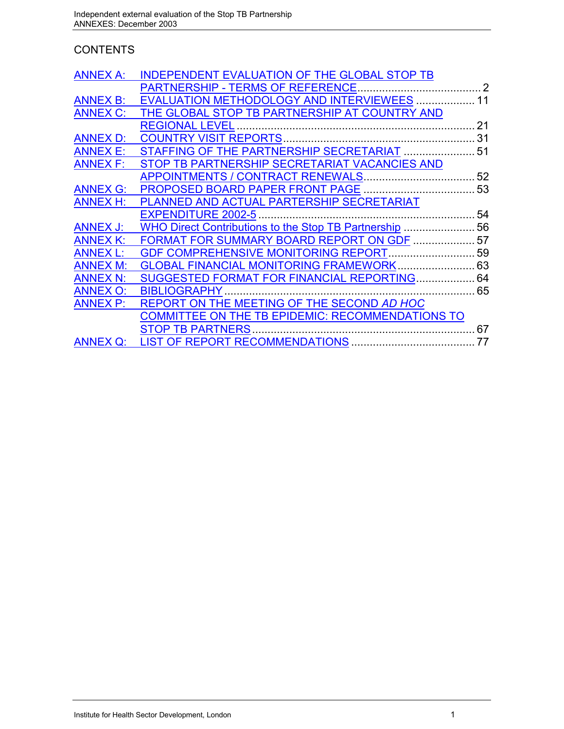# **CONTENTS**

| <b>ANNEX A:</b> | <b>INDEPENDENT EVALUATION OF THE GLOBAL STOP TB</b> |    |
|-----------------|-----------------------------------------------------|----|
|                 |                                                     |    |
| <b>ANNEX B:</b> | EVALUATION METHODOLOGY AND INTERVIEWEES  11         |    |
| <b>ANNEX C:</b> | THE GLOBAL STOP TB PARTNERSHIP AT COUNTRY AND       |    |
|                 |                                                     | 21 |
| <b>ANNEX D:</b> |                                                     |    |
| <b>ANNEX E:</b> | STAFFING OF THE PARTNERSHIP SECRETARIAT  51         |    |
| <b>ANNEX F:</b> | STOP TB PARTNERSHIP SECRETARIAT VACANCIES AND       |    |
|                 |                                                     | 52 |
| <b>ANNEX G:</b> | PROPOSED BOARD PAPER FRONT PAGE                     | 53 |
| <b>ANNEX H:</b> | PLANNED AND ACTUAL PARTERSHIP SECRETARIAT           |    |
|                 | <b>EXPENDITURE 2002-5</b>                           | 54 |
| <b>ANNEX J:</b> |                                                     |    |
| <b>ANNEX K:</b> | FORMAT FOR SUMMARY BOARD REPORT ON GDF  57          |    |
| <b>ANNEX L:</b> | GDF COMPREHENSIVE MONITORING REPORT 59              |    |
| <b>ANNEX M:</b> | <b>GLOBAL FINANCIAL MONITORING FRAMEWORK 63</b>     |    |
| <b>ANNEX N:</b> | SUGGESTED FORMAT FOR FINANCIAL REPORTING 64         |    |
| <b>ANNEX O:</b> | <b>BIBLIOGRAPHY</b>                                 |    |
| <b>ANNEX P:</b> | REPORT ON THE MEETING OF THE SECOND AD HOC          |    |
|                 | COMMITTEE ON THE TB EPIDEMIC: RECOMMENDATIONS TO    |    |
|                 | <b>STOP TB PARTNERS</b>                             | 67 |
| <b>ANNEX Q:</b> |                                                     | 77 |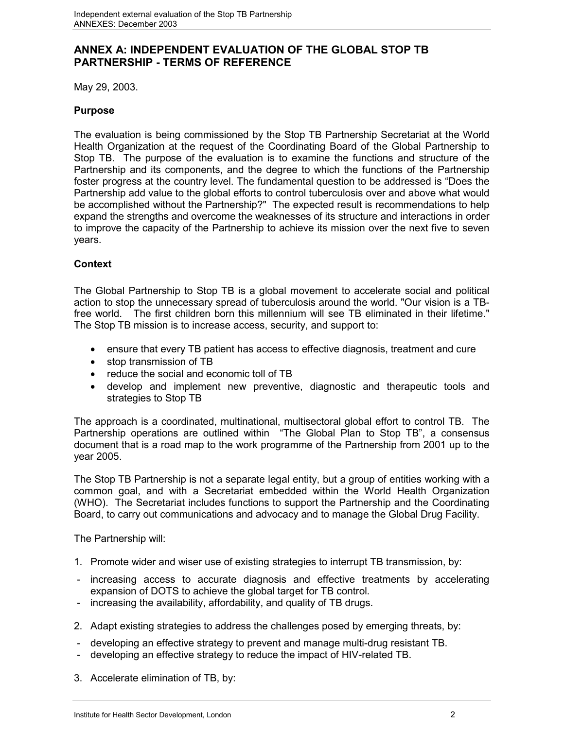## **ANNEX A: INDEPENDENT EVALUATION OF THE GLOBAL STOP TB PARTNERSHIP - TERMS OF REFERENCE**

May 29, 2003.

#### **Purpose**

The evaluation is being commissioned by the Stop TB Partnership Secretariat at the World Health Organization at the request of the Coordinating Board of the Global Partnership to Stop TB. The purpose of the evaluation is to examine the functions and structure of the Partnership and its components, and the degree to which the functions of the Partnership foster progress at the country level. The fundamental question to be addressed is "Does the Partnership add value to the global efforts to control tuberculosis over and above what would be accomplished without the Partnership?" The expected result is recommendations to help expand the strengths and overcome the weaknesses of its structure and interactions in order to improve the capacity of the Partnership to achieve its mission over the next five to seven years.

#### **Context**

The Global Partnership to Stop TB is a global movement to accelerate social and political action to stop the unnecessary spread of tuberculosis around the world. "Our vision is a TBfree world. The first children born this millennium will see TB eliminated in their lifetime." The Stop TB mission is to increase access, security, and support to:

- ensure that every TB patient has access to effective diagnosis, treatment and cure
- stop transmission of TB
- reduce the social and economic toll of TB
- develop and implement new preventive, diagnostic and therapeutic tools and strategies to Stop TB

The approach is a coordinated, multinational, multisectoral global effort to control TB. The Partnership operations are outlined within "The Global Plan to Stop TB", a consensus document that is a road map to the work programme of the Partnership from 2001 up to the year 2005.

The Stop TB Partnership is not a separate legal entity, but a group of entities working with a common goal, and with a Secretariat embedded within the World Health Organization (WHO). The Secretariat includes functions to support the Partnership and the Coordinating Board, to carry out communications and advocacy and to manage the Global Drug Facility.

The Partnership will:

- 1. Promote wider and wiser use of existing strategies to interrupt TB transmission, by:
- increasing access to accurate diagnosis and effective treatments by accelerating expansion of DOTS to achieve the global target for TB control.
- increasing the availability, affordability, and quality of TB drugs.
- 2. Adapt existing strategies to address the challenges posed by emerging threats, by:
- developing an effective strategy to prevent and manage multi-drug resistant TB.
- developing an effective strategy to reduce the impact of HIV-related TB.
- 3. Accelerate elimination of TB, by: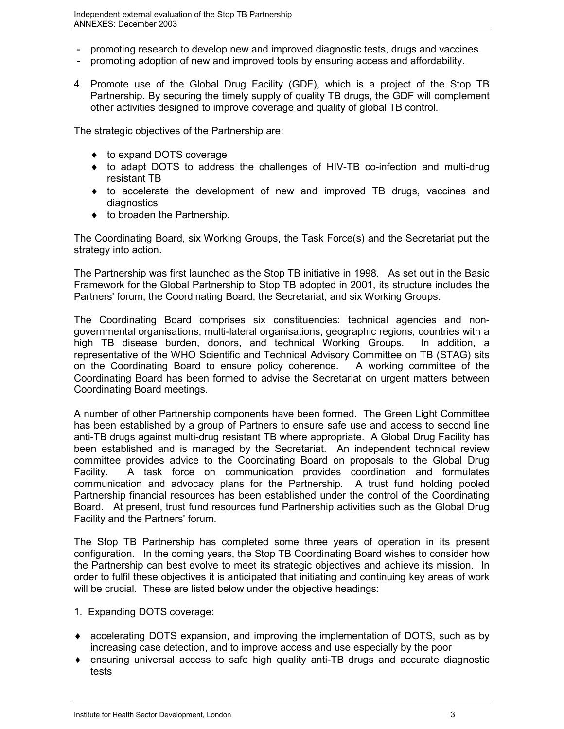- promoting research to develop new and improved diagnostic tests, drugs and vaccines.
- promoting adoption of new and improved tools by ensuring access and affordability.
- 4. Promote use of the Global Drug Facility (GDF), which is a project of the Stop TB Partnership. By securing the timely supply of quality TB drugs, the GDF will complement other activities designed to improve coverage and quality of global TB control.

The strategic objectives of the Partnership are:

- $\bullet$  to expand DOTS coverage
- to adapt DOTS to address the challenges of HIV-TB co-infection and multi-drug resistant TB
- to accelerate the development of new and improved TB drugs, vaccines and diagnostics
- $\bullet$  to broaden the Partnership.

The Coordinating Board, six Working Groups, the Task Force(s) and the Secretariat put the strategy into action.

The Partnership was first launched as the Stop TB initiative in 1998. As set out in the Basic Framework for the Global Partnership to Stop TB adopted in 2001, its structure includes the Partners' forum, the Coordinating Board, the Secretariat, and six Working Groups.

The Coordinating Board comprises six constituencies: technical agencies and nongovernmental organisations, multi-lateral organisations, geographic regions, countries with a high TB disease burden, donors, and technical Working Groups. In addition, a representative of the WHO Scientific and Technical Advisory Committee on TB (STAG) sits on the Coordinating Board to ensure policy coherence. A working committee of the Coordinating Board has been formed to advise the Secretariat on urgent matters between Coordinating Board meetings.

A number of other Partnership components have been formed. The Green Light Committee has been established by a group of Partners to ensure safe use and access to second line anti-TB drugs against multi-drug resistant TB where appropriate. A Global Drug Facility has been established and is managed by the Secretariat. An independent technical review committee provides advice to the Coordinating Board on proposals to the Global Drug Facility. A task force on communication provides coordination and formulates communication and advocacy plans for the Partnership. A trust fund holding pooled Partnership financial resources has been established under the control of the Coordinating Board. At present, trust fund resources fund Partnership activities such as the Global Drug Facility and the Partners' forum.

The Stop TB Partnership has completed some three years of operation in its present configuration. In the coming years, the Stop TB Coordinating Board wishes to consider how the Partnership can best evolve to meet its strategic objectives and achieve its mission. In order to fulfil these objectives it is anticipated that initiating and continuing key areas of work will be crucial. These are listed below under the objective headings:

- 1. Expanding DOTS coverage:
- accelerating DOTS expansion, and improving the implementation of DOTS, such as by increasing case detection, and to improve access and use especially by the poor
- ensuring universal access to safe high quality anti-TB drugs and accurate diagnostic tests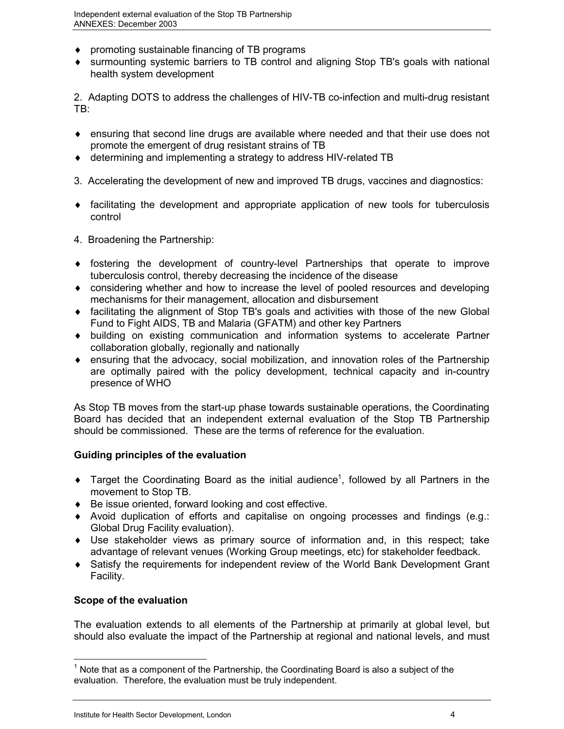- promoting sustainable financing of TB programs
- surmounting systemic barriers to TB control and aligning Stop TB's goals with national health system development

2. Adapting DOTS to address the challenges of HIV-TB co-infection and multi-drug resistant TB:

- ensuring that second line drugs are available where needed and that their use does not promote the emergent of drug resistant strains of TB
- determining and implementing a strategy to address HIV-related TB
- 3. Accelerating the development of new and improved TB drugs, vaccines and diagnostics:
- facilitating the development and appropriate application of new tools for tuberculosis control
- 4. Broadening the Partnership:
- fostering the development of country-level Partnerships that operate to improve tuberculosis control, thereby decreasing the incidence of the disease
- considering whether and how to increase the level of pooled resources and developing mechanisms for their management, allocation and disbursement
- facilitating the alignment of Stop TB's goals and activities with those of the new Global Fund to Fight AIDS, TB and Malaria (GFATM) and other key Partners
- building on existing communication and information systems to accelerate Partner collaboration globally, regionally and nationally
- ensuring that the advocacy, social mobilization, and innovation roles of the Partnership are optimally paired with the policy development, technical capacity and in-country presence of WHO

As Stop TB moves from the start-up phase towards sustainable operations, the Coordinating Board has decided that an independent external evaluation of the Stop TB Partnership should be commissioned. These are the terms of reference for the evaluation.

## **Guiding principles of the evaluation**

- $\bullet$  Target the Coordinating Board as the initial audience<sup>1</sup>, followed by all Partners in the movement to Stop TB.
- Be issue oriented, forward looking and cost effective.
- Avoid duplication of efforts and capitalise on ongoing processes and findings (e.g.: Global Drug Facility evaluation).
- Use stakeholder views as primary source of information and, in this respect; take advantage of relevant venues (Working Group meetings, etc) for stakeholder feedback.
- Satisfy the requirements for independent review of the World Bank Development Grant Facility.

## **Scope of the evaluation**

 $\overline{a}$ 

The evaluation extends to all elements of the Partnership at primarily at global level, but should also evaluate the impact of the Partnership at regional and national levels, and must

 $1$  Note that as a component of the Partnership, the Coordinating Board is also a subject of the evaluation. Therefore, the evaluation must be truly independent.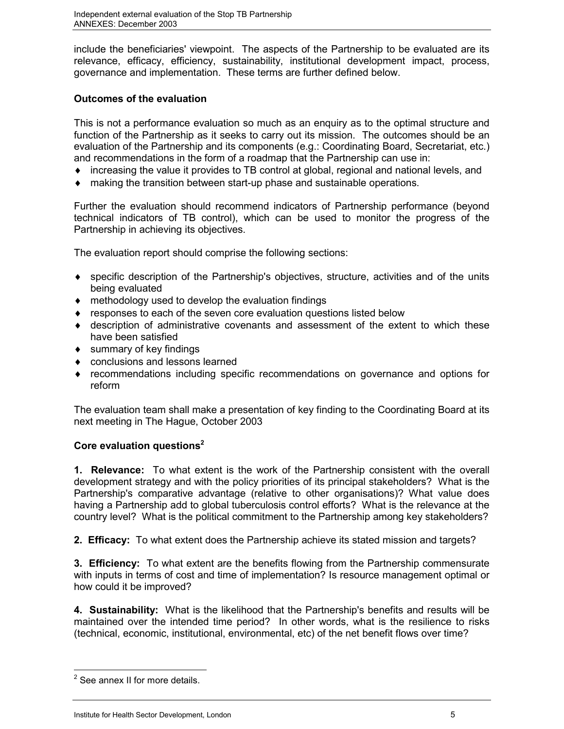include the beneficiaries' viewpoint. The aspects of the Partnership to be evaluated are its relevance, efficacy, efficiency, sustainability, institutional development impact, process, governance and implementation. These terms are further defined below.

## **Outcomes of the evaluation**

This is not a performance evaluation so much as an enquiry as to the optimal structure and function of the Partnership as it seeks to carry out its mission. The outcomes should be an evaluation of the Partnership and its components (e.g.: Coordinating Board, Secretariat, etc.) and recommendations in the form of a roadmap that the Partnership can use in:

- increasing the value it provides to TB control at global, regional and national levels, and
- making the transition between start-up phase and sustainable operations.

Further the evaluation should recommend indicators of Partnership performance (beyond technical indicators of TB control), which can be used to monitor the progress of the Partnership in achieving its objectives.

The evaluation report should comprise the following sections:

- specific description of the Partnership's objectives, structure, activities and of the units being evaluated
- methodology used to develop the evaluation findings
- responses to each of the seven core evaluation questions listed below
- description of administrative covenants and assessment of the extent to which these have been satisfied
- summary of key findings
- conclusions and lessons learned
- recommendations including specific recommendations on governance and options for reform

The evaluation team shall make a presentation of key finding to the Coordinating Board at its next meeting in The Hague, October 2003

## **Core evaluation questions2**

**1. Relevance:** To what extent is the work of the Partnership consistent with the overall development strategy and with the policy priorities of its principal stakeholders? What is the Partnership's comparative advantage (relative to other organisations)? What value does having a Partnership add to global tuberculosis control efforts? What is the relevance at the country level? What is the political commitment to the Partnership among key stakeholders?

**2. Efficacy:** To what extent does the Partnership achieve its stated mission and targets?

**3. Efficiency:** To what extent are the benefits flowing from the Partnership commensurate with inputs in terms of cost and time of implementation? Is resource management optimal or how could it be improved?

**4. Sustainability:** What is the likelihood that the Partnership's benefits and results will be maintained over the intended time period? In other words, what is the resilience to risks (technical, economic, institutional, environmental, etc) of the net benefit flows over time?

 $\overline{a}$ 

<sup>&</sup>lt;sup>2</sup> See annex II for more details.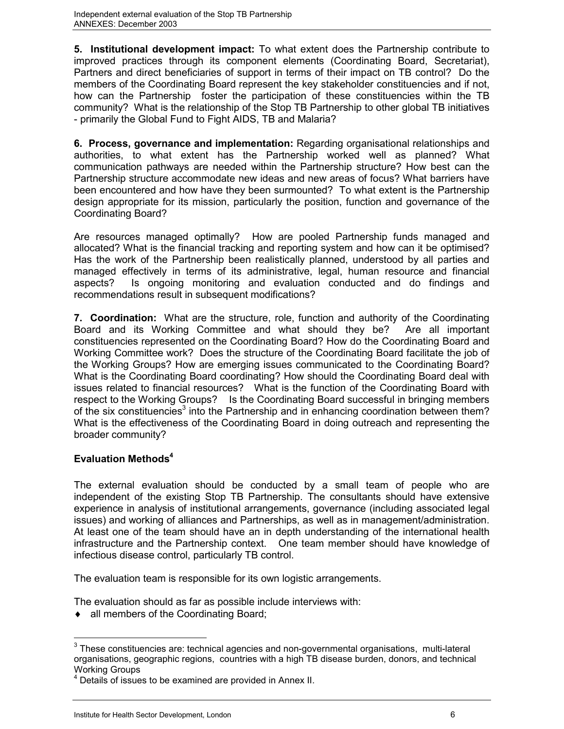**5. Institutional development impact:** To what extent does the Partnership contribute to improved practices through its component elements (Coordinating Board, Secretariat), Partners and direct beneficiaries of support in terms of their impact on TB control? Do the members of the Coordinating Board represent the key stakeholder constituencies and if not, how can the Partnership foster the participation of these constituencies within the TB community? What is the relationship of the Stop TB Partnership to other global TB initiatives - primarily the Global Fund to Fight AIDS, TB and Malaria?

**6. Process, governance and implementation:** Regarding organisational relationships and authorities, to what extent has the Partnership worked well as planned? What communication pathways are needed within the Partnership structure? How best can the Partnership structure accommodate new ideas and new areas of focus? What barriers have been encountered and how have they been surmounted? To what extent is the Partnership design appropriate for its mission, particularly the position, function and governance of the Coordinating Board?

Are resources managed optimally? How are pooled Partnership funds managed and allocated? What is the financial tracking and reporting system and how can it be optimised? Has the work of the Partnership been realistically planned, understood by all parties and managed effectively in terms of its administrative, legal, human resource and financial aspects? Is ongoing monitoring and evaluation conducted and do findings and recommendations result in subsequent modifications?

**7. Coordination:** What are the structure, role, function and authority of the Coordinating Board and its Working Committee and what should they be? Are all important constituencies represented on the Coordinating Board? How do the Coordinating Board and Working Committee work? Does the structure of the Coordinating Board facilitate the job of the Working Groups? How are emerging issues communicated to the Coordinating Board? What is the Coordinating Board coordinating? How should the Coordinating Board deal with issues related to financial resources? What is the function of the Coordinating Board with respect to the Working Groups? Is the Coordinating Board successful in bringing members of the six constituencies<sup>3</sup> into the Partnership and in enhancing coordination between them? What is the effectiveness of the Coordinating Board in doing outreach and representing the broader community?

## **Evaluation Methods4**

The external evaluation should be conducted by a small team of people who are independent of the existing Stop TB Partnership. The consultants should have extensive experience in analysis of institutional arrangements, governance (including associated legal issues) and working of alliances and Partnerships, as well as in management/administration. At least one of the team should have an in depth understanding of the international health infrastructure and the Partnership context. One team member should have knowledge of infectious disease control, particularly TB control.

The evaluation team is responsible for its own logistic arrangements.

The evaluation should as far as possible include interviews with:

• all members of the Coordinating Board;

 $\overline{a}$  $3$  These constituencies are: technical agencies and non-governmental organisations, multi-lateral organisations, geographic regions, countries with a high TB disease burden, donors, and technical Working Groups

<sup>&</sup>lt;sup>4</sup> Details of issues to be examined are provided in Annex II.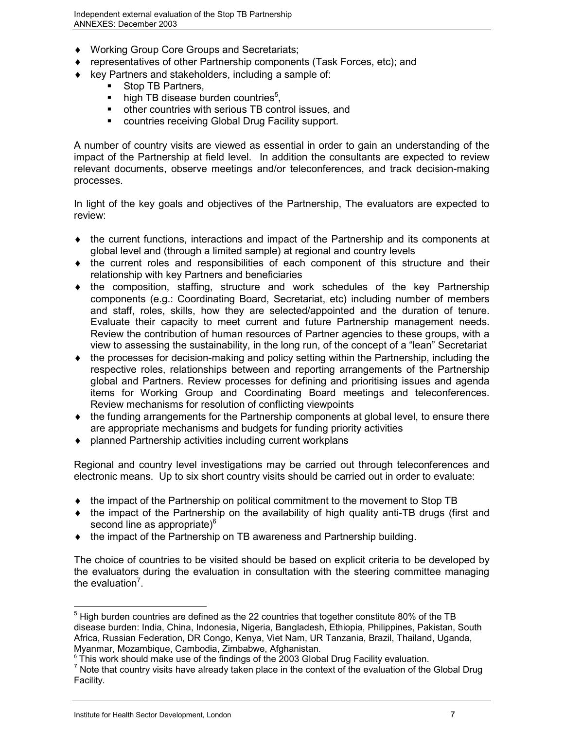- Working Group Core Groups and Secretariats;
- representatives of other Partnership components (Task Forces, etc); and
- $\ddot{\bullet}$  key Partners and stakeholders, including a sample of:
	- Stop TB Partners,
		- $\blacksquare$  high TB disease burden countries<sup>5</sup>,
		- other countries with serious TB control issues, and
		- **EXECOUNTRIES FECEIVING Global Drug Facility support.**

A number of country visits are viewed as essential in order to gain an understanding of the impact of the Partnership at field level. In addition the consultants are expected to review relevant documents, observe meetings and/or teleconferences, and track decision-making processes.

In light of the key goals and objectives of the Partnership, The evaluators are expected to review:

- the current functions, interactions and impact of the Partnership and its components at global level and (through a limited sample) at regional and country levels
- the current roles and responsibilities of each component of this structure and their relationship with key Partners and beneficiaries
- the composition, staffing, structure and work schedules of the key Partnership components (e.g.: Coordinating Board, Secretariat, etc) including number of members and staff, roles, skills, how they are selected/appointed and the duration of tenure. Evaluate their capacity to meet current and future Partnership management needs. Review the contribution of human resources of Partner agencies to these groups, with a view to assessing the sustainability, in the long run, of the concept of a "lean" Secretariat
- $\ddot{\bullet}$  the processes for decision-making and policy setting within the Partnership, including the respective roles, relationships between and reporting arrangements of the Partnership global and Partners. Review processes for defining and prioritising issues and agenda items for Working Group and Coordinating Board meetings and teleconferences. Review mechanisms for resolution of conflicting viewpoints
- the funding arrangements for the Partnership components at global level, to ensure there are appropriate mechanisms and budgets for funding priority activities
- planned Partnership activities including current workplans

Regional and country level investigations may be carried out through teleconferences and electronic means. Up to six short country visits should be carried out in order to evaluate:

- the impact of the Partnership on political commitment to the movement to Stop TB
- the impact of the Partnership on the availability of high quality anti-TB drugs (first and second line as appropriate)<sup>6</sup>
- the impact of the Partnership on TB awareness and Partnership building.

The choice of countries to be visited should be based on explicit criteria to be developed by the evaluators during the evaluation in consultation with the steering committee managing the evaluation<sup>7</sup>.

 $\overline{a}$ 

 $<sup>5</sup>$  High burden countries are defined as the 22 countries that together constitute 80% of the TB</sup> disease burden: India, China, Indonesia, Nigeria, Bangladesh, Ethiopia, Philippines, Pakistan, South Africa, Russian Federation, DR Congo, Kenya, Viet Nam, UR Tanzania, Brazil, Thailand, Uganda, Myanmar, Mozambique, Cambodia, Zimbabwe, Afghanistan.

 $6$  This work should make use of the findings of the 2003 Global Drug Facility evaluation.

 $<sup>7</sup>$  Note that country visits have already taken place in the context of the evaluation of the Global Drug</sup> Facility.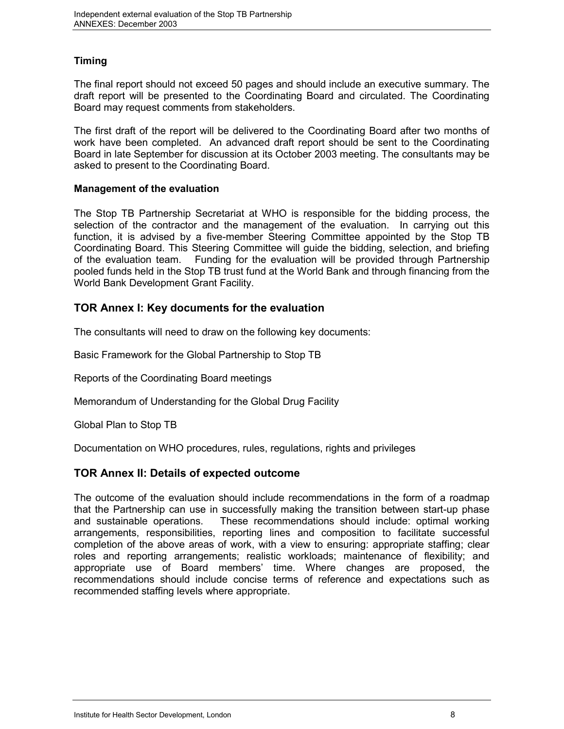## **Timing**

The final report should not exceed 50 pages and should include an executive summary. The draft report will be presented to the Coordinating Board and circulated. The Coordinating Board may request comments from stakeholders.

The first draft of the report will be delivered to the Coordinating Board after two months of work have been completed. An advanced draft report should be sent to the Coordinating Board in late September for discussion at its October 2003 meeting. The consultants may be asked to present to the Coordinating Board.

#### **Management of the evaluation**

The Stop TB Partnership Secretariat at WHO is responsible for the bidding process, the selection of the contractor and the management of the evaluation. In carrying out this function, it is advised by a five-member Steering Committee appointed by the Stop TB Coordinating Board. This Steering Committee will guide the bidding, selection, and briefing of the evaluation team. Funding for the evaluation will be provided through Partnership pooled funds held in the Stop TB trust fund at the World Bank and through financing from the World Bank Development Grant Facility.

## **TOR Annex I: Key documents for the evaluation**

The consultants will need to draw on the following key documents:

Basic Framework for the Global Partnership to Stop TB

Reports of the Coordinating Board meetings

Memorandum of Understanding for the Global Drug Facility

Global Plan to Stop TB

Documentation on WHO procedures, rules, regulations, rights and privileges

## **TOR Annex II: Details of expected outcome**

The outcome of the evaluation should include recommendations in the form of a roadmap that the Partnership can use in successfully making the transition between start-up phase and sustainable operations. These recommendations should include: optimal working arrangements, responsibilities, reporting lines and composition to facilitate successful completion of the above areas of work, with a view to ensuring: appropriate staffing; clear roles and reporting arrangements; realistic workloads; maintenance of flexibility; and appropriate use of Board members' time. Where changes are proposed, the recommendations should include concise terms of reference and expectations such as recommended staffing levels where appropriate.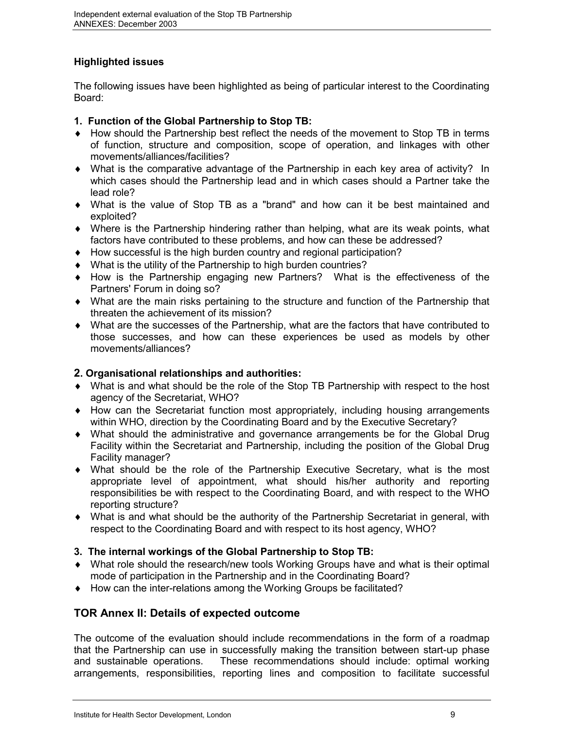## **Highlighted issues**

The following issues have been highlighted as being of particular interest to the Coordinating Board:

## **1. Function of the Global Partnership to Stop TB:**

- How should the Partnership best reflect the needs of the movement to Stop TB in terms of function, structure and composition, scope of operation, and linkages with other movements/alliances/facilities?
- What is the comparative advantage of the Partnership in each key area of activity? In which cases should the Partnership lead and in which cases should a Partner take the lead role?
- What is the value of Stop TB as a "brand" and how can it be best maintained and exploited?
- Where is the Partnership hindering rather than helping, what are its weak points, what factors have contributed to these problems, and how can these be addressed?
- How successful is the high burden country and regional participation?
- What is the utility of the Partnership to high burden countries?
- How is the Partnership engaging new Partners? What is the effectiveness of the Partners' Forum in doing so?
- What are the main risks pertaining to the structure and function of the Partnership that threaten the achievement of its mission?
- What are the successes of the Partnership, what are the factors that have contributed to those successes, and how can these experiences be used as models by other movements/alliances?

#### **2. Organisational relationships and authorities:**

- What is and what should be the role of the Stop TB Partnership with respect to the host agency of the Secretariat, WHO?
- How can the Secretariat function most appropriately, including housing arrangements within WHO, direction by the Coordinating Board and by the Executive Secretary?
- What should the administrative and governance arrangements be for the Global Drug Facility within the Secretariat and Partnership, including the position of the Global Drug Facility manager?
- What should be the role of the Partnership Executive Secretary, what is the most appropriate level of appointment, what should his/her authority and reporting responsibilities be with respect to the Coordinating Board, and with respect to the WHO reporting structure?
- What is and what should be the authority of the Partnership Secretariat in general, with respect to the Coordinating Board and with respect to its host agency, WHO?

## **3. The internal workings of the Global Partnership to Stop TB:**

- What role should the research/new tools Working Groups have and what is their optimal mode of participation in the Partnership and in the Coordinating Board?
- How can the inter-relations among the Working Groups be facilitated?

## **TOR Annex II: Details of expected outcome**

The outcome of the evaluation should include recommendations in the form of a roadmap that the Partnership can use in successfully making the transition between start-up phase and sustainable operations. These recommendations should include: optimal working arrangements, responsibilities, reporting lines and composition to facilitate successful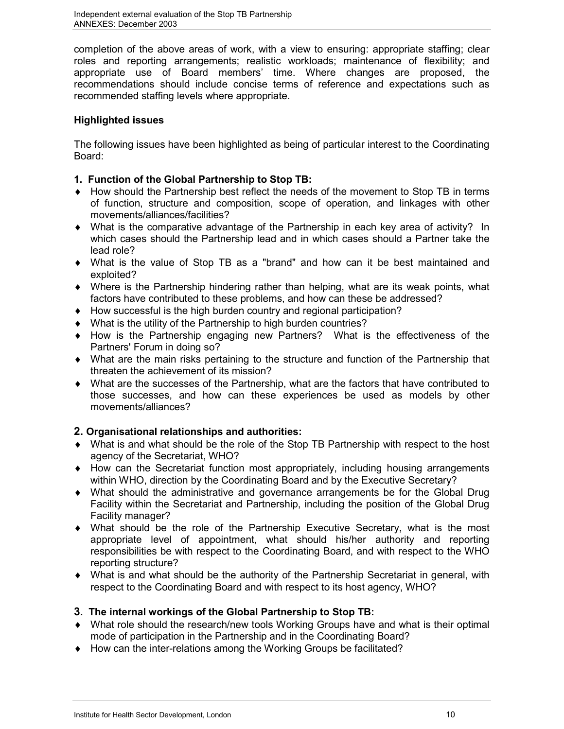completion of the above areas of work, with a view to ensuring: appropriate staffing; clear roles and reporting arrangements; realistic workloads; maintenance of flexibility; and appropriate use of Board members' time. Where changes are proposed, the recommendations should include concise terms of reference and expectations such as recommended staffing levels where appropriate.

## **Highlighted issues**

The following issues have been highlighted as being of particular interest to the Coordinating Board:

### **1. Function of the Global Partnership to Stop TB:**

- How should the Partnership best reflect the needs of the movement to Stop TB in terms of function, structure and composition, scope of operation, and linkages with other movements/alliances/facilities?
- What is the comparative advantage of the Partnership in each key area of activity? In which cases should the Partnership lead and in which cases should a Partner take the lead role?
- What is the value of Stop TB as a "brand" and how can it be best maintained and exploited?
- Where is the Partnership hindering rather than helping, what are its weak points, what factors have contributed to these problems, and how can these be addressed?
- How successful is the high burden country and regional participation?
- What is the utility of the Partnership to high burden countries?
- How is the Partnership engaging new Partners? What is the effectiveness of the Partners' Forum in doing so?
- What are the main risks pertaining to the structure and function of the Partnership that threaten the achievement of its mission?
- What are the successes of the Partnership, what are the factors that have contributed to those successes, and how can these experiences be used as models by other movements/alliances?

## **2. Organisational relationships and authorities:**

- What is and what should be the role of the Stop TB Partnership with respect to the host agency of the Secretariat, WHO?
- How can the Secretariat function most appropriately, including housing arrangements within WHO, direction by the Coordinating Board and by the Executive Secretary?
- What should the administrative and governance arrangements be for the Global Drug Facility within the Secretariat and Partnership, including the position of the Global Drug Facility manager?
- What should be the role of the Partnership Executive Secretary, what is the most appropriate level of appointment, what should his/her authority and reporting responsibilities be with respect to the Coordinating Board, and with respect to the WHO reporting structure?
- What is and what should be the authority of the Partnership Secretariat in general, with respect to the Coordinating Board and with respect to its host agency, WHO?

#### **3. The internal workings of the Global Partnership to Stop TB:**

- What role should the research/new tools Working Groups have and what is their optimal mode of participation in the Partnership and in the Coordinating Board?
- How can the inter-relations among the Working Groups be facilitated?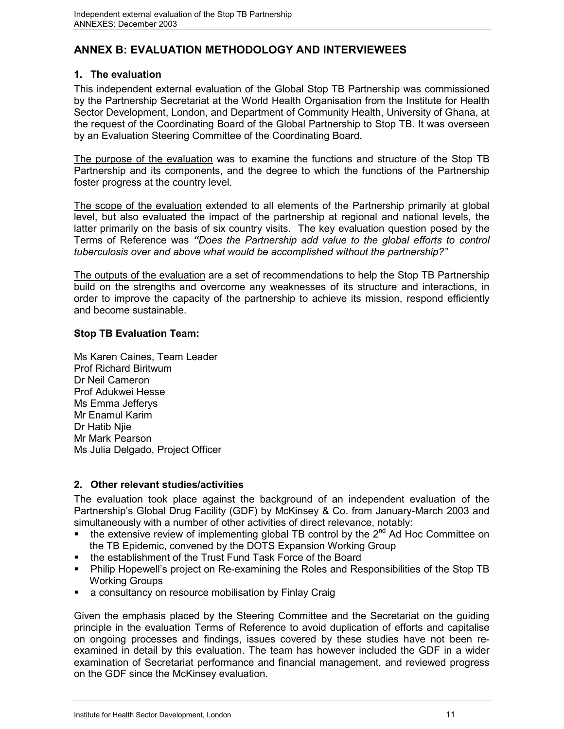# **ANNEX B: EVALUATION METHODOLOGY AND INTERVIEWEES**

## **1. The evaluation**

This independent external evaluation of the Global Stop TB Partnership was commissioned by the Partnership Secretariat at the World Health Organisation from the Institute for Health Sector Development, London, and Department of Community Health, University of Ghana, at the request of the Coordinating Board of the Global Partnership to Stop TB. It was overseen by an Evaluation Steering Committee of the Coordinating Board.

The purpose of the evaluation was to examine the functions and structure of the Stop TB Partnership and its components, and the degree to which the functions of the Partnership foster progress at the country level.

The scope of the evaluation extended to all elements of the Partnership primarily at global level, but also evaluated the impact of the partnership at regional and national levels, the latter primarily on the basis of six country visits. The key evaluation question posed by the Terms of Reference was *"Does the Partnership add value to the global efforts to control tuberculosis over and above what would be accomplished without the partnership?"*

The outputs of the evaluation are a set of recommendations to help the Stop TB Partnership build on the strengths and overcome any weaknesses of its structure and interactions, in order to improve the capacity of the partnership to achieve its mission, respond efficiently and become sustainable.

## **Stop TB Evaluation Team:**

Ms Karen Caines, Team Leader Prof Richard Biritwum Dr Neil Cameron Prof Adukwei Hesse Ms Emma Jefferys Mr Enamul Karim Dr Hatib Njie Mr Mark Pearson Ms Julia Delgado, Project Officer

## **2. Other relevant studies/activities**

The evaluation took place against the background of an independent evaluation of the Partnership's Global Drug Facility (GDF) by McKinsey & Co. from January-March 2003 and simultaneously with a number of other activities of direct relevance, notably:

- the extensive review of implementing global TB control by the  $2^{nd}$  Ad Hoc Committee on the TB Epidemic, convened by the DOTS Expansion Working Group
- the establishment of the Trust Fund Task Force of the Board
- Philip Hopewell's project on Re-examining the Roles and Responsibilities of the Stop TB Working Groups
- a consultancy on resource mobilisation by Finlay Craig

Given the emphasis placed by the Steering Committee and the Secretariat on the guiding principle in the evaluation Terms of Reference to avoid duplication of efforts and capitalise on ongoing processes and findings, issues covered by these studies have not been reexamined in detail by this evaluation. The team has however included the GDF in a wider examination of Secretariat performance and financial management, and reviewed progress on the GDF since the McKinsey evaluation.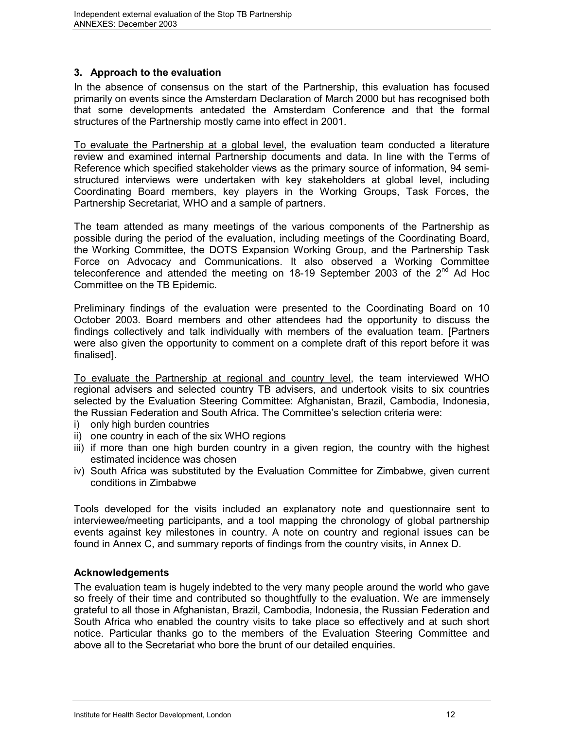## **3. Approach to the evaluation**

In the absence of consensus on the start of the Partnership, this evaluation has focused primarily on events since the Amsterdam Declaration of March 2000 but has recognised both that some developments antedated the Amsterdam Conference and that the formal structures of the Partnership mostly came into effect in 2001.

To evaluate the Partnership at a global level, the evaluation team conducted a literature review and examined internal Partnership documents and data. In line with the Terms of Reference which specified stakeholder views as the primary source of information, 94 semistructured interviews were undertaken with key stakeholders at global level, including Coordinating Board members, key players in the Working Groups, Task Forces, the Partnership Secretariat, WHO and a sample of partners.

The team attended as many meetings of the various components of the Partnership as possible during the period of the evaluation, including meetings of the Coordinating Board, the Working Committee, the DOTS Expansion Working Group, and the Partnership Task Force on Advocacy and Communications. It also observed a Working Committee teleconference and attended the meeting on 18-19 September 2003 of the  $2^{nd}$  Ad Hoc Committee on the TB Epidemic.

Preliminary findings of the evaluation were presented to the Coordinating Board on 10 October 2003. Board members and other attendees had the opportunity to discuss the findings collectively and talk individually with members of the evaluation team. [Partners were also given the opportunity to comment on a complete draft of this report before it was finalised].

To evaluate the Partnership at regional and country level, the team interviewed WHO regional advisers and selected country TB advisers, and undertook visits to six countries selected by the Evaluation Steering Committee: Afghanistan, Brazil, Cambodia, Indonesia, the Russian Federation and South Africa. The Committee's selection criteria were:

- i) only high burden countries
- ii) one country in each of the six WHO regions
- iii) if more than one high burden country in a given region, the country with the highest estimated incidence was chosen
- iv) South Africa was substituted by the Evaluation Committee for Zimbabwe, given current conditions in Zimbabwe

Tools developed for the visits included an explanatory note and questionnaire sent to interviewee/meeting participants, and a tool mapping the chronology of global partnership events against key milestones in country. A note on country and regional issues can be found in Annex C, and summary reports of findings from the country visits, in Annex D.

#### **Acknowledgements**

The evaluation team is hugely indebted to the very many people around the world who gave so freely of their time and contributed so thoughtfully to the evaluation. We are immensely grateful to all those in Afghanistan, Brazil, Cambodia, Indonesia, the Russian Federation and South Africa who enabled the country visits to take place so effectively and at such short notice. Particular thanks go to the members of the Evaluation Steering Committee and above all to the Secretariat who bore the brunt of our detailed enquiries.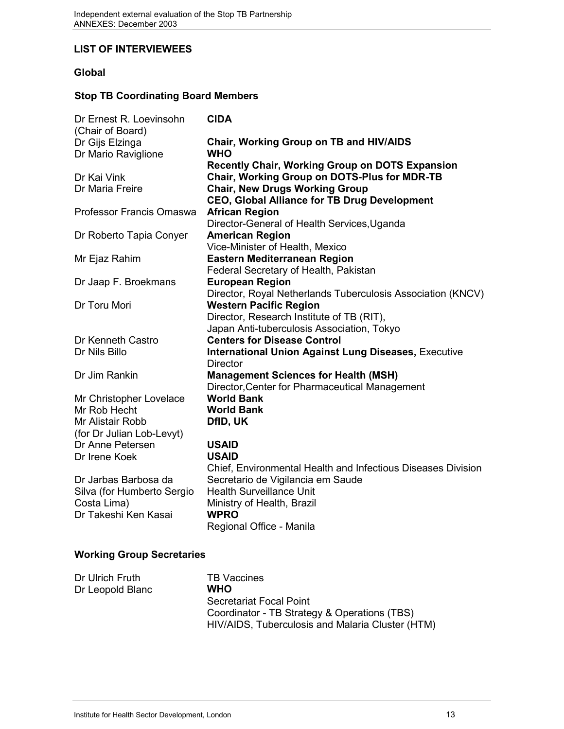#### **LIST OF INTERVIEWEES**

## **Global**

## **Stop TB Coordinating Board Members**

| Dr Ernest R. Loevinsohn<br>(Chair of Board) | <b>CIDA</b>                                                  |
|---------------------------------------------|--------------------------------------------------------------|
| Dr Gijs Elzinga                             | <b>Chair, Working Group on TB and HIV/AIDS</b>               |
| Dr Mario Raviglione                         | <b>WHO</b>                                                   |
|                                             | <b>Recently Chair, Working Group on DOTS Expansion</b>       |
| Dr Kai Vink                                 | Chair, Working Group on DOTS-Plus for MDR-TB                 |
| Dr Maria Freire                             | <b>Chair, New Drugs Working Group</b>                        |
|                                             | <b>CEO, Global Alliance for TB Drug Development</b>          |
| Professor Francis Omaswa                    | <b>African Region</b>                                        |
|                                             | Director-General of Health Services, Uganda                  |
| Dr Roberto Tapia Conyer                     | <b>American Region</b>                                       |
|                                             | Vice-Minister of Health, Mexico                              |
| Mr Ejaz Rahim                               | Eastern Mediterranean Region                                 |
|                                             | Federal Secretary of Health, Pakistan                        |
| Dr Jaap F. Broekmans                        | <b>European Region</b>                                       |
|                                             | Director, Royal Netherlands Tuberculosis Association (KNCV)  |
| Dr Toru Mori                                | <b>Western Pacific Region</b>                                |
|                                             | Director, Research Institute of TB (RIT),                    |
|                                             | Japan Anti-tuberculosis Association, Tokyo                   |
| Dr Kenneth Castro                           | <b>Centers for Disease Control</b>                           |
| Dr Nils Billo                               | <b>International Union Against Lung Diseases, Executive</b>  |
|                                             | <b>Director</b>                                              |
| Dr Jim Rankin                               | <b>Management Sciences for Health (MSH)</b>                  |
|                                             | Director, Center for Pharmaceutical Management               |
| Mr Christopher Lovelace                     | <b>World Bank</b>                                            |
| Mr Rob Hecht                                | <b>World Bank</b>                                            |
| Mr Alistair Robb                            | DfID, UK                                                     |
| (for Dr Julian Lob-Levyt)                   |                                                              |
| Dr Anne Petersen                            | <b>USAID</b>                                                 |
| Dr Irene Koek                               | <b>USAID</b>                                                 |
|                                             | Chief, Environmental Health and Infectious Diseases Division |
| Dr Jarbas Barbosa da                        | Secretario de Vigilancia em Saude                            |
| Silva (for Humberto Sergio                  | <b>Health Surveillance Unit</b>                              |
| Costa Lima)                                 | Ministry of Health, Brazil                                   |
| Dr Takeshi Ken Kasai                        | <b>WPRO</b>                                                  |
|                                             | Regional Office - Manila                                     |
|                                             |                                                              |
| <b>Working Group Secretaries</b>            |                                                              |

| Dr Ulrich Fruth  | <b>TB</b> Vaccines                               |
|------------------|--------------------------------------------------|
| Dr Leopold Blanc | <b>WHO</b>                                       |
|                  | Secretariat Focal Point                          |
|                  | Coordinator - TB Strategy & Operations (TBS)     |
|                  | HIV/AIDS, Tuberculosis and Malaria Cluster (HTM) |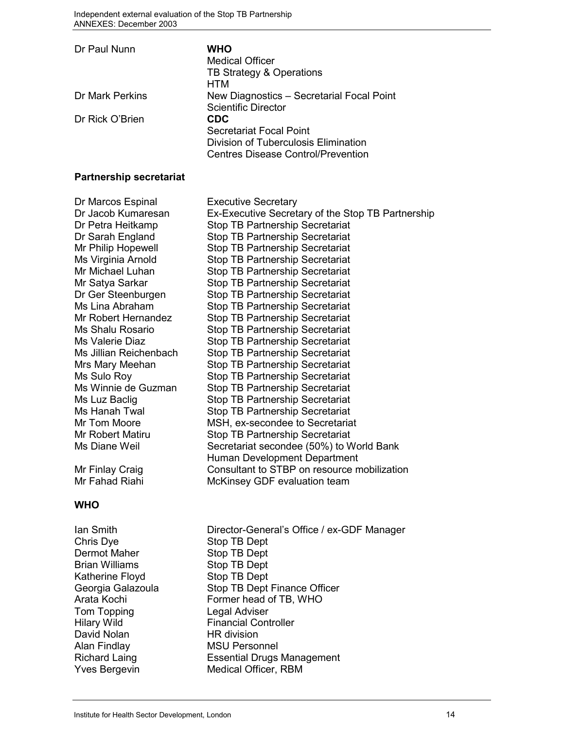| Dr Paul Nunn    | WHO<br><b>Medical Officer</b><br>TB Strategy & Operations                         |
|-----------------|-----------------------------------------------------------------------------------|
|                 | HTM                                                                               |
| Dr Mark Perkins | New Diagnostics - Secretarial Focal Point<br><b>Scientific Director</b>           |
| Dr Rick O'Brien | CDC                                                                               |
|                 | Secretariat Focal Point                                                           |
|                 | Division of Tuberculosis Elimination<br><b>Centres Disease Control/Prevention</b> |

#### **Partnership secretariat**

| Dr Marcos Espinal      | <b>Executive Secretary</b>                        |
|------------------------|---------------------------------------------------|
| Dr Jacob Kumaresan     | Ex-Executive Secretary of the Stop TB Partnership |
| Dr Petra Heitkamp      | <b>Stop TB Partnership Secretariat</b>            |
| Dr Sarah England       | <b>Stop TB Partnership Secretariat</b>            |
| Mr Philip Hopewell     | Stop TB Partnership Secretariat                   |
| Ms Virginia Arnold     | <b>Stop TB Partnership Secretariat</b>            |
| Mr Michael Luhan       | <b>Stop TB Partnership Secretariat</b>            |
| Mr Satya Sarkar        | <b>Stop TB Partnership Secretariat</b>            |
| Dr Ger Steenburgen     | <b>Stop TB Partnership Secretariat</b>            |
| Ms Lina Abraham        | Stop TB Partnership Secretariat                   |
| Mr Robert Hernandez    | <b>Stop TB Partnership Secretariat</b>            |
| Ms Shalu Rosario       | <b>Stop TB Partnership Secretariat</b>            |
| Ms Valerie Diaz        | Stop TB Partnership Secretariat                   |
| Ms Jillian Reichenbach | <b>Stop TB Partnership Secretariat</b>            |
| Mrs Mary Meehan        | <b>Stop TB Partnership Secretariat</b>            |
| Ms Sulo Roy            | <b>Stop TB Partnership Secretariat</b>            |
| Ms Winnie de Guzman    | <b>Stop TB Partnership Secretariat</b>            |
| Ms Luz Baclig          | <b>Stop TB Partnership Secretariat</b>            |
| Ms Hanah Twal          | <b>Stop TB Partnership Secretariat</b>            |
| Mr Tom Moore           | MSH, ex-secondee to Secretariat                   |
| Mr Robert Matiru       | <b>Stop TB Partnership Secretariat</b>            |
| Ms Diane Weil          | Secretariat secondee (50%) to World Bank          |
|                        | Human Development Department                      |
| Mr Finlay Craig        | Consultant to STBP on resource mobilization       |
| Mr Fahad Riahi         | McKinsey GDF evaluation team                      |
|                        |                                                   |

# **WHO**

Chris Dye Stop TB Dept<br>
Dermot Maher Stop TB Dept Brian Williams Stop TB Dept Katherine Floyd Stop TB Dept Tom Topping<br>
Hilary Wild
Hilary Wild
Hilary Wild
Burgung Legal Adviser
Legal Adviser
Hilary Wild
Tinancial
Cont David Nolan Man HR division<br>Alan Findlay MSU Person

Ian Smith Director-General's Office / ex-GDF Manager Stop TB Dept Georgia Galazoula Stop TB Dept Finance Officer Arata Kochi Former head of TB, WHO **Financial Controller MSU Personnel** Richard Laing Essential Drugs Management Yves Bergevin Medical Officer, RBM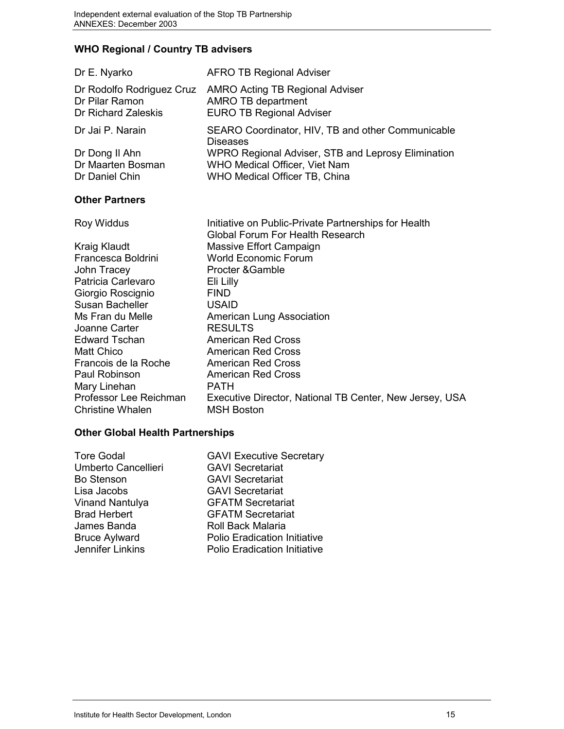# **WHO Regional / Country TB advisers**

| Dr E. Nyarko              | <b>AFRO TB Regional Adviser</b>                                      |
|---------------------------|----------------------------------------------------------------------|
| Dr Rodolfo Rodriguez Cruz | <b>AMRO Acting TB Regional Adviser</b>                               |
| Dr Pilar Ramon            | <b>AMRO TB department</b>                                            |
| Dr Richard Zaleskis       | <b>EURO TB Regional Adviser</b>                                      |
| Dr Jai P. Narain          | SEARO Coordinator, HIV, TB and other Communicable<br><b>Diseases</b> |
| Dr Dong II Ahn            | WPRO Regional Adviser, STB and Leprosy Elimination                   |
| Dr Maarten Bosman         | WHO Medical Officer, Viet Nam                                        |
| Dr Daniel Chin            | WHO Medical Officer TB, China                                        |

#### **Other Partners**

| <b>Roy Widdus</b>      | Initiative on Public-Private Partnerships for Health    |
|------------------------|---------------------------------------------------------|
|                        | Global Forum For Health Research                        |
| Kraig Klaudt           | Massive Effort Campaign                                 |
| Francesca Boldrini     | <b>World Economic Forum</b>                             |
| John Tracey            | Procter & Gamble                                        |
| Patricia Carlevaro     | Eli Lilly                                               |
| Giorgio Roscignio      | <b>FIND</b>                                             |
| Susan Bacheller        | <b>USAID</b>                                            |
| Ms Fran du Melle       | American Lung Association                               |
| Joanne Carter          | <b>RESULTS</b>                                          |
| Edward Tschan          | <b>American Red Cross</b>                               |
| Matt Chico             | <b>American Red Cross</b>                               |
| Francois de la Roche   | <b>American Red Cross</b>                               |
| Paul Robinson          | <b>American Red Cross</b>                               |
| Mary Linehan           | <b>PATH</b>                                             |
| Professor Lee Reichman | Executive Director, National TB Center, New Jersey, USA |
| Christine Whalen       | <b>MSH Boston</b>                                       |
|                        |                                                         |

# **Other Global Health Partnerships**

| <b>Tore Godal</b><br>Umberto Cancellieri<br><b>Bo Stenson</b><br>Lisa Jacobs<br><b>Vinand Nantulya</b><br><b>Brad Herbert</b><br>James Banda | <b>GAVI Executive Secretary</b><br><b>GAVI Secretariat</b><br><b>GAVI Secretariat</b><br><b>GAVI Secretariat</b><br><b>GFATM Secretariat</b><br><b>GFATM Secretariat</b><br><b>Roll Back Malaria</b> |
|----------------------------------------------------------------------------------------------------------------------------------------------|------------------------------------------------------------------------------------------------------------------------------------------------------------------------------------------------------|
| <b>Bruce Aylward</b>                                                                                                                         | <b>Polio Eradication Initiative</b>                                                                                                                                                                  |
| Jennifer Linkins                                                                                                                             | <b>Polio Eradication Initiative</b>                                                                                                                                                                  |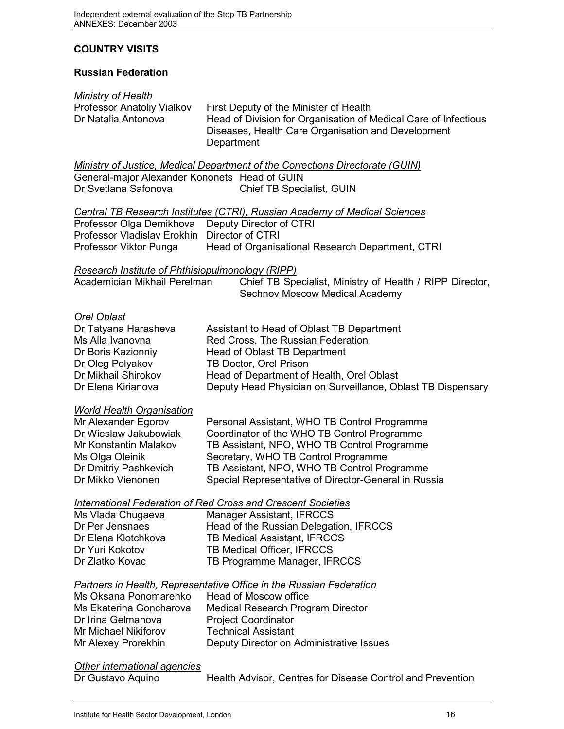## **COUNTRY VISITS**

#### **Russian Federation**

#### *Ministry of Health*

| Professor Anatoliy Vialkov | First Deputy of the Minister of Health                          |
|----------------------------|-----------------------------------------------------------------|
| Dr Natalia Antonova        | Head of Division for Organisation of Medical Care of Infectious |
|                            | Diseases, Health Care Organisation and Development              |
|                            | Department                                                      |

*Ministry of Justice, Medical Department of the Corrections Directorate (GUIN)* General-major Alexander Kononets Head of GUIN Dr Svetlana Safonova Chief TB Specialist, GUIN

|                                                  | Central TB Research Institutes (CTRI), Russian Academy of Medical Sciences |
|--------------------------------------------------|----------------------------------------------------------------------------|
| Professor Olga Demikhova Deputy Director of CTRI |                                                                            |
| Professor Vladislav Erokhin Director of CTRI     |                                                                            |
| Professor Viktor Punga                           | Head of Organisational Research Department, CTRI                           |

*Research Institute of Phthisiopulmonology (RIPP)*

| Academician Mikhail Perelman | Chief TB Specialist, Ministry of Health / RIPP Director, |
|------------------------------|----------------------------------------------------------|
|                              | Sechnov Moscow Medical Academy                           |

#### *Orel Oblast*

| Dr Tatyana Harasheva | Assistant to Head of Oblast TB Department                   |
|----------------------|-------------------------------------------------------------|
| Ms Alla Ivanovna     | Red Cross, The Russian Federation                           |
| Dr Boris Kazionniy   | Head of Oblast TB Department                                |
| Dr Oleg Polyakov     | TB Doctor, Orel Prison                                      |
| Dr Mikhail Shirokov  | Head of Department of Health, Orel Oblast                   |
| Dr Elena Kirianova   | Deputy Head Physician on Surveillance, Oblast TB Dispensary |

#### *World Health Organisation*

| Mr Alexander Egorov   | Personal Assistant, WHO TB Control Programme         |
|-----------------------|------------------------------------------------------|
| Dr Wieslaw Jakubowiak | Coordinator of the WHO TB Control Programme          |
| Mr Konstantin Malakov | TB Assistant, NPO, WHO TB Control Programme          |
| Ms Olga Oleinik       | Secretary, WHO TB Control Programme                  |
| Dr Dmitriy Pashkevich | TB Assistant, NPO, WHO TB Control Programme          |
| Dr Mikko Vienonen     | Special Representative of Director-General in Russia |

#### *International Federation of Red Cross and Crescent Societies*

| Ms Vlada Chugaeva   | Manager Assistant, IFRCCS              |
|---------------------|----------------------------------------|
| Dr Per Jensnaes     | Head of the Russian Delegation, IFRCCS |
| Dr Elena Klotchkova | <b>TB Medical Assistant, IFRCCS</b>    |
| Dr Yuri Kokotov     | TB Medical Officer, IFRCCS             |
| Dr Zlatko Kovac     | TB Programme Manager, IFRCCS           |
|                     |                                        |

#### *Partners in Health, Representative Office in the Russian Federation*

| Ms Oksana Ponomarenko       | Head of Moscow office                    |
|-----------------------------|------------------------------------------|
| Ms Ekaterina Goncharova     | Medical Research Program Director        |
| Dr Irina Gelmanova          | <b>Project Coordinator</b>               |
| <b>Mr Michael Nikiforov</b> | <b>Technical Assistant</b>               |
| Mr Alexey Prorekhin         | Deputy Director on Administrative Issues |
|                             |                                          |

#### *Other international agencies*

Dr Gustavo Aquino **Health Advisor, Centres for Disease Control and Prevention**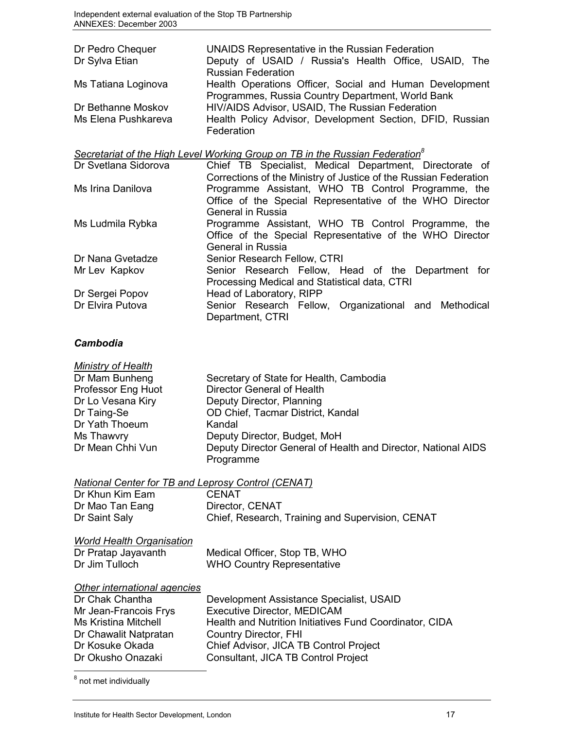| Dr Pedro Chequer<br>Dr Sylva Etian | <b>UNAIDS Representative in the Russian Federation</b><br>Deputy of USAID / Russia's Health Office, USAID, The<br><b>Russian Federation</b> |
|------------------------------------|---------------------------------------------------------------------------------------------------------------------------------------------|
| Ms Tatiana Loginova                | Health Operations Officer, Social and Human Development<br>Programmes, Russia Country Department, World Bank                                |
| Dr Bethanne Moskov                 | HIV/AIDS Advisor, USAID, The Russian Federation                                                                                             |
| Ms Elena Pushkareva                | Health Policy Advisor, Development Section, DFID, Russian<br>Federation                                                                     |
|                                    | Secretariat of the High Level Working Group on TB in the Russian Federation <sup>8</sup>                                                    |
| Dr Svetlana Sidorova               | Chief TB Specialist, Medical Department, Directorate of                                                                                     |
|                                    | Corrections of the Ministry of Justice of the Russian Federation                                                                            |
| Ms Irina Danilova                  | Programme Assistant, WHO TB Control Programme, the<br>Office of the Special Representative of the WHO Director                              |

Ms Ludmila Rybka Programme Assistant, WHO TB Control Programme, the

Mr Lev Kapkov Senior Research Fellow, Head of the Department for

Processing Medical and Statistical data, CTRI

Office of the Special Representative of the WHO Director

Senior Research Fellow, Organizational and Methodical

General in Russia

General in Russia

Department, CTRI

Dr Nana Gvetadze Senior Research Fellow, CTRI

Dr Sergei Popov<br>
Dr Elvira Putova<br>
Dr Elvira Putova<br>
Senior Research Fellow

#### *Cambodia*

| <b>Ministry of Health</b> |                                                               |
|---------------------------|---------------------------------------------------------------|
| Dr Mam Bunheng            | Secretary of State for Health, Cambodia                       |
| Professor Eng Huot        | Director General of Health                                    |
| Dr Lo Vesana Kiry         | Deputy Director, Planning                                     |
| Dr Taing-Se               | OD Chief, Tacmar District, Kandal                             |
| Dr Yath Thoeum            | Kandal                                                        |
| Ms Thawvry                | Deputy Director, Budget, MoH                                  |
| Dr Mean Chhi Vun          | Deputy Director General of Health and Director, National AIDS |
|                           | Programme                                                     |

*National Center for TB and Leprosy Control (CENAT)*

| Dr Khun Kim Eam                  | <b>CENAT</b>                                     |
|----------------------------------|--------------------------------------------------|
| Dr Mao Tan Eang                  | Director, CENAT                                  |
| Dr Saint Saly                    | Chief, Research, Training and Supervision, CENAT |
| <b>World Health Organisation</b> |                                                  |
| Dr Pratap Jayavanth              | Medical Officer, Stop TB, WHO                    |
| Dr Jim Tulloch                   | <b>WHO Country Representative</b>                |

#### *Other international agencies*

| Dr Chak Chantha       | Development Assistance Specialist, USAID                |
|-----------------------|---------------------------------------------------------|
| Mr Jean-Francois Frys | <b>Executive Director, MEDICAM</b>                      |
| Ms Kristina Mitchell  | Health and Nutrition Initiatives Fund Coordinator, CIDA |
| Dr Chawalit Natpratan | Country Director, FHI                                   |
| Dr Kosuke Okada       | Chief Advisor, JICA TB Control Project                  |
| Dr Okusho Onazaki     | Consultant, JICA TB Control Project                     |

<sup>8</sup> not met individually

 $\overline{a}$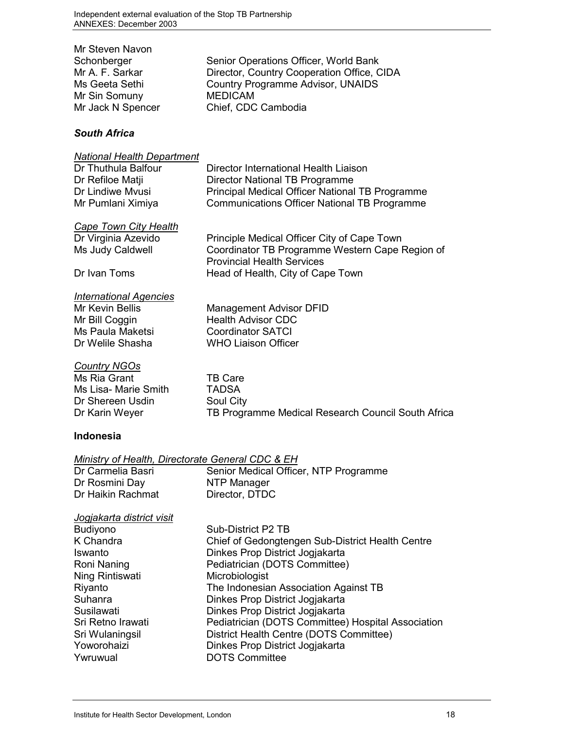| Mr Steven Navon   |                                            |
|-------------------|--------------------------------------------|
| Schonberger       | Senior Operations Officer, World Bank      |
| Mr A. F. Sarkar   | Director, Country Cooperation Office, CIDA |
| Ms Geeta Sethi    | Country Programme Advisor, UNAIDS          |
| Mr Sin Somuny     | <b>MEDICAM</b>                             |
| Mr Jack N Spencer | Chief, CDC Cambodia                        |
|                   |                                            |

### *South Africa*

| <b>National Health Department</b><br>Dr Thuthula Balfour<br>Dr Refiloe Matii<br>Dr Lindiwe Myusi<br>Mr Pumlani Ximiya | Director International Health Liaison<br>Director National TB Programme<br>Principal Medical Officer National TB Programme<br><b>Communications Officer National TB Programme</b> |
|-----------------------------------------------------------------------------------------------------------------------|-----------------------------------------------------------------------------------------------------------------------------------------------------------------------------------|
| Cape Town City Health<br>Dr Virginia Azevido<br>Ms Judy Caldwell<br>Dr Ivan Toms                                      | Principle Medical Officer City of Cape Town<br>Coordinator TB Programme Western Cape Region of<br><b>Provincial Health Services</b><br>Head of Health, City of Cape Town          |
| <b>International Agencies</b><br>Mr Kevin Bellis<br>Mr Bill Coggin<br>Ms Paula Maketsi<br>Dr Welile Shasha            | <b>Management Advisor DFID</b><br><b>Health Advisor CDC</b><br><b>Coordinator SATCI</b><br><b>WHO Liaison Officer</b>                                                             |
| <b>Country NGOs</b><br>Ms Ria Grant<br>Ms Lisa- Marie Smith<br>Dr Shereen Usdin<br>Dr Karin Weyer                     | <b>TB Care</b><br><b>TADSA</b><br>Soul City<br>TB Programme Medical Research Council South Africa                                                                                 |
| <b>Indonesia</b>                                                                                                      |                                                                                                                                                                                   |
| Ministry of Health, Directorate General CDC & EH<br>Dr Carmelia Basri<br>Dr Rosmini Day<br>Dr Haikin Rachmat          | Senior Medical Officer, NTP Programme<br>NTP Manager<br>Director, DTDC                                                                                                            |

# *Jogjakarta district visit*

| Budiyono          | Sub-District P2 TB                                 |
|-------------------|----------------------------------------------------|
| K Chandra         | Chief of Gedongtengen Sub-District Health Centre   |
| Iswanto           | Dinkes Prop District Jogjakarta                    |
| Roni Naning       | Pediatrician (DOTS Committee)                      |
| Ning Rintiswati   | Microbiologist                                     |
| Riyanto           | The Indonesian Association Against TB              |
| Suhanra           | Dinkes Prop District Jogjakarta                    |
| Susilawati        | Dinkes Prop District Jogjakarta                    |
| Sri Retno Irawati | Pediatrician (DOTS Committee) Hospital Association |
| Sri Wulaningsil   | District Health Centre (DOTS Committee)            |
| Yoworohaizi       | Dinkes Prop District Jogjakarta                    |
| Ywruwual          | <b>DOTS Committee</b>                              |
|                   |                                                    |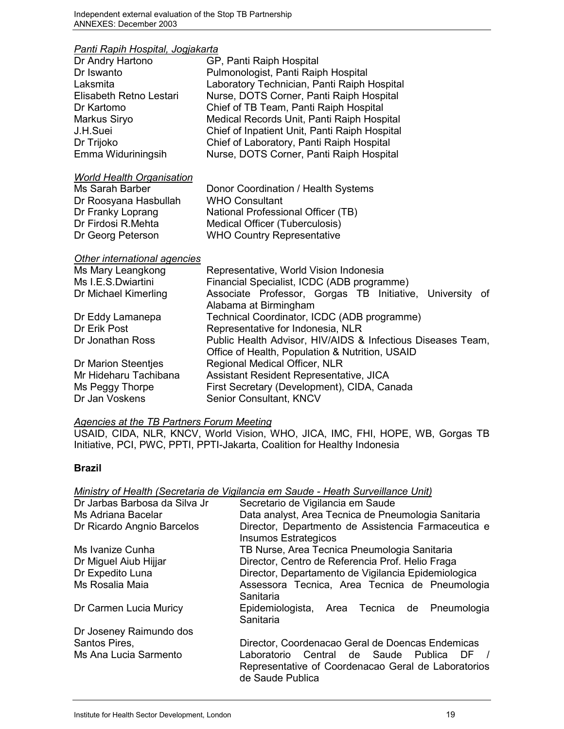# *Panti Rapih Hospital, Jogjakarta*

| Panti Rapin Hospital, Joqjakarta |                                                             |
|----------------------------------|-------------------------------------------------------------|
| Dr Andry Hartono                 | GP, Panti Raiph Hospital                                    |
| Dr Iswanto                       | Pulmonologist, Panti Raiph Hospital                         |
| Laksmita                         | Laboratory Technician, Panti Raiph Hospital                 |
| Elisabeth Retno Lestari          | Nurse, DOTS Corner, Panti Raiph Hospital                    |
| Dr Kartomo                       | Chief of TB Team, Panti Raiph Hospital                      |
| Markus Siryo                     | Medical Records Unit, Panti Raiph Hospital                  |
| J.H.Suei                         | Chief of Inpatient Unit, Panti Raiph Hospital               |
| Dr Trijoko                       | Chief of Laboratory, Panti Raiph Hospital                   |
| Emma Widuriningsih               | Nurse, DOTS Corner, Panti Raiph Hospital                    |
| <b>World Health Organisation</b> |                                                             |
| <b>Ms Sarah Barber</b>           | Donor Coordination / Health Systems                         |
| Dr Roosyana Hasbullah            | <b>WHO Consultant</b>                                       |
| Dr Franky Loprang                | National Professional Officer (TB)                          |
| Dr Firdosi R.Mehta               | Medical Officer (Tuberculosis)                              |
| Dr Georg Peterson                | <b>WHO Country Representative</b>                           |
| Other international agencies     |                                                             |
| Ms Mary Leangkong                | Representative, World Vision Indonesia                      |
| Ms I.E.S.Dwiartini               | Financial Specialist, ICDC (ADB programme)                  |
| Dr Michael Kimerling             | Associate Professor, Gorgas TB Initiative, University of    |
|                                  | Alabama at Birmingham                                       |
| Dr Eddy Lamanepa                 | Technical Coordinator, ICDC (ADB programme)                 |
| Dr Erik Post                     | Representative for Indonesia, NLR                           |
| Dr Jonathan Ross                 | Public Health Advisor, HIV/AIDS & Infectious Diseases Team, |
|                                  | Office of Health, Population & Nutrition, USAID             |
| Dr Marion Steentjes              | Regional Medical Officer, NLR                               |
| Mr Hideharu Tachibana            | Assistant Resident Representative, JICA                     |
| Ms Peggy Thorpe                  | First Secretary (Development), CIDA, Canada                 |
| Dr Jan Voskens                   | Senior Consultant, KNCV                                     |

#### *Agencies at the TB Partners Forum Meeting*

USAID, CIDA, NLR, KNCV, World Vision, WHO, JICA, IMC, FHI, HOPE, WB, Gorgas TB Initiative, PCI, PWC, PPTI, PPTI-Jakarta, Coalition for Healthy Indonesia

#### **Brazil**

#### *Ministry of Health (Secretaria de Vigilancia em Saude - Heath Surveillance Unit)*

| Dr Jarbas Barbosa da Silva Jr | Secretario de Vigilancia em Saude                                                                                       |
|-------------------------------|-------------------------------------------------------------------------------------------------------------------------|
| Ms Adriana Bacelar            | Data analyst, Area Tecnica de Pneumologia Sanitaria                                                                     |
| Dr Ricardo Angnio Barcelos    | Director, Departmento de Assistencia Farmaceutica e<br><b>Insumos Estrategicos</b>                                      |
| Ms Ivanize Cunha              | TB Nurse, Area Tecnica Pneumologia Sanitaria                                                                            |
| Dr Miguel Aiub Hijjar         | Director, Centro de Referencia Prof. Helio Fraga                                                                        |
| Dr Expedito Luna              | Director, Departamento de Vigilancia Epidemiologica                                                                     |
| Ms Rosalia Maia               | Assessora Tecnica, Area Tecnica de Pneumologia<br>Sanitaria                                                             |
| Dr Carmen Lucia Muricy        | Epidemiologista, Area Tecnica de Pneumologia<br>Sanitaria                                                               |
| Dr Joseney Raimundo dos       |                                                                                                                         |
| Santos Pires,                 | Director, Coordenacao Geral de Doencas Endemicas                                                                        |
| Ms Ana Lucia Sarmento         | Laboratorio Central de Saude Publica<br>DF /<br>Representative of Coordenacao Geral de Laboratorios<br>de Saude Publica |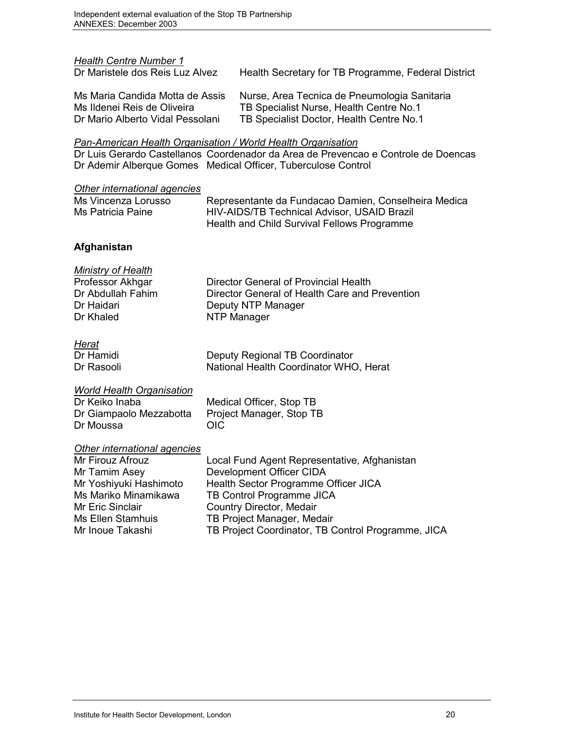*Health Centre Number 1* Health Secretary for TB Programme, Federal District Ms Maria Candida Motta de Assis Nurse, Area Tecnica de Pneumologia Sanitaria Ms Ildenei Reis de Oliveira TB Specialist Nurse, Health Centre No.1 Dr Mario Alberto Vidal Pessolani TB Specialist Doctor, Health Centre No.1

#### *Pan-American Health Organisation / World Health Organisation*

Dr Luis Gerardo Castellanos Coordenador da Area de Prevencao e Controle de Doencas Dr Ademir Alberque Gomes Medical Officer, Tuberculose Control

#### *Other international agencies*

| Ms Vincenza Lorusso | Representante da Fundacao Damien, Conselheira Medica |
|---------------------|------------------------------------------------------|
| Ms Patricia Paine   | <b>HIV-AIDS/TB Technical Advisor, USAID Brazil</b>   |
|                     | Health and Child Survival Fellows Programme          |

#### **Afghanistan**

| <b>Ministry of Health</b> |                                                |
|---------------------------|------------------------------------------------|
| Professor Akhgar          | Director General of Provincial Health          |
| Dr Abdullah Fahim         | Director General of Health Care and Prevention |
| Dr Haidari                | Deputy NTP Manager                             |
| Dr Khaled                 | NTP Manager                                    |
|                           |                                                |

| ,,,,,      |                                        |
|------------|----------------------------------------|
| Dr Hamidi  | Deputy Regional TB Coordinator         |
| Dr Rasooli | National Health Coordinator WHO, Herat |

#### *World Health Organisation*

Dr Keiko Inaba Medical Officer, Stop TB Dr Giampaolo Mezzabotta Project Manager, Stop TB Dr Moussa OIC

#### *Other international agencies*

| Mr Firouz Afrouz       | Local Fund Agent Representative, Afghanistan       |
|------------------------|----------------------------------------------------|
| Mr Tamim Asey          | Development Officer CIDA                           |
| Mr Yoshiyuki Hashimoto | Health Sector Programme Officer JICA               |
| Ms Mariko Minamikawa   | TB Control Programme JICA                          |
| Mr Eric Sinclair       | Country Director, Medair                           |
| Ms Ellen Stamhuis      | TB Project Manager, Medair                         |
| Mr Inoue Takashi       | TB Project Coordinator, TB Control Programme, JICA |
|                        |                                                    |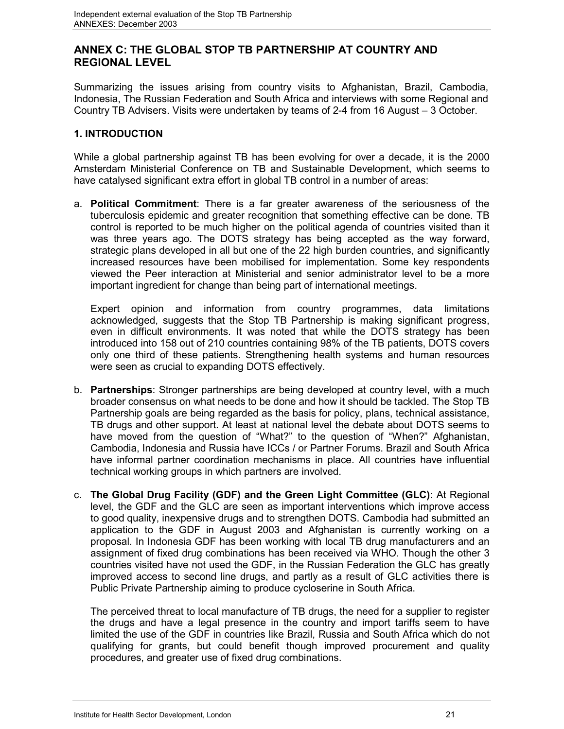## **ANNEX C: THE GLOBAL STOP TB PARTNERSHIP AT COUNTRY AND REGIONAL LEVEL**

Summarizing the issues arising from country visits to Afghanistan, Brazil, Cambodia, Indonesia, The Russian Federation and South Africa and interviews with some Regional and Country TB Advisers. Visits were undertaken by teams of 2-4 from 16 August – 3 October.

## **1. INTRODUCTION**

While a global partnership against TB has been evolving for over a decade, it is the 2000 Amsterdam Ministerial Conference on TB and Sustainable Development, which seems to have catalysed significant extra effort in global TB control in a number of areas:

a. **Political Commitment**: There is a far greater awareness of the seriousness of the tuberculosis epidemic and greater recognition that something effective can be done. TB control is reported to be much higher on the political agenda of countries visited than it was three years ago. The DOTS strategy has being accepted as the way forward, strategic plans developed in all but one of the 22 high burden countries, and significantly increased resources have been mobilised for implementation. Some key respondents viewed the Peer interaction at Ministerial and senior administrator level to be a more important ingredient for change than being part of international meetings.

Expert opinion and information from country programmes, data limitations acknowledged, suggests that the Stop TB Partnership is making significant progress, even in difficult environments. It was noted that while the DOTS strategy has been introduced into 158 out of 210 countries containing 98% of the TB patients, DOTS covers only one third of these patients. Strengthening health systems and human resources were seen as crucial to expanding DOTS effectively.

- b. **Partnerships**: Stronger partnerships are being developed at country level, with a much broader consensus on what needs to be done and how it should be tackled. The Stop TB Partnership goals are being regarded as the basis for policy, plans, technical assistance, TB drugs and other support. At least at national level the debate about DOTS seems to have moved from the question of "What?" to the question of "When?" Afghanistan, Cambodia, Indonesia and Russia have ICCs / or Partner Forums. Brazil and South Africa have informal partner coordination mechanisms in place. All countries have influential technical working groups in which partners are involved.
- c. **The Global Drug Facility (GDF) and the Green Light Committee (GLC)**: At Regional level, the GDF and the GLC are seen as important interventions which improve access to good quality, inexpensive drugs and to strengthen DOTS. Cambodia had submitted an application to the GDF in August 2003 and Afghanistan is currently working on a proposal. In Indonesia GDF has been working with local TB drug manufacturers and an assignment of fixed drug combinations has been received via WHO. Though the other 3 countries visited have not used the GDF, in the Russian Federation the GLC has greatly improved access to second line drugs, and partly as a result of GLC activities there is Public Private Partnership aiming to produce cycloserine in South Africa.

The perceived threat to local manufacture of TB drugs, the need for a supplier to register the drugs and have a legal presence in the country and import tariffs seem to have limited the use of the GDF in countries like Brazil, Russia and South Africa which do not qualifying for grants, but could benefit though improved procurement and quality procedures, and greater use of fixed drug combinations.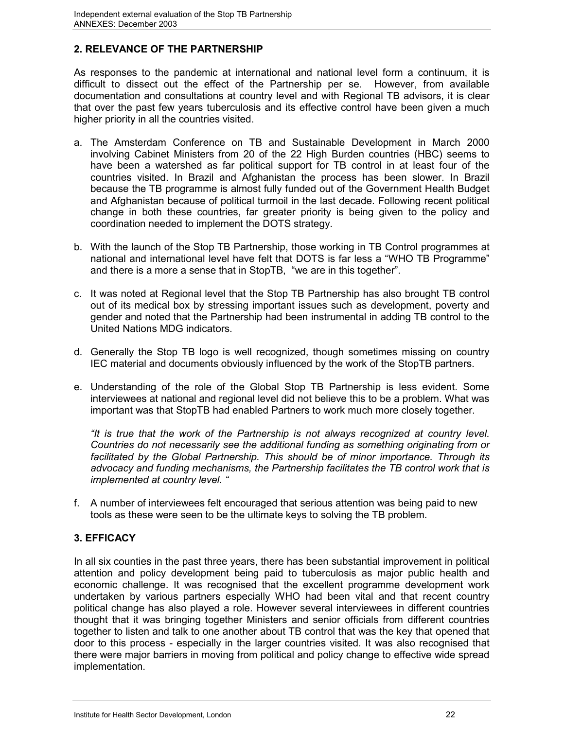## **2. RELEVANCE OF THE PARTNERSHIP**

As responses to the pandemic at international and national level form a continuum, it is difficult to dissect out the effect of the Partnership per se. However, from available documentation and consultations at country level and with Regional TB advisors, it is clear that over the past few years tuberculosis and its effective control have been given a much higher priority in all the countries visited.

- a. The Amsterdam Conference on TB and Sustainable Development in March 2000 involving Cabinet Ministers from 20 of the 22 High Burden countries (HBC) seems to have been a watershed as far political support for TB control in at least four of the countries visited. In Brazil and Afghanistan the process has been slower. In Brazil because the TB programme is almost fully funded out of the Government Health Budget and Afghanistan because of political turmoil in the last decade. Following recent political change in both these countries, far greater priority is being given to the policy and coordination needed to implement the DOTS strategy.
- b. With the launch of the Stop TB Partnership, those working in TB Control programmes at national and international level have felt that DOTS is far less a "WHO TB Programme" and there is a more a sense that in StopTB, "we are in this together".
- c. It was noted at Regional level that the Stop TB Partnership has also brought TB control out of its medical box by stressing important issues such as development, poverty and gender and noted that the Partnership had been instrumental in adding TB control to the United Nations MDG indicators.
- d. Generally the Stop TB logo is well recognized, though sometimes missing on country IEC material and documents obviously influenced by the work of the StopTB partners.
- e. Understanding of the role of the Global Stop TB Partnership is less evident. Some interviewees at national and regional level did not believe this to be a problem. What was important was that StopTB had enabled Partners to work much more closely together.

*"It is true that the work of the Partnership is not always recognized at country level. Countries do not necessarily see the additional funding as something originating from or facilitated by the Global Partnership. This should be of minor importance. Through its advocacy and funding mechanisms, the Partnership facilitates the TB control work that is implemented at country level. "*

f. A number of interviewees felt encouraged that serious attention was being paid to new tools as these were seen to be the ultimate keys to solving the TB problem.

## **3. EFFICACY**

In all six counties in the past three years, there has been substantial improvement in political attention and policy development being paid to tuberculosis as major public health and economic challenge. It was recognised that the excellent programme development work undertaken by various partners especially WHO had been vital and that recent country political change has also played a role. However several interviewees in different countries thought that it was bringing together Ministers and senior officials from different countries together to listen and talk to one another about TB control that was the key that opened that door to this process - especially in the larger countries visited. It was also recognised that there were major barriers in moving from political and policy change to effective wide spread implementation.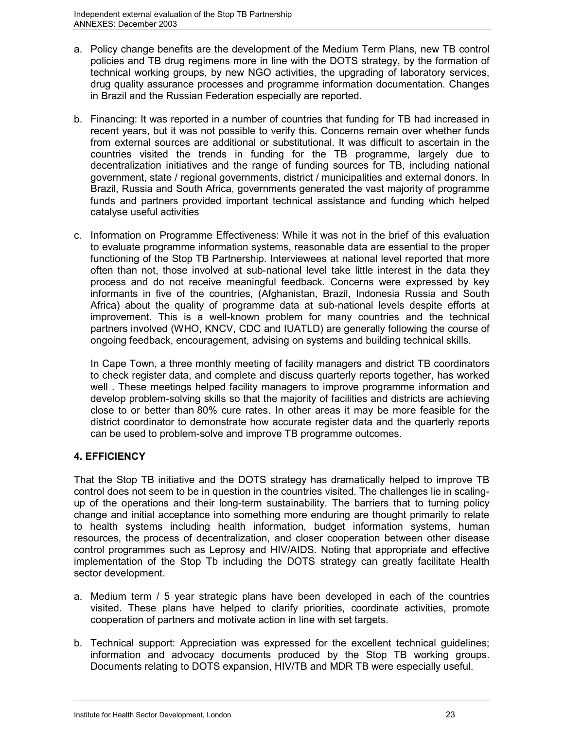- a. Policy change benefits are the development of the Medium Term Plans, new TB control policies and TB drug regimens more in line with the DOTS strategy, by the formation of technical working groups, by new NGO activities, the upgrading of laboratory services, drug quality assurance processes and programme information documentation. Changes in Brazil and the Russian Federation especially are reported.
- b. Financing: It was reported in a number of countries that funding for TB had increased in recent years, but it was not possible to verify this. Concerns remain over whether funds from external sources are additional or substitutional. It was difficult to ascertain in the countries visited the trends in funding for the TB programme, largely due to decentralization initiatives and the range of funding sources for TB, including national government, state / regional governments, district / municipalities and external donors. In Brazil, Russia and South Africa, governments generated the vast majority of programme funds and partners provided important technical assistance and funding which helped catalyse useful activities
- c. Information on Programme Effectiveness: While it was not in the brief of this evaluation to evaluate programme information systems, reasonable data are essential to the proper functioning of the Stop TB Partnership. Interviewees at national level reported that more often than not, those involved at sub-national level take little interest in the data they process and do not receive meaningful feedback. Concerns were expressed by key informants in five of the countries, (Afghanistan, Brazil, Indonesia Russia and South Africa) about the quality of programme data at sub-national levels despite efforts at improvement. This is a well-known problem for many countries and the technical partners involved (WHO, KNCV, CDC and IUATLD) are generally following the course of ongoing feedback, encouragement, advising on systems and building technical skills.

In Cape Town, a three monthly meeting of facility managers and district TB coordinators to check register data, and complete and discuss quarterly reports together, has worked well . These meetings helped facility managers to improve programme information and develop problem-solving skills so that the majority of facilities and districts are achieving close to or better than 80% cure rates. In other areas it may be more feasible for the district coordinator to demonstrate how accurate register data and the quarterly reports can be used to problem-solve and improve TB programme outcomes.

## **4. EFFICIENCY**

That the Stop TB initiative and the DOTS strategy has dramatically helped to improve TB control does not seem to be in question in the countries visited. The challenges lie in scalingup of the operations and their long-term sustainability. The barriers that to turning policy change and initial acceptance into something more enduring are thought primarily to relate to health systems including health information, budget information systems, human resources, the process of decentralization, and closer cooperation between other disease control programmes such as Leprosy and HIV/AIDS. Noting that appropriate and effective implementation of the Stop Tb including the DOTS strategy can greatly facilitate Health sector development.

- a. Medium term / 5 year strategic plans have been developed in each of the countries visited. These plans have helped to clarify priorities, coordinate activities, promote cooperation of partners and motivate action in line with set targets.
- b. Technical support: Appreciation was expressed for the excellent technical guidelines; information and advocacy documents produced by the Stop TB working groups. Documents relating to DOTS expansion, HIV/TB and MDR TB were especially useful.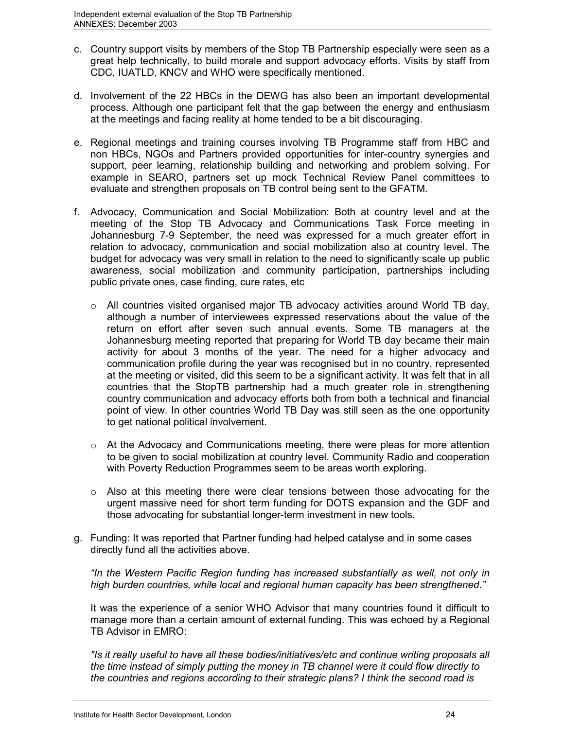- c. Country support visits by members of the Stop TB Partnership especially were seen as a great help technically, to build morale and support advocacy efforts. Visits by staff from CDC, IUATLD, KNCV and WHO were specifically mentioned.
- d. Involvement of the 22 HBCs in the DEWG has also been an important developmental process. Although one participant felt that the gap between the energy and enthusiasm at the meetings and facing reality at home tended to be a bit discouraging.
- e. Regional meetings and training courses involving TB Programme staff from HBC and non HBCs, NGOs and Partners provided opportunities for inter-country synergies and support, peer learning, relationship building and networking and problem solving. For example in SEARO, partners set up mock Technical Review Panel committees to evaluate and strengthen proposals on TB control being sent to the GFATM.
- f. Advocacy, Communication and Social Mobilization: Both at country level and at the meeting of the Stop TB Advocacy and Communications Task Force meeting in Johannesburg 7-9 September, the need was expressed for a much greater effort in relation to advocacy, communication and social mobilization also at country level. The budget for advocacy was very small in relation to the need to significantly scale up public awareness, social mobilization and community participation, partnerships including public private ones, case finding, cure rates, etc
	- $\circ$  All countries visited organised major TB advocacy activities around World TB day, although a number of interviewees expressed reservations about the value of the return on effort after seven such annual events. Some TB managers at the Johannesburg meeting reported that preparing for World TB day became their main activity for about 3 months of the year. The need for a higher advocacy and communication profile during the year was recognised but in no country, represented at the meeting or visited, did this seem to be a significant activity. It was felt that in all countries that the StopTB partnership had a much greater role in strengthening country communication and advocacy efforts both from both a technical and financial point of view. In other countries World TB Day was still seen as the one opportunity to get national political involvement.
	- o At the Advocacy and Communications meeting, there were pleas for more attention to be given to social mobilization at country level. Community Radio and cooperation with Poverty Reduction Programmes seem to be areas worth exploring.
	- $\circ$  Also at this meeting there were clear tensions between those advocating for the urgent massive need for short term funding for DOTS expansion and the GDF and those advocating for substantial longer-term investment in new tools.
- g. Funding: It was reported that Partner funding had helped catalyse and in some cases directly fund all the activities above.

*"In the Western Pacific Region funding has increased substantially as well, not only in high burden countries, while local and regional human capacity has been strengthened."*

It was the experience of a senior WHO Advisor that many countries found it difficult to manage more than a certain amount of external funding. This was echoed by a Regional TB Advisor in EMRO:

*"Is it really useful to have all these bodies/initiatives/etc and continue writing proposals all the time instead of simply putting the money in TB channel were it could flow directly to the countries and regions according to their strategic plans? I think the second road is*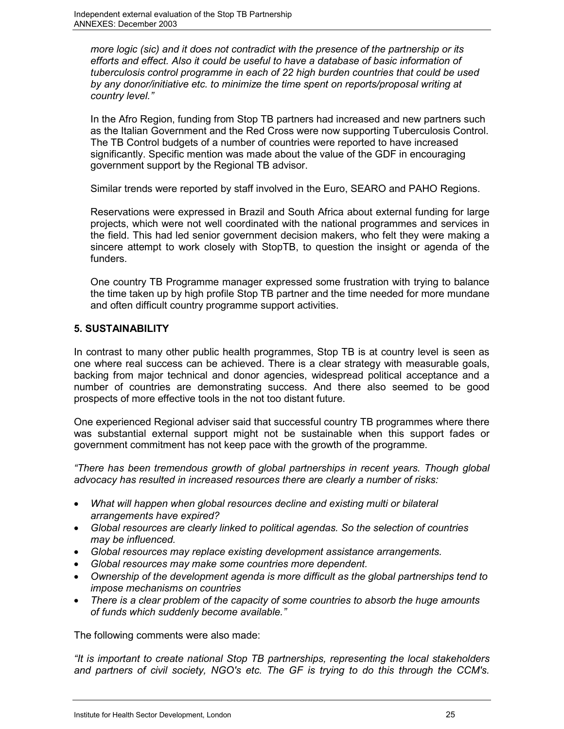*more logic (sic) and it does not contradict with the presence of the partnership or its efforts and effect. Also it could be useful to have a database of basic information of tuberculosis control programme in each of 22 high burden countries that could be used by any donor/initiative etc. to minimize the time spent on reports/proposal writing at country level."*

In the Afro Region, funding from Stop TB partners had increased and new partners such as the Italian Government and the Red Cross were now supporting Tuberculosis Control. The TB Control budgets of a number of countries were reported to have increased significantly. Specific mention was made about the value of the GDF in encouraging government support by the Regional TB advisor.

Similar trends were reported by staff involved in the Euro, SEARO and PAHO Regions.

Reservations were expressed in Brazil and South Africa about external funding for large projects, which were not well coordinated with the national programmes and services in the field. This had led senior government decision makers, who felt they were making a sincere attempt to work closely with StopTB, to question the insight or agenda of the funders.

One country TB Programme manager expressed some frustration with trying to balance the time taken up by high profile Stop TB partner and the time needed for more mundane and often difficult country programme support activities.

#### **5. SUSTAINABILITY**

In contrast to many other public health programmes, Stop TB is at country level is seen as one where real success can be achieved. There is a clear strategy with measurable goals, backing from major technical and donor agencies, widespread political acceptance and a number of countries are demonstrating success. And there also seemed to be good prospects of more effective tools in the not too distant future.

One experienced Regional adviser said that successful country TB programmes where there was substantial external support might not be sustainable when this support fades or government commitment has not keep pace with the growth of the programme.

*"There has been tremendous growth of global partnerships in recent years. Though global advocacy has resulted in increased resources there are clearly a number of risks:*

- *What will happen when global resources decline and existing multi or bilateral arrangements have expired?*
- *Global resources are clearly linked to political agendas. So the selection of countries may be influenced.*
- *Global resources may replace existing development assistance arrangements.*
- *Global resources may make some countries more dependent.*
- *Ownership of the development agenda is more difficult as the global partnerships tend to impose mechanisms on countries*
- *There is a clear problem of the capacity of some countries to absorb the huge amounts of funds which suddenly become available."*

The following comments were also made:

*"It is important to create national Stop TB partnerships, representing the local stakeholders and partners of civil society, NGO's etc. The GF is trying to do this through the CCM's.*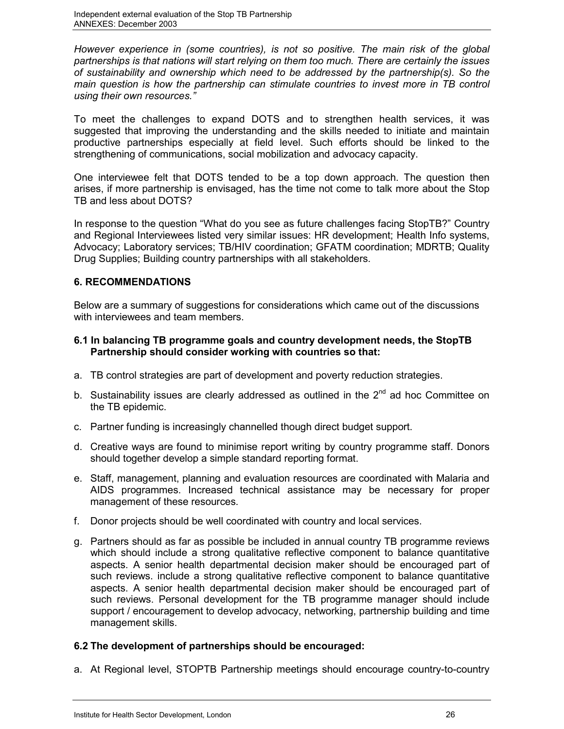*However experience in (some countries), is not so positive. The main risk of the global partnerships is that nations will start relying on them too much. There are certainly the issues of sustainability and ownership which need to be addressed by the partnership(s). So the main question is how the partnership can stimulate countries to invest more in TB control using their own resources."*

To meet the challenges to expand DOTS and to strengthen health services, it was suggested that improving the understanding and the skills needed to initiate and maintain productive partnerships especially at field level. Such efforts should be linked to the strengthening of communications, social mobilization and advocacy capacity.

One interviewee felt that DOTS tended to be a top down approach. The question then arises, if more partnership is envisaged, has the time not come to talk more about the Stop TB and less about DOTS?

In response to the question "What do you see as future challenges facing StopTB?" Country and Regional Interviewees listed very similar issues: HR development; Health Info systems, Advocacy; Laboratory services; TB/HIV coordination; GFATM coordination; MDRTB; Quality Drug Supplies; Building country partnerships with all stakeholders.

#### **6. RECOMMENDATIONS**

Below are a summary of suggestions for considerations which came out of the discussions with interviewees and team members.

#### **6.1 In balancing TB programme goals and country development needs, the StopTB Partnership should consider working with countries so that:**

- a. TB control strategies are part of development and poverty reduction strategies.
- b. Sustainability issues are clearly addressed as outlined in the  $2<sup>nd</sup>$  ad hoc Committee on the TB epidemic.
- c. Partner funding is increasingly channelled though direct budget support.
- d. Creative ways are found to minimise report writing by country programme staff. Donors should together develop a simple standard reporting format.
- e. Staff, management, planning and evaluation resources are coordinated with Malaria and AIDS programmes. Increased technical assistance may be necessary for proper management of these resources.
- f. Donor projects should be well coordinated with country and local services.
- g. Partners should as far as possible be included in annual country TB programme reviews which should include a strong qualitative reflective component to balance quantitative aspects. A senior health departmental decision maker should be encouraged part of such reviews. include a strong qualitative reflective component to balance quantitative aspects. A senior health departmental decision maker should be encouraged part of such reviews. Personal development for the TB programme manager should include support / encouragement to develop advocacy, networking, partnership building and time management skills.

## **6.2 The development of partnerships should be encouraged:**

a. At Regional level, STOPTB Partnership meetings should encourage country-to-country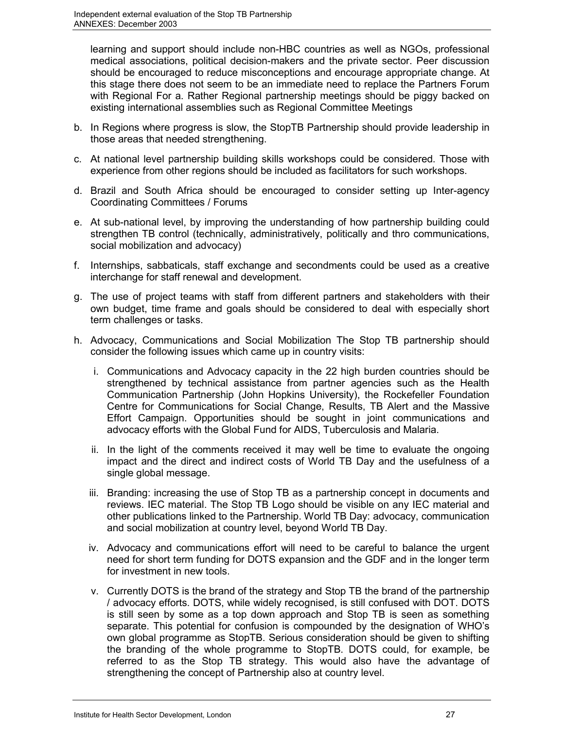learning and support should include non-HBC countries as well as NGOs, professional medical associations, political decision-makers and the private sector. Peer discussion should be encouraged to reduce misconceptions and encourage appropriate change. At this stage there does not seem to be an immediate need to replace the Partners Forum with Regional For a. Rather Regional partnership meetings should be piggy backed on existing international assemblies such as Regional Committee Meetings

- b. In Regions where progress is slow, the StopTB Partnership should provide leadership in those areas that needed strengthening.
- c. At national level partnership building skills workshops could be considered. Those with experience from other regions should be included as facilitators for such workshops.
- d. Brazil and South Africa should be encouraged to consider setting up Inter-agency Coordinating Committees / Forums
- e. At sub-national level, by improving the understanding of how partnership building could strengthen TB control (technically, administratively, politically and thro communications, social mobilization and advocacy)
- f. Internships, sabbaticals, staff exchange and secondments could be used as a creative interchange for staff renewal and development.
- g. The use of project teams with staff from different partners and stakeholders with their own budget, time frame and goals should be considered to deal with especially short term challenges or tasks.
- h. Advocacy, Communications and Social Mobilization The Stop TB partnership should consider the following issues which came up in country visits:
	- i. Communications and Advocacy capacity in the 22 high burden countries should be strengthened by technical assistance from partner agencies such as the Health Communication Partnership (John Hopkins University), the Rockefeller Foundation Centre for Communications for Social Change, Results, TB Alert and the Massive Effort Campaign. Opportunities should be sought in joint communications and advocacy efforts with the Global Fund for AIDS, Tuberculosis and Malaria.
	- ii. In the light of the comments received it may well be time to evaluate the ongoing impact and the direct and indirect costs of World TB Day and the usefulness of a single global message.
	- iii. Branding: increasing the use of Stop TB as a partnership concept in documents and reviews. IEC material. The Stop TB Logo should be visible on any IEC material and other publications linked to the Partnership. World TB Day: advocacy, communication and social mobilization at country level, beyond World TB Day.
	- iv. Advocacy and communications effort will need to be careful to balance the urgent need for short term funding for DOTS expansion and the GDF and in the longer term for investment in new tools.
	- v. Currently DOTS is the brand of the strategy and Stop TB the brand of the partnership / advocacy efforts. DOTS, while widely recognised, is still confused with DOT. DOTS is still seen by some as a top down approach and Stop TB is seen as something separate. This potential for confusion is compounded by the designation of WHO's own global programme as StopTB. Serious consideration should be given to shifting the branding of the whole programme to StopTB. DOTS could, for example, be referred to as the Stop TB strategy. This would also have the advantage of strengthening the concept of Partnership also at country level.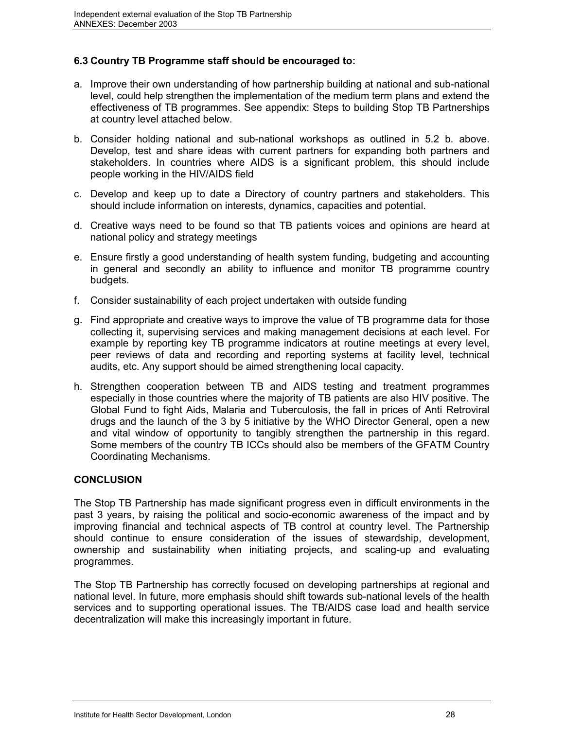## **6.3 Country TB Programme staff should be encouraged to:**

- a. Improve their own understanding of how partnership building at national and sub-national level, could help strengthen the implementation of the medium term plans and extend the effectiveness of TB programmes. See appendix: Steps to building Stop TB Partnerships at country level attached below.
- b. Consider holding national and sub-national workshops as outlined in 5.2 b. above. Develop, test and share ideas with current partners for expanding both partners and stakeholders. In countries where AIDS is a significant problem, this should include people working in the HIV/AIDS field
- c. Develop and keep up to date a Directory of country partners and stakeholders. This should include information on interests, dynamics, capacities and potential.
- d. Creative ways need to be found so that TB patients voices and opinions are heard at national policy and strategy meetings
- e. Ensure firstly a good understanding of health system funding, budgeting and accounting in general and secondly an ability to influence and monitor TB programme country budgets.
- f. Consider sustainability of each project undertaken with outside funding
- g. Find appropriate and creative ways to improve the value of TB programme data for those collecting it, supervising services and making management decisions at each level. For example by reporting key TB programme indicators at routine meetings at every level, peer reviews of data and recording and reporting systems at facility level, technical audits, etc. Any support should be aimed strengthening local capacity.
- h. Strengthen cooperation between TB and AIDS testing and treatment programmes especially in those countries where the majority of TB patients are also HIV positive. The Global Fund to fight Aids, Malaria and Tuberculosis, the fall in prices of Anti Retroviral drugs and the launch of the 3 by 5 initiative by the WHO Director General, open a new and vital window of opportunity to tangibly strengthen the partnership in this regard. Some members of the country TB ICCs should also be members of the GFATM Country Coordinating Mechanisms.

#### **CONCLUSION**

The Stop TB Partnership has made significant progress even in difficult environments in the past 3 years, by raising the political and socio-economic awareness of the impact and by improving financial and technical aspects of TB control at country level. The Partnership should continue to ensure consideration of the issues of stewardship, development, ownership and sustainability when initiating projects, and scaling-up and evaluating programmes.

The Stop TB Partnership has correctly focused on developing partnerships at regional and national level. In future, more emphasis should shift towards sub-national levels of the health services and to supporting operational issues. The TB/AIDS case load and health service decentralization will make this increasingly important in future.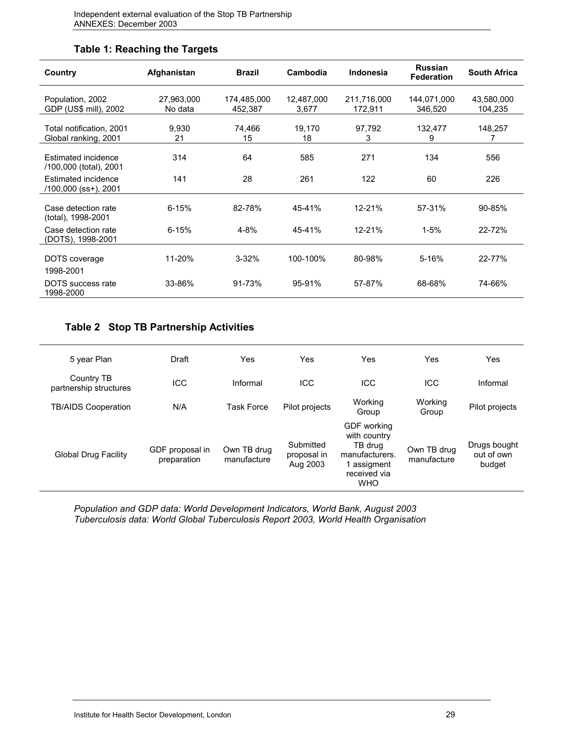## **Table 1: Reaching the Targets**

| Country                                          | Afghanistan           | <b>Brazil</b>          | Cambodia            | Indonesia              | <b>Russian</b><br><b>Federation</b> | <b>South Africa</b>   |
|--------------------------------------------------|-----------------------|------------------------|---------------------|------------------------|-------------------------------------|-----------------------|
| Population, 2002<br>GDP (US\$ mill), 2002        | 27,963,000<br>No data | 174,485,000<br>452,387 | 12,487,000<br>3,677 | 211,716,000<br>172,911 | 144,071,000<br>346,520              | 43,580,000<br>104,235 |
| Total notification, 2001<br>Global ranking, 2001 | 9,930<br>21           | 74,466<br>15           | 19,170<br>18        | 97,792<br>3            | 132,477<br>9                        | 148,257<br>7          |
| Estimated incidence<br>/100,000 (total), 2001    | 314                   | 64                     | 585                 | 271                    | 134                                 | 556                   |
| Estimated incidence<br>/100,000 (ss+), 2001      | 141                   | 28                     | 261                 | 122                    | 60                                  | 226                   |
| Case detection rate<br>(total), 1998-2001        | $6 - 15%$             | 82-78%                 | 45-41%              | $12 - 21%$             | 57-31%                              | 90-85%                |
| Case detection rate<br>(DOTS), 1998-2001         | $6 - 15%$             | $4 - 8%$               | 45-41%              | $12 - 21%$             | $1 - 5%$                            | 22-72%                |
| DOTS coverage<br>1998-2001                       | 11-20%                | $3 - 32%$              | 100-100%            | 80-98%                 | 5-16%                               | 22-77%                |
| DOTS success rate<br>1998-2000                   | 33-86%                | 91-73%                 | 95-91%              | 57-87%                 | 68-68%                              | 74-66%                |

## **Table 2 Stop TB Partnership Activities**

| 5 year Plan                          | Draft                          | Yes                        | Yes                                  | Yes                                                                                                 | Yes                        | Yes                                  |
|--------------------------------------|--------------------------------|----------------------------|--------------------------------------|-----------------------------------------------------------------------------------------------------|----------------------------|--------------------------------------|
| Country TB<br>partnership structures | <b>ICC</b>                     | Informal                   | <b>ICC</b>                           | <b>ICC</b>                                                                                          | ICC                        | Informal                             |
| <b>TB/AIDS Cooperation</b>           | N/A                            | <b>Task Force</b>          | Pilot projects                       | Working<br>Group                                                                                    | Working<br>Group           | Pilot projects                       |
| <b>Global Drug Facility</b>          | GDF proposal in<br>preparation | Own TB drug<br>manufacture | Submitted<br>proposal in<br>Aug 2003 | GDF working<br>with country<br>TB drug<br>manufacturers.<br>assigment<br>received via<br><b>WHO</b> | Own TB drug<br>manufacture | Drugs bought<br>out of own<br>budget |

*Population and GDP data: World Development Indicators, World Bank, August 2003 Tuberculosis data: World Global Tuberculosis Report 2003, World Health Organisation*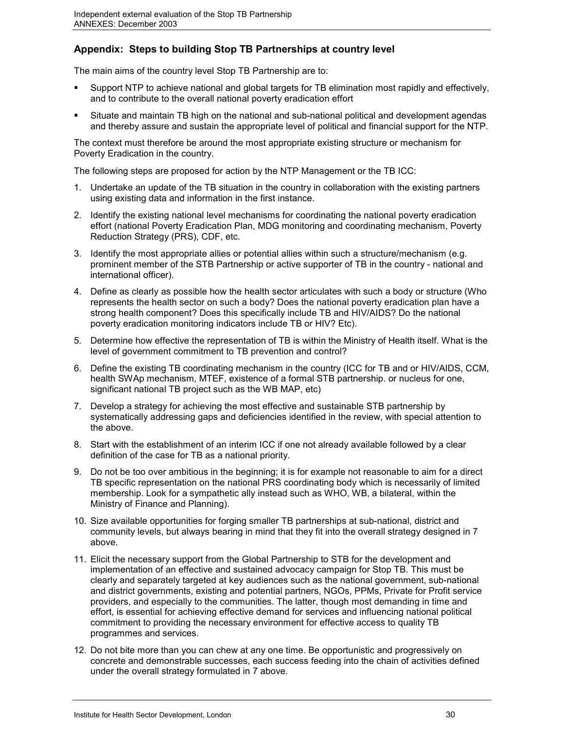## **Appendix: Steps to building Stop TB Partnerships at country level**

The main aims of the country level Stop TB Partnership are to:

- Support NTP to achieve national and global targets for TB elimination most rapidly and effectively, and to contribute to the overall national poverty eradication effort
- Situate and maintain TB high on the national and sub-national political and development agendas and thereby assure and sustain the appropriate level of political and financial support for the NTP.

The context must therefore be around the most appropriate existing structure or mechanism for Poverty Eradication in the country.

The following steps are proposed for action by the NTP Management or the TB ICC:

- 1. Undertake an update of the TB situation in the country in collaboration with the existing partners using existing data and information in the first instance.
- 2. Identify the existing national level mechanisms for coordinating the national poverty eradication effort (national Poverty Eradication Plan, MDG monitoring and coordinating mechanism, Poverty Reduction Strategy (PRS), CDF, etc.
- 3. Identify the most appropriate allies or potential allies within such a structure/mechanism (e.g. prominent member of the STB Partnership or active supporter of TB in the country - national and international officer).
- 4. Define as clearly as possible how the health sector articulates with such a body or structure (Who represents the health sector on such a body? Does the national poverty eradication plan have a strong health component? Does this specifically include TB and HIV/AIDS? Do the national poverty eradication monitoring indicators include TB or HIV? Etc).
- 5. Determine how effective the representation of TB is within the Ministry of Health itself. What is the level of government commitment to TB prevention and control?
- 6. Define the existing TB coordinating mechanism in the country (ICC for TB and or HIV/AIDS, CCM, health SWAp mechanism, MTEF, existence of a formal STB partnership. or nucleus for one, significant national TB project such as the WB MAP, etc)
- 7. Develop a strategy for achieving the most effective and sustainable STB partnership by systematically addressing gaps and deficiencies identified in the review, with special attention to the above.
- 8. Start with the establishment of an interim ICC if one not already available followed by a clear definition of the case for TB as a national priority.
- 9. Do not be too over ambitious in the beginning; it is for example not reasonable to aim for a direct TB specific representation on the national PRS coordinating body which is necessarily of limited membership. Look for a sympathetic ally instead such as WHO, WB, a bilateral, within the Ministry of Finance and Planning).
- 10. Size available opportunities for forging smaller TB partnerships at sub-national, district and community levels, but always bearing in mind that they fit into the overall strategy designed in 7 above.
- 11. Elicit the necessary support from the Global Partnership to STB for the development and implementation of an effective and sustained advocacy campaign for Stop TB. This must be clearly and separately targeted at key audiences such as the national government, sub-national and district governments, existing and potential partners, NGOs, PPMs, Private for Profit service providers, and especially to the communities. The latter, though most demanding in time and effort, is essential for achieving effective demand for services and influencing national political commitment to providing the necessary environment for effective access to quality TB programmes and services.
- 12. Do not bite more than you can chew at any one time. Be opportunistic and progressively on concrete and demonstrable successes, each success feeding into the chain of activities defined under the overall strategy formulated in 7 above.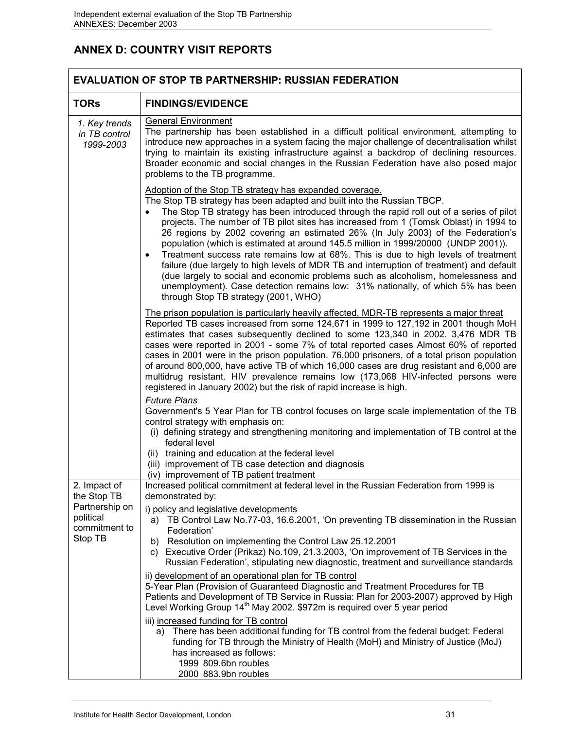# **ANNEX D: COUNTRY VISIT REPORTS**

|                                                                                        | <b>EVALUATION OF STOP TB PARTNERSHIP: RUSSIAN FEDERATION</b>                                                                                                                                                                                                                                                                                                                                                                                                                                                                                                                                                                                                                                                                                                                                                                                                                                                   |  |  |
|----------------------------------------------------------------------------------------|----------------------------------------------------------------------------------------------------------------------------------------------------------------------------------------------------------------------------------------------------------------------------------------------------------------------------------------------------------------------------------------------------------------------------------------------------------------------------------------------------------------------------------------------------------------------------------------------------------------------------------------------------------------------------------------------------------------------------------------------------------------------------------------------------------------------------------------------------------------------------------------------------------------|--|--|
| <b>TORs</b>                                                                            | <b>FINDINGS/EVIDENCE</b>                                                                                                                                                                                                                                                                                                                                                                                                                                                                                                                                                                                                                                                                                                                                                                                                                                                                                       |  |  |
| 1. Key trends<br>in TB control<br>1999-2003                                            | <b>General Environment</b><br>The partnership has been established in a difficult political environment, attempting to<br>introduce new approaches in a system facing the major challenge of decentralisation whilst<br>trying to maintain its existing infrastructure against a backdrop of declining resources.<br>Broader economic and social changes in the Russian Federation have also posed major<br>problems to the TB programme.                                                                                                                                                                                                                                                                                                                                                                                                                                                                      |  |  |
|                                                                                        | Adoption of the Stop TB strategy has expanded coverage.<br>The Stop TB strategy has been adapted and built into the Russian TBCP.<br>The Stop TB strategy has been introduced through the rapid roll out of a series of pilot<br>projects. The number of TB pilot sites has increased from 1 (Tomsk Oblast) in 1994 to<br>26 regions by 2002 covering an estimated 26% (In July 2003) of the Federation's<br>population (which is estimated at around 145.5 million in 1999/20000 (UNDP 2001)).<br>Treatment success rate remains low at 68%. This is due to high levels of treatment<br>$\bullet$<br>failure (due largely to high levels of MDR TB and interruption of treatment) and default<br>(due largely to social and economic problems such as alcoholism, homelessness and<br>unemployment). Case detection remains low: 31% nationally, of which 5% has been<br>through Stop TB strategy (2001, WHO) |  |  |
|                                                                                        | The prison population is particularly heavily affected, MDR-TB represents a major threat<br>Reported TB cases increased from some 124,671 in 1999 to 127,192 in 2001 though MoH<br>estimates that cases subsequently declined to some 123,340 in 2002. 3,476 MDR TB<br>cases were reported in 2001 - some 7% of total reported cases Almost 60% of reported<br>cases in 2001 were in the prison population. 76,000 prisoners, of a total prison population<br>of around 800,000, have active TB of which 16,000 cases are drug resistant and 6,000 are<br>multidrug resistant. HIV prevalence remains low (173,068 HIV-infected persons were<br>registered in January 2002) but the risk of rapid increase is high.                                                                                                                                                                                            |  |  |
|                                                                                        | <b>Future Plans</b><br>Government's 5 Year Plan for TB control focuses on large scale implementation of the TB<br>control strategy with emphasis on:<br>(i) defining strategy and strengthening monitoring and implementation of TB control at the<br>federal level<br>(ii) training and education at the federal level<br>(iii) improvement of TB case detection and diagnosis<br>(iv) improvement of TB patient treatment                                                                                                                                                                                                                                                                                                                                                                                                                                                                                    |  |  |
| 2. Impact of<br>the Stop TB<br>Partnership on<br>political<br>commitment to<br>Stop TB | Increased political commitment at federal level in the Russian Federation from 1999 is<br>demonstrated by:<br>i) policy and legislative developments<br>TB Control Law No.77-03, 16.6.2001, 'On preventing TB dissemination in the Russian<br>a)<br>Federation'<br>Resolution on implementing the Control Law 25.12.2001<br>b)<br>Executive Order (Prikaz) No.109, 21.3.2003, 'On improvement of TB Services in the<br>C)<br>Russian Federation', stipulating new diagnostic, treatment and surveillance standards<br>ii) development of an operational plan for TB control<br>5-Year Plan (Provision of Guaranteed Diagnostic and Treatment Procedures for TB                                                                                                                                                                                                                                                 |  |  |
|                                                                                        | Patients and Development of TB Service in Russia: Plan for 2003-2007) approved by High<br>Level Working Group 14 <sup>th</sup> May 2002. \$972m is required over 5 year period<br>iii) increased funding for TB control<br>a) There has been additional funding for TB control from the federal budget: Federal<br>funding for TB through the Ministry of Health (MoH) and Ministry of Justice (MoJ)<br>has increased as follows:<br>1999 809.6bn roubles<br>2000 883.9bn roubles                                                                                                                                                                                                                                                                                                                                                                                                                              |  |  |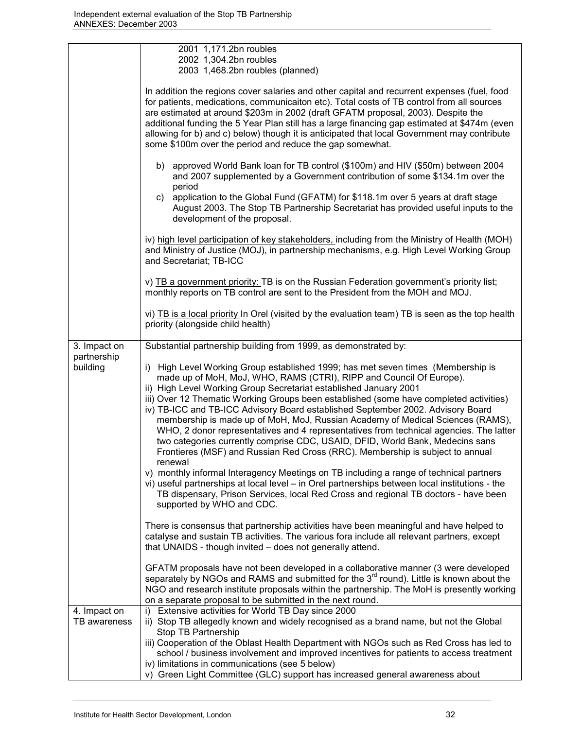|                              | 2001 1,171.2bn roubles<br>2002 1,304.2bn roubles                                                                                                                                                                                                                                                                                                                                                                                                                                                                                        |
|------------------------------|-----------------------------------------------------------------------------------------------------------------------------------------------------------------------------------------------------------------------------------------------------------------------------------------------------------------------------------------------------------------------------------------------------------------------------------------------------------------------------------------------------------------------------------------|
|                              | 2003 1,468.2bn roubles (planned)                                                                                                                                                                                                                                                                                                                                                                                                                                                                                                        |
|                              | In addition the regions cover salaries and other capital and recurrent expenses (fuel, food<br>for patients, medications, communicaiton etc). Total costs of TB control from all sources<br>are estimated at around \$203m in 2002 (draft GFATM proposal, 2003). Despite the<br>additional funding the 5 Year Plan still has a large financing gap estimated at \$474m (even<br>allowing for b) and c) below) though it is anticipated that local Government may contribute<br>some \$100m over the period and reduce the gap somewhat. |
|                              | b) approved World Bank loan for TB control (\$100m) and HIV (\$50m) between 2004<br>and 2007 supplemented by a Government contribution of some \$134.1m over the<br>period                                                                                                                                                                                                                                                                                                                                                              |
|                              | application to the Global Fund (GFATM) for \$118.1m over 5 years at draft stage<br>C)<br>August 2003. The Stop TB Partnership Secretariat has provided useful inputs to the<br>development of the proposal.                                                                                                                                                                                                                                                                                                                             |
|                              | iv) high level participation of key stakeholders, including from the Ministry of Health (MOH)<br>and Ministry of Justice (MOJ), in partnership mechanisms, e.g. High Level Working Group<br>and Secretariat; TB-ICC                                                                                                                                                                                                                                                                                                                     |
|                              | v) TB a government priority: TB is on the Russian Federation government's priority list;<br>monthly reports on TB control are sent to the President from the MOH and MOJ.                                                                                                                                                                                                                                                                                                                                                               |
|                              | vi) TB is a local priority In Orel (visited by the evaluation team) TB is seen as the top health<br>priority (alongside child health)                                                                                                                                                                                                                                                                                                                                                                                                   |
| 3. Impact on                 | Substantial partnership building from 1999, as demonstrated by:                                                                                                                                                                                                                                                                                                                                                                                                                                                                         |
| partnership<br>building      | High Level Working Group established 1999; has met seven times (Membership is<br>i)<br>made up of MoH, MoJ, WHO, RAMS (CTRI), RIPP and Council Of Europe).<br>ii) High Level Working Group Secretariat established January 2001                                                                                                                                                                                                                                                                                                         |
|                              | iii) Over 12 Thematic Working Groups been established (some have completed activities)<br>iv) TB-ICC and TB-ICC Advisory Board established September 2002. Advisory Board<br>membership is made up of MoH, MoJ, Russian Academy of Medical Sciences (RAMS),<br>WHO, 2 donor representatives and 4 representatives from technical agencies. The latter<br>two categories currently comprise CDC, USAID, DFID, World Bank, Medecins sans<br>Frontieres (MSF) and Russian Red Cross (RRC). Membership is subject to annual<br>renewal      |
|                              | v) monthly informal Interagency Meetings on TB including a range of technical partners<br>vi) useful partnerships at local level - in Orel partnerships between local institutions - the<br>TB dispensary, Prison Services, local Red Cross and regional TB doctors - have been<br>supported by WHO and CDC.                                                                                                                                                                                                                            |
|                              | There is consensus that partnership activities have been meaningful and have helped to<br>catalyse and sustain TB activities. The various fora include all relevant partners, except<br>that UNAIDS - though invited - does not generally attend.                                                                                                                                                                                                                                                                                       |
|                              | GFATM proposals have not been developed in a collaborative manner (3 were developed<br>separately by NGOs and RAMS and submitted for the 3 <sup>rd</sup> round). Little is known about the<br>NGO and research institute proposals within the partnership. The MoH is presently working<br>on a separate proposal to be submitted in the next round.                                                                                                                                                                                    |
| 4. Impact on<br>TB awareness | Extensive activities for World TB Day since 2000<br>i)<br>ii) Stop TB allegedly known and widely recognised as a brand name, but not the Global                                                                                                                                                                                                                                                                                                                                                                                         |
|                              | Stop TB Partnership<br>iii) Cooperation of the Oblast Health Department with NGOs such as Red Cross has led to<br>school / business involvement and improved incentives for patients to access treatment<br>iv) limitations in communications (see 5 below)                                                                                                                                                                                                                                                                             |
|                              | v) Green Light Committee (GLC) support has increased general awareness about                                                                                                                                                                                                                                                                                                                                                                                                                                                            |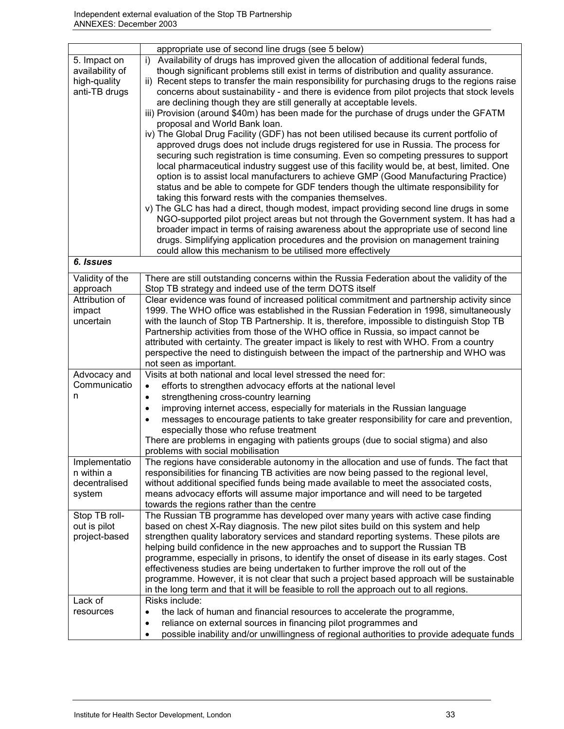|                                                                  | appropriate use of second line drugs (see 5 below)                                                                                                                                                                                                                                                                                                                                                                                                                                                                                                                                                                                                                                                                                                                                                                                                                                                                                                                                                                                                                                                                                                                                                                                                                                                                                                                                                                                                                                                                                                                                                                                            |
|------------------------------------------------------------------|-----------------------------------------------------------------------------------------------------------------------------------------------------------------------------------------------------------------------------------------------------------------------------------------------------------------------------------------------------------------------------------------------------------------------------------------------------------------------------------------------------------------------------------------------------------------------------------------------------------------------------------------------------------------------------------------------------------------------------------------------------------------------------------------------------------------------------------------------------------------------------------------------------------------------------------------------------------------------------------------------------------------------------------------------------------------------------------------------------------------------------------------------------------------------------------------------------------------------------------------------------------------------------------------------------------------------------------------------------------------------------------------------------------------------------------------------------------------------------------------------------------------------------------------------------------------------------------------------------------------------------------------------|
| 5. Impact on<br>availability of<br>high-quality<br>anti-TB drugs | Availability of drugs has improved given the allocation of additional federal funds,<br>i)<br>though significant problems still exist in terms of distribution and quality assurance.<br>ii) Recent steps to transfer the main responsibility for purchasing drugs to the regions raise<br>concerns about sustainability - and there is evidence from pilot projects that stock levels<br>are declining though they are still generally at acceptable levels.<br>iii) Provision (around \$40m) has been made for the purchase of drugs under the GFATM<br>proposal and World Bank loan.<br>iv) The Global Drug Facility (GDF) has not been utilised because its current portfolio of<br>approved drugs does not include drugs registered for use in Russia. The process for<br>securing such registration is time consuming. Even so competing pressures to support<br>local pharmaceutical industry suggest use of this facility would be, at best, limited. One<br>option is to assist local manufacturers to achieve GMP (Good Manufacturing Practice)<br>status and be able to compete for GDF tenders though the ultimate responsibility for<br>taking this forward rests with the companies themselves.<br>v) The GLC has had a direct, though modest, impact providing second line drugs in some<br>NGO-supported pilot project areas but not through the Government system. It has had a<br>broader impact in terms of raising awareness about the appropriate use of second line<br>drugs. Simplifying application procedures and the provision on management training<br>could allow this mechanism to be utilised more effectively |
| 6. Issues                                                        |                                                                                                                                                                                                                                                                                                                                                                                                                                                                                                                                                                                                                                                                                                                                                                                                                                                                                                                                                                                                                                                                                                                                                                                                                                                                                                                                                                                                                                                                                                                                                                                                                                               |
| Validity of the<br>approach                                      | There are still outstanding concerns within the Russia Federation about the validity of the<br>Stop TB strategy and indeed use of the term DOTS itself                                                                                                                                                                                                                                                                                                                                                                                                                                                                                                                                                                                                                                                                                                                                                                                                                                                                                                                                                                                                                                                                                                                                                                                                                                                                                                                                                                                                                                                                                        |
| Attribution of<br>impact<br>uncertain                            | Clear evidence was found of increased political commitment and partnership activity since<br>1999. The WHO office was established in the Russian Federation in 1998, simultaneously<br>with the launch of Stop TB Partnership. It is, therefore, impossible to distinguish Stop TB<br>Partnership activities from those of the WHO office in Russia, so impact cannot be<br>attributed with certainty. The greater impact is likely to rest with WHO. From a country<br>perspective the need to distinguish between the impact of the partnership and WHO was<br>not seen as important.                                                                                                                                                                                                                                                                                                                                                                                                                                                                                                                                                                                                                                                                                                                                                                                                                                                                                                                                                                                                                                                       |
| Advocacy and<br>Communicatio<br>n                                | Visits at both national and local level stressed the need for:<br>efforts to strengthen advocacy efforts at the national level<br>$\bullet$<br>strengthening cross-country learning<br>$\bullet$<br>improving internet access, especially for materials in the Russian language<br>$\bullet$<br>messages to encourage patients to take greater responsibility for care and prevention,<br>$\bullet$<br>especially those who refuse treatment<br>There are problems in engaging with patients groups (due to social stigma) and also<br>problems with social mobilisation                                                                                                                                                                                                                                                                                                                                                                                                                                                                                                                                                                                                                                                                                                                                                                                                                                                                                                                                                                                                                                                                      |
| Implementatio<br>n within a<br>decentralised<br>system           | The regions have considerable autonomy in the allocation and use of funds. The fact that<br>responsibilities for financing TB activities are now being passed to the regional level,<br>without additional specified funds being made available to meet the associated costs,<br>means advocacy efforts will assume major importance and will need to be targeted<br>towards the regions rather than the centre                                                                                                                                                                                                                                                                                                                                                                                                                                                                                                                                                                                                                                                                                                                                                                                                                                                                                                                                                                                                                                                                                                                                                                                                                               |
| Stop TB roll-<br>out is pilot<br>project-based                   | The Russian TB programme has developed over many years with active case finding<br>based on chest X-Ray diagnosis. The new pilot sites build on this system and help<br>strengthen quality laboratory services and standard reporting systems. These pilots are<br>helping build confidence in the new approaches and to support the Russian TB<br>programme, especially in prisons, to identify the onset of disease in its early stages. Cost<br>effectiveness studies are being undertaken to further improve the roll out of the<br>programme. However, it is not clear that such a project based approach will be sustainable<br>in the long term and that it will be feasible to roll the approach out to all regions.                                                                                                                                                                                                                                                                                                                                                                                                                                                                                                                                                                                                                                                                                                                                                                                                                                                                                                                  |
| Lack of<br>resources                                             | Risks include:<br>the lack of human and financial resources to accelerate the programme,<br>$\bullet$<br>reliance on external sources in financing pilot programmes and<br>$\bullet$<br>possible inability and/or unwillingness of regional authorities to provide adequate funds<br>$\bullet$                                                                                                                                                                                                                                                                                                                                                                                                                                                                                                                                                                                                                                                                                                                                                                                                                                                                                                                                                                                                                                                                                                                                                                                                                                                                                                                                                |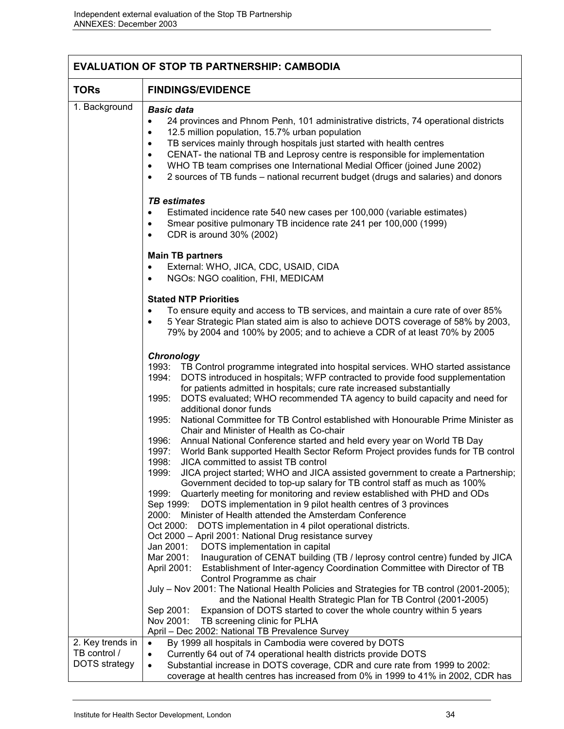| <b>EVALUATION OF STOP TB PARTNERSHIP: CAMBODIA</b>       |                                                                                                                                                                                                                                                                                                                                                                                                                                                                                                                                                                                                                                                                                                                                                                                                                                                                                                                                                                                                                                                                                                                                                                                                                                                                                                                                                                                                                                                                                                                                                                                                                                                                                                                                                                                                                                                                                                                                |  |  |
|----------------------------------------------------------|--------------------------------------------------------------------------------------------------------------------------------------------------------------------------------------------------------------------------------------------------------------------------------------------------------------------------------------------------------------------------------------------------------------------------------------------------------------------------------------------------------------------------------------------------------------------------------------------------------------------------------------------------------------------------------------------------------------------------------------------------------------------------------------------------------------------------------------------------------------------------------------------------------------------------------------------------------------------------------------------------------------------------------------------------------------------------------------------------------------------------------------------------------------------------------------------------------------------------------------------------------------------------------------------------------------------------------------------------------------------------------------------------------------------------------------------------------------------------------------------------------------------------------------------------------------------------------------------------------------------------------------------------------------------------------------------------------------------------------------------------------------------------------------------------------------------------------------------------------------------------------------------------------------------------------|--|--|
| <b>TORs</b>                                              | <b>FINDINGS/EVIDENCE</b>                                                                                                                                                                                                                                                                                                                                                                                                                                                                                                                                                                                                                                                                                                                                                                                                                                                                                                                                                                                                                                                                                                                                                                                                                                                                                                                                                                                                                                                                                                                                                                                                                                                                                                                                                                                                                                                                                                       |  |  |
| 1. Background                                            | <b>Basic data</b><br>24 provinces and Phnom Penh, 101 administrative districts, 74 operational districts<br>$\bullet$<br>12.5 million population, 15.7% urban population<br>$\bullet$<br>TB services mainly through hospitals just started with health centres<br>٠<br>CENAT- the national TB and Leprosy centre is responsible for implementation<br>٠<br>WHO TB team comprises one International Medial Officer (joined June 2002)<br>٠<br>2 sources of TB funds – national recurrent budget (drugs and salaries) and donors                                                                                                                                                                                                                                                                                                                                                                                                                                                                                                                                                                                                                                                                                                                                                                                                                                                                                                                                                                                                                                                                                                                                                                                                                                                                                                                                                                                                 |  |  |
|                                                          | <b>TB</b> estimates<br>Estimated incidence rate 540 new cases per 100,000 (variable estimates)<br>$\bullet$<br>Smear positive pulmonary TB incidence rate 241 per 100,000 (1999)<br>$\bullet$<br>CDR is around 30% (2002)<br>$\bullet$                                                                                                                                                                                                                                                                                                                                                                                                                                                                                                                                                                                                                                                                                                                                                                                                                                                                                                                                                                                                                                                                                                                                                                                                                                                                                                                                                                                                                                                                                                                                                                                                                                                                                         |  |  |
|                                                          | <b>Main TB partners</b><br>External: WHO, JICA, CDC, USAID, CIDA<br>$\bullet$<br>NGOs: NGO coalition, FHI, MEDICAM<br>$\bullet$                                                                                                                                                                                                                                                                                                                                                                                                                                                                                                                                                                                                                                                                                                                                                                                                                                                                                                                                                                                                                                                                                                                                                                                                                                                                                                                                                                                                                                                                                                                                                                                                                                                                                                                                                                                                |  |  |
|                                                          | <b>Stated NTP Priorities</b><br>To ensure equity and access to TB services, and maintain a cure rate of over 85%<br>$\bullet$<br>5 Year Strategic Plan stated aim is also to achieve DOTS coverage of 58% by 2003,<br>$\bullet$<br>79% by 2004 and 100% by 2005; and to achieve a CDR of at least 70% by 2005                                                                                                                                                                                                                                                                                                                                                                                                                                                                                                                                                                                                                                                                                                                                                                                                                                                                                                                                                                                                                                                                                                                                                                                                                                                                                                                                                                                                                                                                                                                                                                                                                  |  |  |
|                                                          | Chronology<br>1993: TB Control programme integrated into hospital services. WHO started assistance<br>DOTS introduced in hospitals; WFP contracted to provide food supplementation<br>1994:<br>for patients admitted in hospitals; cure rate increased substantially<br>1995:<br>DOTS evaluated; WHO recommended TA agency to build capacity and need for<br>additional donor funds<br>National Committee for TB Control established with Honourable Prime Minister as<br>1995:<br>Chair and Minister of Health as Co-chair<br>Annual National Conference started and held every year on World TB Day<br>1996:<br>World Bank supported Health Sector Reform Project provides funds for TB control<br>1997:<br>1998:<br>JICA committed to assist TB control<br>JICA project started; WHO and JICA assisted government to create a Partnership;<br>1999:<br>Government decided to top-up salary for TB control staff as much as 100%<br>1999:<br>Quarterly meeting for monitoring and review established with PHD and ODs<br>DOTS implementation in 9 pilot health centres of 3 provinces<br>Sep 1999:<br>Minister of Health attended the Amsterdam Conference<br>2000:<br>Oct 2000:<br>DOTS implementation in 4 pilot operational districts.<br>Oct 2000 - April 2001: National Drug resistance survey<br>DOTS implementation in capital<br>Jan 2001:<br>Mar 2001:<br>Inauguration of CENAT building (TB / leprosy control centre) funded by JICA<br>April 2001:<br>Establishment of Inter-agency Coordination Committee with Director of TB<br>Control Programme as chair<br>July - Nov 2001: The National Health Policies and Strategies for TB control (2001-2005);<br>and the National Health Strategic Plan for TB Control (2001-2005)<br>Expansion of DOTS started to cover the whole country within 5 years<br>Sep 2001:<br>Nov 2001:<br>TB screening clinic for PLHA<br>April - Dec 2002: National TB Prevalence Survey |  |  |
| 2. Key trends in<br>TB control /<br><b>DOTS</b> strategy | By 1999 all hospitals in Cambodia were covered by DOTS<br>$\bullet$<br>Currently 64 out of 74 operational health districts provide DOTS<br>$\bullet$<br>Substantial increase in DOTS coverage, CDR and cure rate from 1999 to 2002:<br>$\bullet$<br>coverage at health centres has increased from 0% in 1999 to 41% in 2002, CDR has                                                                                                                                                                                                                                                                                                                                                                                                                                                                                                                                                                                                                                                                                                                                                                                                                                                                                                                                                                                                                                                                                                                                                                                                                                                                                                                                                                                                                                                                                                                                                                                           |  |  |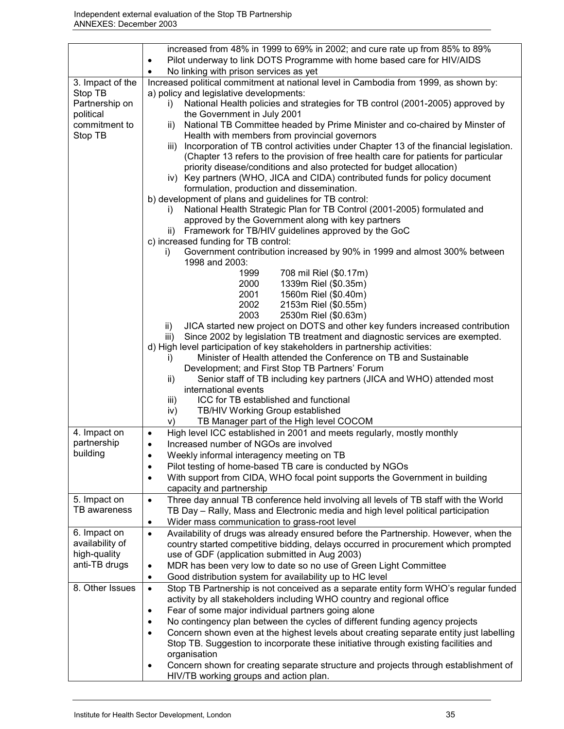|                             | increased from 48% in 1999 to 69% in 2002; and cure rate up from 85% to 89%                         |  |  |  |
|-----------------------------|-----------------------------------------------------------------------------------------------------|--|--|--|
|                             | Pilot underway to link DOTS Programme with home based care for HIV/AIDS<br>$\bullet$                |  |  |  |
|                             | No linking with prison services as yet<br>$\bullet$                                                 |  |  |  |
| 3. Impact of the            | Increased political commitment at national level in Cambodia from 1999, as shown by:                |  |  |  |
| Stop TB                     | a) policy and legislative developments:                                                             |  |  |  |
| Partnership on              | National Health policies and strategies for TB control (2001-2005) approved by<br>i)                |  |  |  |
| political                   | the Government in July 2001                                                                         |  |  |  |
| commitment to               | National TB Committee headed by Prime Minister and co-chaired by Minster of<br>ii)                  |  |  |  |
| Stop TB                     | Health with members from provincial governors                                                       |  |  |  |
|                             | Incorporation of TB control activities under Chapter 13 of the financial legislation.<br>iii)       |  |  |  |
|                             | (Chapter 13 refers to the provision of free health care for patients for particular                 |  |  |  |
|                             | priority disease/conditions and also protected for budget allocation)                               |  |  |  |
|                             | iv) Key partners (WHO, JICA and CIDA) contributed funds for policy document                         |  |  |  |
|                             | formulation, production and dissemination.                                                          |  |  |  |
|                             | b) development of plans and guidelines for TB control:                                              |  |  |  |
|                             | National Health Strategic Plan for TB Control (2001-2005) formulated and<br>İ).                     |  |  |  |
|                             | approved by the Government along with key partners                                                  |  |  |  |
|                             | Framework for TB/HIV guidelines approved by the GoC<br>ii)                                          |  |  |  |
|                             | c) increased funding for TB control:                                                                |  |  |  |
|                             | Government contribution increased by 90% in 1999 and almost 300% between<br>i)                      |  |  |  |
|                             | 1998 and 2003:                                                                                      |  |  |  |
|                             | 708 mil Riel (\$0.17m)<br>1999                                                                      |  |  |  |
|                             | 2000<br>1339m Riel (\$0.35m)                                                                        |  |  |  |
|                             | 2001<br>1560m Riel (\$0.40m)                                                                        |  |  |  |
|                             | 2002<br>2153m Riel (\$0.55m)                                                                        |  |  |  |
|                             | 2003<br>2530m Riel (\$0.63m)                                                                        |  |  |  |
|                             | JICA started new project on DOTS and other key funders increased contribution<br>ii)                |  |  |  |
|                             | Since 2002 by legislation TB treatment and diagnostic services are exempted.<br>iii)                |  |  |  |
|                             | d) High level participation of key stakeholders in partnership activities:                          |  |  |  |
|                             | Minister of Health attended the Conference on TB and Sustainable<br>$\mathbf{I}$                    |  |  |  |
|                             | Development; and First Stop TB Partners' Forum                                                      |  |  |  |
|                             | Senior staff of TB including key partners (JICA and WHO) attended most<br>ii)                       |  |  |  |
|                             | international events                                                                                |  |  |  |
|                             | ICC for TB established and functional<br>iii)                                                       |  |  |  |
|                             | TB/HIV Working Group established<br>iv)                                                             |  |  |  |
|                             | TB Manager part of the High level COCOM<br>V)                                                       |  |  |  |
| 4. Impact on<br>partnership | High level ICC established in 2001 and meets regularly, mostly monthly<br>$\bullet$                 |  |  |  |
| building                    | Increased number of NGOs are involved<br>$\bullet$                                                  |  |  |  |
|                             | Weekly informal interagency meeting on TB<br>$\bullet$                                              |  |  |  |
|                             | Pilot testing of home-based TB care is conducted by NGOs<br>$\bullet$                               |  |  |  |
|                             | With support from CIDA, WHO focal point supports the Government in building<br>$\bullet$            |  |  |  |
|                             | capacity and partnership                                                                            |  |  |  |
| 5. Impact on                | Three day annual TB conference held involving all levels of TB staff with the World<br>$\bullet$    |  |  |  |
| TB awareness                | TB Day - Rally, Mass and Electronic media and high level political participation                    |  |  |  |
|                             | Wider mass communication to grass-root level<br>$\bullet$                                           |  |  |  |
| 6. Impact on                | Availability of drugs was already ensured before the Partnership. However, when the<br>$\bullet$    |  |  |  |
| availability of             | country started competitive bidding, delays occurred in procurement which prompted                  |  |  |  |
| high-quality                | use of GDF (application submitted in Aug 2003)                                                      |  |  |  |
| anti-TB drugs               | MDR has been very low to date so no use of Green Light Committee<br>$\bullet$                       |  |  |  |
|                             | Good distribution system for availability up to HC level<br>$\bullet$                               |  |  |  |
| 8. Other Issues             | Stop TB Partnership is not conceived as a separate entity form WHO's regular funded<br>$\bullet$    |  |  |  |
|                             | activity by all stakeholders including WHO country and regional office                              |  |  |  |
|                             | Fear of some major individual partners going alone<br>$\bullet$                                     |  |  |  |
|                             | No contingency plan between the cycles of different funding agency projects<br>$\bullet$            |  |  |  |
|                             | Concern shown even at the highest levels about creating separate entity just labelling<br>$\bullet$ |  |  |  |
|                             | Stop TB. Suggestion to incorporate these initiative through existing facilities and                 |  |  |  |
|                             | organisation                                                                                        |  |  |  |
|                             | Concern shown for creating separate structure and projects through establishment of<br>$\bullet$    |  |  |  |
|                             | HIV/TB working groups and action plan.                                                              |  |  |  |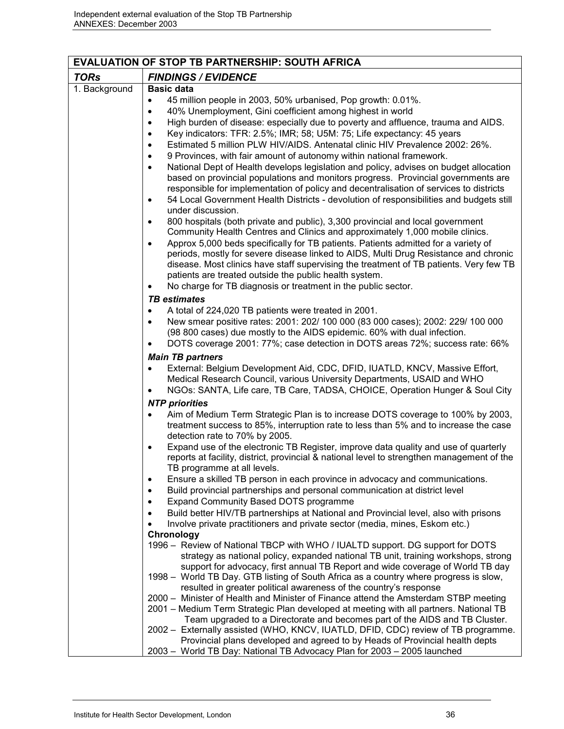| <b>EVALUATION OF STOP TB PARTNERSHIP: SOUTH AFRICA</b> |                                                                                                                                                                                                                                                                                   |  |
|--------------------------------------------------------|-----------------------------------------------------------------------------------------------------------------------------------------------------------------------------------------------------------------------------------------------------------------------------------|--|
| <b>TORs</b>                                            | <b>FINDINGS / EVIDENCE</b>                                                                                                                                                                                                                                                        |  |
| 1. Background                                          | <b>Basic data</b>                                                                                                                                                                                                                                                                 |  |
|                                                        | 45 million people in 2003, 50% urbanised, Pop growth: 0.01%.<br>$\bullet$                                                                                                                                                                                                         |  |
|                                                        | 40% Unemployment, Gini coefficient among highest in world<br>$\bullet$                                                                                                                                                                                                            |  |
|                                                        | High burden of disease: especially due to poverty and affluence, trauma and AIDS.<br>$\bullet$                                                                                                                                                                                    |  |
|                                                        | Key indicators: TFR: 2.5%; IMR; 58; U5M: 75; Life expectancy: 45 years<br>$\bullet$                                                                                                                                                                                               |  |
|                                                        | Estimated 5 million PLW HIV/AIDS. Antenatal clinic HIV Prevalence 2002: 26%.<br>$\bullet$                                                                                                                                                                                         |  |
|                                                        | 9 Provinces, with fair amount of autonomy within national framework.<br>$\bullet$                                                                                                                                                                                                 |  |
|                                                        | National Dept of Health develops legislation and policy, advises on budget allocation<br>$\bullet$<br>based on provincial populations and monitors progress. Provincial governments are<br>responsible for implementation of policy and decentralisation of services to districts |  |
|                                                        | 54 Local Government Health Districts - devolution of responsibilities and budgets still<br>$\bullet$<br>under discussion.                                                                                                                                                         |  |
|                                                        | 800 hospitals (both private and public), 3,300 provincial and local government<br>$\bullet$<br>Community Health Centres and Clinics and approximately 1,000 mobile clinics.                                                                                                       |  |
|                                                        | Approx 5,000 beds specifically for TB patients. Patients admitted for a variety of<br>$\bullet$                                                                                                                                                                                   |  |
|                                                        | periods, mostly for severe disease linked to AIDS, Multi Drug Resistance and chronic                                                                                                                                                                                              |  |
|                                                        | disease. Most clinics have staff supervising the treatment of TB patients. Very few TB                                                                                                                                                                                            |  |
|                                                        | patients are treated outside the public health system.                                                                                                                                                                                                                            |  |
|                                                        | No charge for TB diagnosis or treatment in the public sector.                                                                                                                                                                                                                     |  |
|                                                        | <b>TB</b> estimates                                                                                                                                                                                                                                                               |  |
|                                                        | A total of 224,020 TB patients were treated in 2001.<br>٠                                                                                                                                                                                                                         |  |
|                                                        | New smear positive rates: 2001: 202/ 100 000 (83 000 cases); 2002: 229/ 100 000<br>$\bullet$                                                                                                                                                                                      |  |
|                                                        | (98 800 cases) due mostly to the AIDS epidemic. 60% with dual infection.<br>DOTS coverage 2001: 77%; case detection in DOTS areas 72%; success rate: 66%                                                                                                                          |  |
|                                                        | ٠                                                                                                                                                                                                                                                                                 |  |
|                                                        | <b>Main TB partners</b><br>External: Belgium Development Aid, CDC, DFID, IUATLD, KNCV, Massive Effort,                                                                                                                                                                            |  |
|                                                        | Medical Research Council, various University Departments, USAID and WHO                                                                                                                                                                                                           |  |
|                                                        | NGOs: SANTA, Life care, TB Care, TADSA, CHOICE, Operation Hunger & Soul City                                                                                                                                                                                                      |  |
|                                                        | <b>NTP</b> priorities                                                                                                                                                                                                                                                             |  |
|                                                        | Aim of Medium Term Strategic Plan is to increase DOTS coverage to 100% by 2003,<br>$\bullet$                                                                                                                                                                                      |  |
|                                                        | treatment success to 85%, interruption rate to less than 5% and to increase the case<br>detection rate to 70% by 2005.                                                                                                                                                            |  |
|                                                        | Expand use of the electronic TB Register, improve data quality and use of quarterly                                                                                                                                                                                               |  |
|                                                        | reports at facility, district, provincial & national level to strengthen management of the                                                                                                                                                                                        |  |
|                                                        | TB programme at all levels.                                                                                                                                                                                                                                                       |  |
|                                                        | Ensure a skilled TB person in each province in advocacy and communications.<br>$\bullet$                                                                                                                                                                                          |  |
|                                                        | Build provincial partnerships and personal communication at district level<br>$\bullet$                                                                                                                                                                                           |  |
|                                                        | Expand Community Based DOTS programme<br>Build better HIV/TB partnerships at National and Provincial level, also with prisons                                                                                                                                                     |  |
|                                                        | Involve private practitioners and private sector (media, mines, Eskom etc.)                                                                                                                                                                                                       |  |
|                                                        | Chronology                                                                                                                                                                                                                                                                        |  |
|                                                        | 1996 – Review of National TBCP with WHO / IUALTD support. DG support for DOTS                                                                                                                                                                                                     |  |
|                                                        | strategy as national policy, expanded national TB unit, training workshops, strong                                                                                                                                                                                                |  |
|                                                        | support for advocacy, first annual TB Report and wide coverage of World TB day                                                                                                                                                                                                    |  |
|                                                        | 1998 – World TB Day. GTB listing of South Africa as a country where progress is slow,                                                                                                                                                                                             |  |
|                                                        | resulted in greater political awareness of the country's response<br>2000 - Minister of Health and Minister of Finance attend the Amsterdam STBP meeting                                                                                                                          |  |
|                                                        | 2001 – Medium Term Strategic Plan developed at meeting with all partners. National TB                                                                                                                                                                                             |  |
|                                                        | Team upgraded to a Directorate and becomes part of the AIDS and TB Cluster.                                                                                                                                                                                                       |  |
|                                                        | 2002 - Externally assisted (WHO, KNCV, IUATLD, DFID, CDC) review of TB programme.                                                                                                                                                                                                 |  |
|                                                        | Provincial plans developed and agreed to by Heads of Provincial health depts                                                                                                                                                                                                      |  |
|                                                        | 2003 - World TB Day: National TB Advocacy Plan for 2003 - 2005 launched                                                                                                                                                                                                           |  |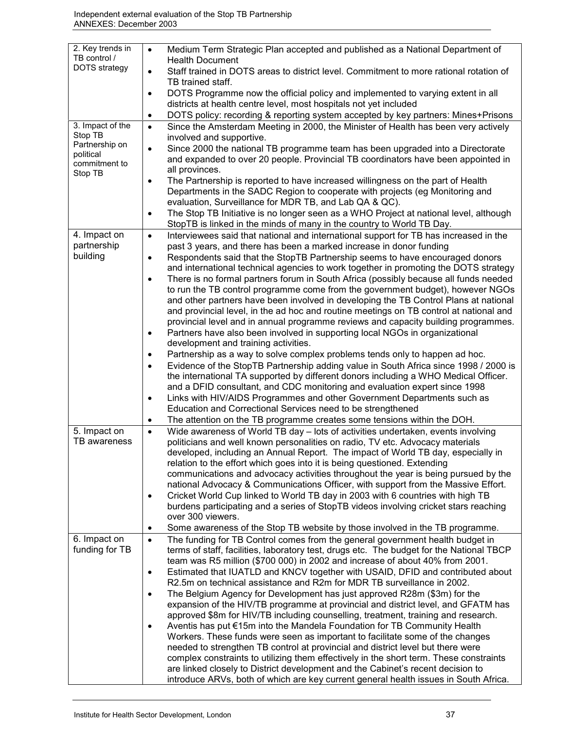| 2. Key trends in<br>TB control / | Medium Term Strategic Plan accepted and published as a National Department of<br>$\bullet$                                                                                                        |
|----------------------------------|---------------------------------------------------------------------------------------------------------------------------------------------------------------------------------------------------|
| DOTS strategy                    | <b>Health Document</b><br>Staff trained in DOTS areas to district level. Commitment to more rational rotation of<br>$\bullet$                                                                     |
|                                  | TB trained staff.<br>DOTS Programme now the official policy and implemented to varying extent in all<br>$\bullet$                                                                                 |
|                                  | districts at health centre level, most hospitals not yet included                                                                                                                                 |
| 3. Impact of the                 | DOTS policy: recording & reporting system accepted by key partners: Mines+Prisons<br>$\bullet$<br>Since the Amsterdam Meeting in 2000, the Minister of Health has been very actively<br>$\bullet$ |
| Stop TB                          | involved and supportive.                                                                                                                                                                          |
| Partnership on                   | Since 2000 the national TB programme team has been upgraded into a Directorate<br>$\bullet$                                                                                                       |
| political<br>commitment to       | and expanded to over 20 people. Provincial TB coordinators have been appointed in<br>all provinces.                                                                                               |
| Stop TB                          | The Partnership is reported to have increased willingness on the part of Health<br>$\bullet$                                                                                                      |
|                                  | Departments in the SADC Region to cooperate with projects (eg Monitoring and                                                                                                                      |
|                                  | evaluation, Surveillance for MDR TB, and Lab QA & QC).                                                                                                                                            |
|                                  | The Stop TB Initiative is no longer seen as a WHO Project at national level, although<br>$\bullet$<br>StopTB is linked in the minds of many in the country to World TB Day.                       |
| 4. Impact on<br>partnership      | Interviewees said that national and international support for TB has increased in the<br>$\bullet$<br>past 3 years, and there has been a marked increase in donor funding                         |
| building                         | Respondents said that the StopTB Partnership seems to have encouraged donors<br>$\bullet$                                                                                                         |
|                                  | and international technical agencies to work together in promoting the DOTS strategy                                                                                                              |
|                                  | There is no formal partners forum in South Africa (possibly because all funds needed<br>$\bullet$                                                                                                 |
|                                  | to run the TB control programme come from the government budget), however NGOs<br>and other partners have been involved in developing the TB Control Plans at national                            |
|                                  | and provincial level, in the ad hoc and routine meetings on TB control at national and                                                                                                            |
|                                  | provincial level and in annual programme reviews and capacity building programmes.                                                                                                                |
|                                  | Partners have also been involved in supporting local NGOs in organizational<br>$\bullet$                                                                                                          |
|                                  | development and training activities.                                                                                                                                                              |
|                                  | Partnership as a way to solve complex problems tends only to happen ad hoc.<br>$\bullet$<br>Evidence of the StopTB Partnership adding value in South Africa since 1998 / 2000 is<br>$\bullet$     |
|                                  | the international TA supported by different donors including a WHO Medical Officer.                                                                                                               |
|                                  | and a DFID consultant, and CDC monitoring and evaluation expert since 1998                                                                                                                        |
|                                  | Links with HIV/AIDS Programmes and other Government Departments such as<br>٠<br>Education and Correctional Services need to be strengthened                                                       |
|                                  | The attention on the TB programme creates some tensions within the DOH.<br>٠                                                                                                                      |
| 5. Impact on                     | Wide awareness of World TB day - lots of activities undertaken, events involving<br>$\bullet$                                                                                                     |
| TB awareness                     | politicians and well known personalities on radio, TV etc. Advocacy materials                                                                                                                     |
|                                  | developed, including an Annual Report. The impact of World TB day, especially in<br>relation to the effort which goes into it is being questioned. Extending                                      |
|                                  | communications and advocacy activities throughout the year is being pursued by the                                                                                                                |
|                                  | national Advocacy & Communications Officer, with support from the Massive Effort.                                                                                                                 |
|                                  | Cricket World Cup linked to World TB day in 2003 with 6 countries with high TB<br>$\bullet$                                                                                                       |
|                                  | burdens participating and a series of StopTB videos involving cricket stars reaching                                                                                                              |
|                                  | over 300 viewers.<br>Some awareness of the Stop TB website by those involved in the TB programme.<br>$\bullet$                                                                                    |
| 6. Impact on                     | The funding for TB Control comes from the general government health budget in<br>$\bullet$                                                                                                        |
| funding for TB                   | terms of staff, facilities, laboratory test, drugs etc. The budget for the National TBCP                                                                                                          |
|                                  | team was R5 million (\$700 000) in 2002 and increase of about 40% from 2001.                                                                                                                      |
|                                  | Estimated that IUATLD and KNCV together with USAID, DFID and contributed about<br>$\bullet$<br>R2.5m on technical assistance and R2m for MDR TB surveillance in 2002.                             |
|                                  | The Belgium Agency for Development has just approved R28m (\$3m) for the<br>$\bullet$                                                                                                             |
|                                  | expansion of the HIV/TB programme at provincial and district level, and GFATM has                                                                                                                 |
|                                  | approved \$8m for HIV/TB including counselling, treatment, training and research.                                                                                                                 |
|                                  | Aventis has put €15m into the Mandela Foundation for TB Community Health<br>$\bullet$                                                                                                             |
|                                  | Workers. These funds were seen as important to facilitate some of the changes<br>needed to strengthen TB control at provincial and district level but there were                                  |
|                                  | complex constraints to utilizing them effectively in the short term. These constraints                                                                                                            |
|                                  | are linked closely to District development and the Cabinet's recent decision to                                                                                                                   |
|                                  | introduce ARVs, both of which are key current general health issues in South Africa.                                                                                                              |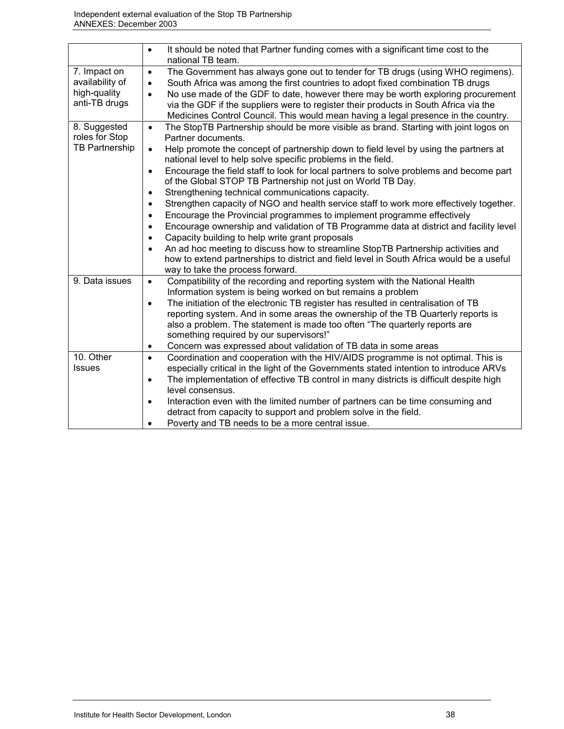|                       | It should be noted that Partner funding comes with a significant time cost to the<br>$\bullet$      |
|-----------------------|-----------------------------------------------------------------------------------------------------|
|                       | national TB team.                                                                                   |
| 7. Impact on          | The Government has always gone out to tender for TB drugs (using WHO regimens).<br>$\bullet$        |
| availability of       | South Africa was among the first countries to adopt fixed combination TB drugs<br>$\bullet$         |
| high-quality          | No use made of the GDF to date, however there may be worth exploring procurement<br>$\bullet$       |
| anti-TB drugs         | via the GDF if the suppliers were to register their products in South Africa via the                |
|                       | Medicines Control Council. This would mean having a legal presence in the country.                  |
| 8. Suggested          | The StopTB Partnership should be more visible as brand. Starting with joint logos on<br>$\bullet$   |
| roles for Stop        | Partner documents.                                                                                  |
| <b>TB Partnership</b> | Help promote the concept of partnership down to field level by using the partners at<br>$\bullet$   |
|                       | national level to help solve specific problems in the field.                                        |
|                       | Encourage the field staff to look for local partners to solve problems and become part<br>$\bullet$ |
|                       | of the Global STOP TB Partnership not just on World TB Day.                                         |
|                       | Strengthening technical communications capacity.<br>٠                                               |
|                       | Strengthen capacity of NGO and health service staff to work more effectively together.<br>$\bullet$ |
|                       | Encourage the Provincial programmes to implement programme effectively<br>$\bullet$                 |
|                       | Encourage ownership and validation of TB Programme data at district and facility level<br>$\bullet$ |
|                       | Capacity building to help write grant proposals<br>$\bullet$                                        |
|                       | An ad hoc meeting to discuss how to streamline StopTB Partnership activities and<br>$\bullet$       |
|                       | how to extend partnerships to district and field level in South Africa would be a useful            |
|                       | way to take the process forward.                                                                    |
| 9. Data issues        | Compatibility of the recording and reporting system with the National Health<br>$\bullet$           |
|                       | Information system is being worked on but remains a problem                                         |
|                       | The initiation of the electronic TB register has resulted in centralisation of TB<br>$\bullet$      |
|                       | reporting system. And in some areas the ownership of the TB Quarterly reports is                    |
|                       | also a problem. The statement is made too often "The quarterly reports are                          |
|                       | something required by our supervisors!"                                                             |
|                       | Concern was expressed about validation of TB data in some areas<br>$\bullet$                        |
| 10. Other             | Coordination and cooperation with the HIV/AIDS programme is not optimal. This is<br>$\bullet$       |
| <b>Issues</b>         | especially critical in the light of the Governments stated intention to introduce ARVs              |
|                       | The implementation of effective TB control in many districts is difficult despite high<br>$\bullet$ |
|                       | level consensus.                                                                                    |
|                       | Interaction even with the limited number of partners can be time consuming and<br>$\bullet$         |
|                       | detract from capacity to support and problem solve in the field.                                    |
|                       | Poverty and TB needs to be a more central issue.                                                    |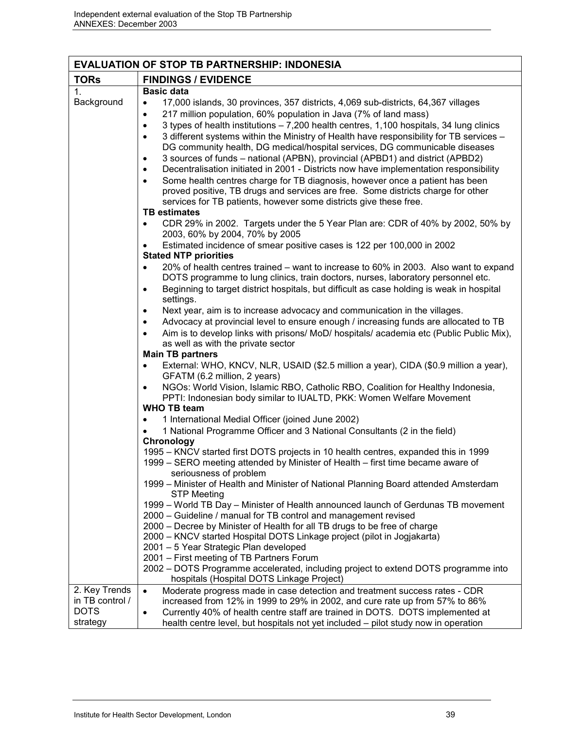| <b>EVALUATION OF STOP TB PARTNERSHIP: INDONESIA</b> |                                                                                                                                                                        |  |
|-----------------------------------------------------|------------------------------------------------------------------------------------------------------------------------------------------------------------------------|--|
| <b>TORs</b>                                         | <b>FINDINGS / EVIDENCE</b>                                                                                                                                             |  |
| 1 <sub>1</sub>                                      | <b>Basic data</b>                                                                                                                                                      |  |
| Background                                          | 17,000 islands, 30 provinces, 357 districts, 4,069 sub-districts, 64,367 villages<br>$\bullet$                                                                         |  |
|                                                     | 217 million population, 60% population in Java (7% of land mass)<br>$\bullet$                                                                                          |  |
|                                                     | 3 types of health institutions – 7,200 health centres, 1,100 hospitals, 34 lung clinics<br>$\bullet$                                                                   |  |
|                                                     | 3 different systems within the Ministry of Health have responsibility for TB services -<br>$\bullet$                                                                   |  |
|                                                     | DG community health, DG medical/hospital services, DG communicable diseases                                                                                            |  |
|                                                     | 3 sources of funds - national (APBN), provincial (APBD1) and district (APBD2)                                                                                          |  |
|                                                     | Decentralisation initiated in 2001 - Districts now have implementation responsibility                                                                                  |  |
|                                                     | Some health centres charge for TB diagnosis, however once a patient has been                                                                                           |  |
|                                                     | proved positive, TB drugs and services are free. Some districts charge for other                                                                                       |  |
|                                                     | services for TB patients, however some districts give these free.<br><b>TB estimates</b>                                                                               |  |
|                                                     | CDR 29% in 2002. Targets under the 5 Year Plan are: CDR of 40% by 2002, 50% by                                                                                         |  |
|                                                     | 2003, 60% by 2004, 70% by 2005                                                                                                                                         |  |
|                                                     | Estimated incidence of smear positive cases is 122 per 100,000 in 2002                                                                                                 |  |
|                                                     | <b>Stated NTP priorities</b>                                                                                                                                           |  |
|                                                     | 20% of health centres trained – want to increase to 60% in 2003. Also want to expand<br>$\bullet$                                                                      |  |
|                                                     | DOTS programme to lung clinics, train doctors, nurses, laboratory personnel etc.                                                                                       |  |
|                                                     | Beginning to target district hospitals, but difficult as case holding is weak in hospital<br>$\bullet$                                                                 |  |
|                                                     | settings.                                                                                                                                                              |  |
|                                                     | Next year, aim is to increase advocacy and communication in the villages.                                                                                              |  |
|                                                     | Advocacy at provincial level to ensure enough / increasing funds are allocated to TB<br>$\bullet$                                                                      |  |
|                                                     | Aim is to develop links with prisons/ MoD/ hospitals/ academia etc (Public Public Mix),<br>$\bullet$                                                                   |  |
|                                                     | as well as with the private sector<br><b>Main TB partners</b>                                                                                                          |  |
|                                                     | External: WHO, KNCV, NLR, USAID (\$2.5 million a year), CIDA (\$0.9 million a year),<br>$\bullet$                                                                      |  |
|                                                     | GFATM (6.2 million, 2 years)                                                                                                                                           |  |
|                                                     | NGOs: World Vision, Islamic RBO, Catholic RBO, Coalition for Healthy Indonesia,<br>$\bullet$                                                                           |  |
|                                                     | PPTI: Indonesian body similar to IUALTD, PKK: Women Welfare Movement                                                                                                   |  |
|                                                     | <b>WHO TB team</b>                                                                                                                                                     |  |
|                                                     | 1 International Medial Officer (joined June 2002)                                                                                                                      |  |
|                                                     | 1 National Programme Officer and 3 National Consultants (2 in the field)                                                                                               |  |
|                                                     | Chronology                                                                                                                                                             |  |
|                                                     | 1995 – KNCV started first DOTS projects in 10 health centres, expanded this in 1999<br>1999 - SERO meeting attended by Minister of Health - first time became aware of |  |
|                                                     | seriousness of problem                                                                                                                                                 |  |
|                                                     | 1999 – Minister of Health and Minister of National Planning Board attended Amsterdam                                                                                   |  |
|                                                     | <b>STP Meeting</b>                                                                                                                                                     |  |
|                                                     | 1999 – World TB Day – Minister of Health announced launch of Gerdunas TB movement                                                                                      |  |
|                                                     | 2000 - Guideline / manual for TB control and management revised                                                                                                        |  |
|                                                     | 2000 – Decree by Minister of Health for all TB drugs to be free of charge                                                                                              |  |
|                                                     | 2000 - KNCV started Hospital DOTS Linkage project (pilot in Jogjakarta)                                                                                                |  |
|                                                     | 2001 - 5 Year Strategic Plan developed                                                                                                                                 |  |
|                                                     | 2001 - First meeting of TB Partners Forum                                                                                                                              |  |
|                                                     | 2002 – DOTS Programme accelerated, including project to extend DOTS programme into<br>hospitals (Hospital DOTS Linkage Project)                                        |  |
| 2. Key Trends                                       | Moderate progress made in case detection and treatment success rates - CDR<br>$\bullet$                                                                                |  |
| in TB control /                                     | increased from 12% in 1999 to 29% in 2002, and cure rate up from 57% to 86%                                                                                            |  |
| <b>DOTS</b>                                         | Currently 40% of health centre staff are trained in DOTS. DOTS implemented at                                                                                          |  |
| strategy                                            | health centre level, but hospitals not yet included - pilot study now in operation                                                                                     |  |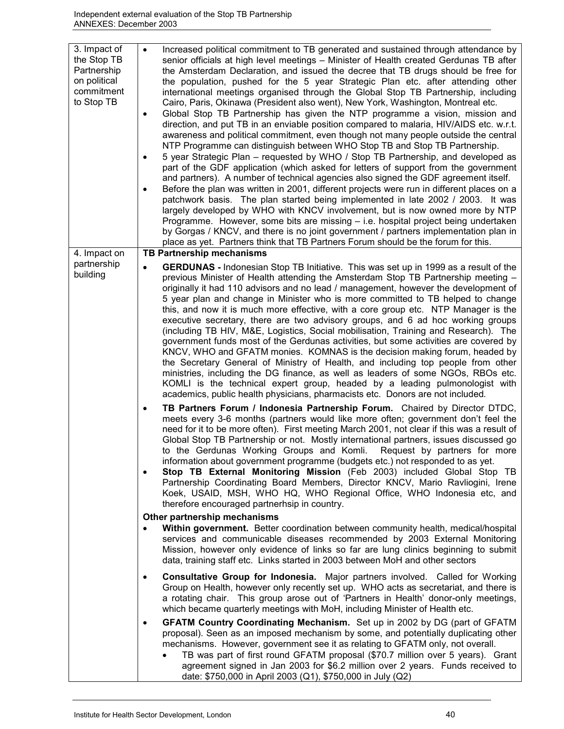| 3. Impact of<br>the Stop TB<br>Partnership<br>on political<br>commitment<br>to Stop TB | Increased political commitment to TB generated and sustained through attendance by<br>senior officials at high level meetings - Minister of Health created Gerdunas TB after<br>the Amsterdam Declaration, and issued the decree that TB drugs should be free for<br>the population, pushed for the 5 year Strategic Plan etc. after attending other<br>international meetings organised through the Global Stop TB Partnership, including<br>Cairo, Paris, Okinawa (President also went), New York, Washington, Montreal etc.<br>Global Stop TB Partnership has given the NTP programme a vision, mission and<br>direction, and put TB in an enviable position compared to malaria, HIV/AIDS etc. w.r.t.<br>awareness and political commitment, even though not many people outside the central<br>NTP Programme can distinguish between WHO Stop TB and Stop TB Partnership.<br>5 year Strategic Plan – requested by WHO / Stop TB Partnership, and developed as<br>$\bullet$<br>part of the GDF application (which asked for letters of support from the government<br>and partners). A number of technical agencies also signed the GDF agreement itself.<br>Before the plan was written in 2001, different projects were run in different places on a<br>$\bullet$<br>patchwork basis. The plan started being implemented in late 2002 / 2003. It was<br>largely developed by WHO with KNCV involvement, but is now owned more by NTP<br>Programme. However, some bits are missing - i.e. hospital project being undertaken<br>by Gorgas / KNCV, and there is no joint government / partners implementation plan in<br>place as yet. Partners think that TB Partners Forum should be the forum for this.                                                                                                                                                 |
|----------------------------------------------------------------------------------------|---------------------------------------------------------------------------------------------------------------------------------------------------------------------------------------------------------------------------------------------------------------------------------------------------------------------------------------------------------------------------------------------------------------------------------------------------------------------------------------------------------------------------------------------------------------------------------------------------------------------------------------------------------------------------------------------------------------------------------------------------------------------------------------------------------------------------------------------------------------------------------------------------------------------------------------------------------------------------------------------------------------------------------------------------------------------------------------------------------------------------------------------------------------------------------------------------------------------------------------------------------------------------------------------------------------------------------------------------------------------------------------------------------------------------------------------------------------------------------------------------------------------------------------------------------------------------------------------------------------------------------------------------------------------------------------------------------------------------------------------------------------------------------------------------------------------------------------------------------------|
| 4. Impact on                                                                           | <b>TB Partnership mechanisms</b>                                                                                                                                                                                                                                                                                                                                                                                                                                                                                                                                                                                                                                                                                                                                                                                                                                                                                                                                                                                                                                                                                                                                                                                                                                                                                                                                                                                                                                                                                                                                                                                                                                                                                                                                                                                                                              |
| partnership<br>building                                                                | <b>GERDUNAS</b> - Indonesian Stop TB Initiative. This was set up in 1999 as a result of the<br>$\bullet$<br>previous Minister of Health attending the Amsterdam Stop TB Partnership meeting -<br>originally it had 110 advisors and no lead / management, however the development of<br>5 year plan and change in Minister who is more committed to TB helped to change<br>this, and now it is much more effective, with a core group etc. NTP Manager is the<br>executive secretary, there are two advisory groups, and 6 ad hoc working groups<br>(including TB HIV, M&E, Logistics, Social mobilisation, Training and Research). The<br>government funds most of the Gerdunas activities, but some activities are covered by<br>KNCV, WHO and GFATM monies. KOMNAS is the decision making forum, headed by<br>the Secretary General of Ministry of Health, and including top people from other<br>ministries, including the DG finance, as well as leaders of some NGOs, RBOs etc.<br>KOMLI is the technical expert group, headed by a leading pulmonologist with<br>academics, public health physicians, pharmacists etc. Donors are not included.<br>TB Partners Forum / Indonesia Partnership Forum. Chaired by Director DTDC,<br>٠<br>meets every 3-6 months (partners would like more often; government don't feel the<br>need for it to be more often). First meeting March 2001, not clear if this was a result of<br>Global Stop TB Partnership or not. Mostly international partners, issues discussed go<br>to the Gerdunas Working Groups and Komli.<br>Request by partners for more<br>information about government programme (budgets etc.) not responded to as yet.<br>Stop TB External Monitoring Mission (Feb 2003) included Global Stop TB<br>$\bullet$<br>Partnership Coordinating Board Members, Director KNCV, Mario Ravliogini, Irene |
|                                                                                        | Koek, USAID, MSH, WHO HQ, WHO Regional Office, WHO Indonesia etc, and                                                                                                                                                                                                                                                                                                                                                                                                                                                                                                                                                                                                                                                                                                                                                                                                                                                                                                                                                                                                                                                                                                                                                                                                                                                                                                                                                                                                                                                                                                                                                                                                                                                                                                                                                                                         |
|                                                                                        | therefore encouraged partnerhsip in country.                                                                                                                                                                                                                                                                                                                                                                                                                                                                                                                                                                                                                                                                                                                                                                                                                                                                                                                                                                                                                                                                                                                                                                                                                                                                                                                                                                                                                                                                                                                                                                                                                                                                                                                                                                                                                  |
|                                                                                        | Other partnership mechanisms<br>Within government. Better coordination between community health, medical/hospital<br>services and communicable diseases recommended by 2003 External Monitoring<br>Mission, however only evidence of links so far are lung clinics beginning to submit<br>data, training staff etc. Links started in 2003 between MoH and other sectors                                                                                                                                                                                                                                                                                                                                                                                                                                                                                                                                                                                                                                                                                                                                                                                                                                                                                                                                                                                                                                                                                                                                                                                                                                                                                                                                                                                                                                                                                       |
|                                                                                        | Consultative Group for Indonesia. Major partners involved. Called for Working<br>$\bullet$<br>Group on Health, however only recently set up. WHO acts as secretariat, and there is<br>a rotating chair. This group arose out of 'Partners in Health' donor-only meetings,<br>which became quarterly meetings with MoH, including Minister of Health etc.                                                                                                                                                                                                                                                                                                                                                                                                                                                                                                                                                                                                                                                                                                                                                                                                                                                                                                                                                                                                                                                                                                                                                                                                                                                                                                                                                                                                                                                                                                      |
|                                                                                        | GFATM Country Coordinating Mechanism. Set up in 2002 by DG (part of GFATM<br>$\bullet$<br>proposal). Seen as an imposed mechanism by some, and potentially duplicating other<br>mechanisms. However, government see it as relating to GFATM only, not overall.<br>TB was part of first round GFATM proposal (\$70.7 million over 5 years). Grant<br>agreement signed in Jan 2003 for \$6.2 million over 2 years. Funds received to<br>date: \$750,000 in April 2003 (Q1), \$750,000 in July (Q2)                                                                                                                                                                                                                                                                                                                                                                                                                                                                                                                                                                                                                                                                                                                                                                                                                                                                                                                                                                                                                                                                                                                                                                                                                                                                                                                                                              |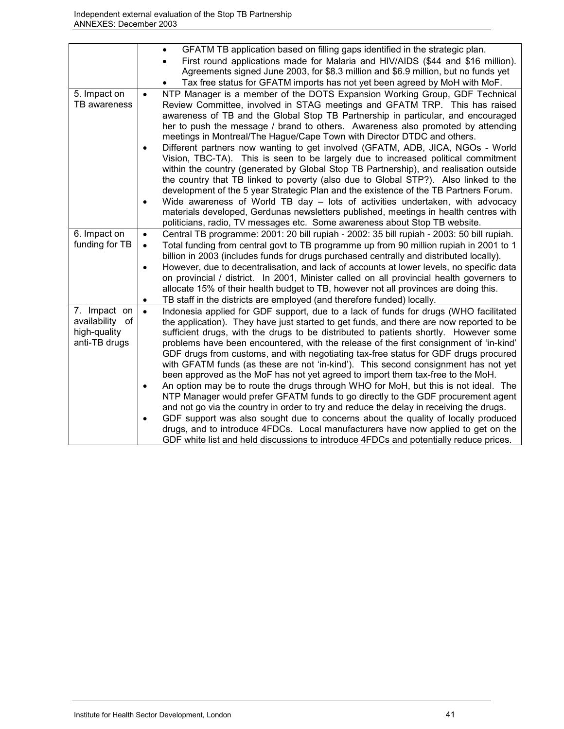|                 | GFATM TB application based on filling gaps identified in the strategic plan.<br>$\bullet$              |
|-----------------|--------------------------------------------------------------------------------------------------------|
|                 | First round applications made for Malaria and HIV/AIDS (\$44 and \$16 million).                        |
|                 | Agreements signed June 2003, for \$8.3 million and \$6.9 million, but no funds yet                     |
|                 | Tax free status for GFATM imports has not yet been agreed by MoH with MoF.                             |
| 5. Impact on    | NTP Manager is a member of the DOTS Expansion Working Group, GDF Technical<br>$\bullet$                |
| TB awareness    | Review Committee, involved in STAG meetings and GFATM TRP. This has raised                             |
|                 | awareness of TB and the Global Stop TB Partnership in particular, and encouraged                       |
|                 | her to push the message / brand to others. Awareness also promoted by attending                        |
|                 | meetings in Montreal/The Hague/Cape Town with Director DTDC and others.                                |
|                 | Different partners now wanting to get involved (GFATM, ADB, JICA, NGOs - World<br>$\bullet$            |
|                 | Vision, TBC-TA). This is seen to be largely due to increased political commitment                      |
|                 | within the country (generated by Global Stop TB Partnership), and realisation outside                  |
|                 | the country that TB linked to poverty (also due to Global STP?). Also linked to the                    |
|                 | development of the 5 year Strategic Plan and the existence of the TB Partners Forum.                   |
|                 | Wide awareness of World TB day - lots of activities undertaken, with advocacy<br>$\bullet$             |
|                 | materials developed, Gerdunas newsletters published, meetings in health centres with                   |
|                 | politicians, radio, TV messages etc. Some awareness about Stop TB website.                             |
| 6. Impact on    | Central TB programme: 2001: 20 bill rupiah - 2002: 35 bill rupiah - 2003: 50 bill rupiah.<br>$\bullet$ |
| funding for TB  | Total funding from central govt to TB programme up from 90 million rupiah in 2001 to 1<br>$\bullet$    |
|                 | billion in 2003 (includes funds for drugs purchased centrally and distributed locally).                |
|                 | However, due to decentralisation, and lack of accounts at lower levels, no specific data<br>$\bullet$  |
|                 | on provincial / district. In 2001, Minister called on all provincial health governers to               |
|                 | allocate 15% of their health budget to TB, however not all provinces are doing this.                   |
|                 | TB staff in the districts are employed (and therefore funded) locally.                                 |
| 7. Impact on    | Indonesia applied for GDF support, due to a lack of funds for drugs (WHO facilitated<br>$\bullet$      |
| availability of | the application). They have just started to get funds, and there are now reported to be                |
| high-quality    | sufficient drugs, with the drugs to be distributed to patients shortly. However some                   |
| anti-TB drugs   | problems have been encountered, with the release of the first consignment of 'in-kind'                 |
|                 | GDF drugs from customs, and with negotiating tax-free status for GDF drugs procured                    |
|                 | with GFATM funds (as these are not 'in-kind'). This second consignment has not yet                     |
|                 | been approved as the MoF has not yet agreed to import them tax-free to the MoH.                        |
|                 | An option may be to route the drugs through WHO for MoH, but this is not ideal. The<br>$\bullet$       |
|                 | NTP Manager would prefer GFATM funds to go directly to the GDF procurement agent                       |
|                 | and not go via the country in order to try and reduce the delay in receiving the drugs.                |
|                 | GDF support was also sought due to concerns about the quality of locally produced<br>$\bullet$         |
|                 | drugs, and to introduce 4FDCs. Local manufacturers have now applied to get on the                      |
|                 | GDF white list and held discussions to introduce 4FDCs and potentially reduce prices.                  |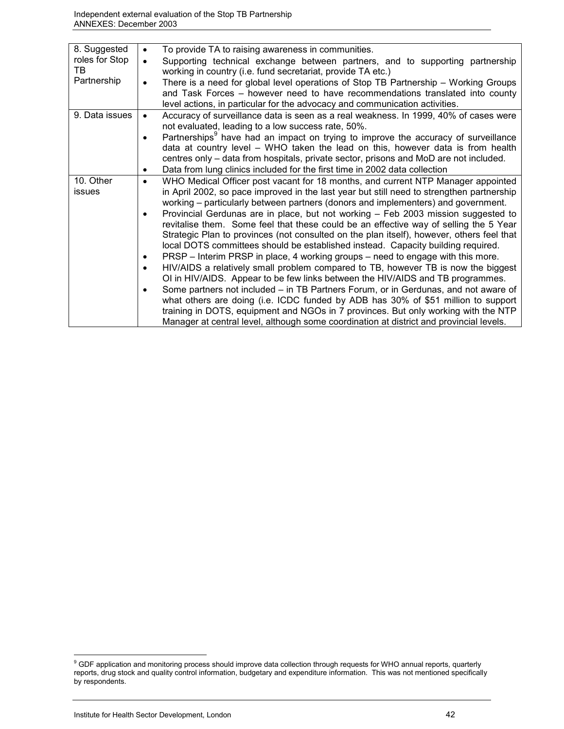| 8. Suggested<br>roles for Stop<br>TB<br>Partnership | To provide TA to raising awareness in communities.<br>$\bullet$<br>Supporting technical exchange between partners, and to supporting partnership<br>$\bullet$<br>working in country (i.e. fund secretariat, provide TA etc.)<br>There is a need for global level operations of Stop TB Partnership - Working Groups<br>and Task Forces – however need to have recommendations translated into county<br>level actions, in particular for the advocacy and communication activities.                                                                                                                                                                                                                                                                                                                                                                                                                                                                                                                                                                                                                                                                                                                                                                                                                               |
|-----------------------------------------------------|-------------------------------------------------------------------------------------------------------------------------------------------------------------------------------------------------------------------------------------------------------------------------------------------------------------------------------------------------------------------------------------------------------------------------------------------------------------------------------------------------------------------------------------------------------------------------------------------------------------------------------------------------------------------------------------------------------------------------------------------------------------------------------------------------------------------------------------------------------------------------------------------------------------------------------------------------------------------------------------------------------------------------------------------------------------------------------------------------------------------------------------------------------------------------------------------------------------------------------------------------------------------------------------------------------------------|
| 9. Data issues                                      | Accuracy of surveillance data is seen as a real weakness. In 1999, 40% of cases were<br>not evaluated, leading to a low success rate, 50%.<br>Partnerships <sup>9</sup> have had an impact on trying to improve the accuracy of surveillance<br>data at country level – WHO taken the lead on this, however data is from health<br>centres only - data from hospitals, private sector, prisons and MoD are not included.<br>Data from lung clinics included for the first time in 2002 data collection<br>٠                                                                                                                                                                                                                                                                                                                                                                                                                                                                                                                                                                                                                                                                                                                                                                                                       |
| 10. Other<br>issues                                 | WHO Medical Officer post vacant for 18 months, and current NTP Manager appointed<br>$\bullet$<br>in April 2002, so pace improved in the last year but still need to strengthen partnership<br>working – particularly between partners (donors and implementers) and government.<br>Provincial Gerdunas are in place, but not working - Feb 2003 mission suggested to<br>$\bullet$<br>revitalise them. Some feel that these could be an effective way of selling the 5 Year<br>Strategic Plan to provinces (not consulted on the plan itself), however, others feel that<br>local DOTS committees should be established instead. Capacity building required.<br>PRSP - Interim PRSP in place, 4 working groups - need to engage with this more.<br>٠<br>HIV/AIDS a relatively small problem compared to TB, however TB is now the biggest<br>$\bullet$<br>OI in HIV/AIDS. Appear to be few links between the HIV/AIDS and TB programmes.<br>Some partners not included – in TB Partners Forum, or in Gerdunas, and not aware of<br>$\bullet$<br>what others are doing (i.e. ICDC funded by ADB has 30% of \$51 million to support<br>training in DOTS, equipment and NGOs in 7 provinces. But only working with the NTP<br>Manager at central level, although some coordination at district and provincial levels. |

enties.<br>In GDF application and monitoring process should improve data collection through requests for WHO annual reports, quarterly<br>In Section 2016, which is a series of WHO annual reports, quarterly sensing the series of reports, drug stock and quality control information, budgetary and expenditure information. This was not mentioned specifically by respondents.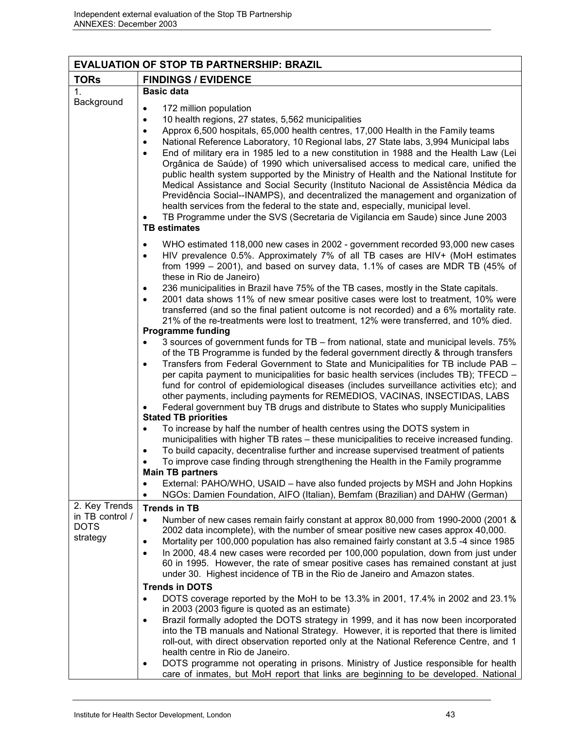|                                                             | <b>EVALUATION OF STOP TB PARTNERSHIP: BRAZIL</b>                                                                                                                                                                                                                                                                                                                                                                                                                                                                                                                                                                                                                                      |
|-------------------------------------------------------------|---------------------------------------------------------------------------------------------------------------------------------------------------------------------------------------------------------------------------------------------------------------------------------------------------------------------------------------------------------------------------------------------------------------------------------------------------------------------------------------------------------------------------------------------------------------------------------------------------------------------------------------------------------------------------------------|
| <b>TORs</b>                                                 | <b>FINDINGS / EVIDENCE</b>                                                                                                                                                                                                                                                                                                                                                                                                                                                                                                                                                                                                                                                            |
| 1 <sub>1</sub>                                              | <b>Basic data</b>                                                                                                                                                                                                                                                                                                                                                                                                                                                                                                                                                                                                                                                                     |
| Background                                                  | 172 million population<br>$\bullet$<br>10 health regions, 27 states, 5,562 municipalities<br>$\bullet$<br>Approx 6,500 hospitals, 65,000 health centres, 17,000 Health in the Family teams<br>$\bullet$<br>National Reference Laboratory, 10 Regional labs, 27 State labs, 3,994 Municipal labs                                                                                                                                                                                                                                                                                                                                                                                       |
|                                                             | $\bullet$<br>End of military era in 1985 led to a new constitution in 1988 and the Health Law (Lei<br>$\bullet$<br>Orgânica de Saúde) of 1990 which universalised access to medical care, unified the<br>public health system supported by the Ministry of Health and the National Institute for<br>Medical Assistance and Social Security (Instituto Nacional de Assistência Médica da<br>Previdência Social--INAMPS), and decentralized the management and organization of<br>health services from the federal to the state and, especially, municipal level.<br>TB Programme under the SVS (Secretaria de Vigilancia em Saude) since June 2003<br>$\bullet$<br><b>TB</b> estimates |
|                                                             | WHO estimated 118,000 new cases in 2002 - government recorded 93,000 new cases<br>$\bullet$<br>HIV prevalence 0.5%. Approximately 7% of all TB cases are HIV+ (MoH estimates<br>$\bullet$<br>from 1999 $-$ 2001), and based on survey data, 1.1% of cases are MDR TB (45% of<br>these in Rio de Janeiro)                                                                                                                                                                                                                                                                                                                                                                              |
|                                                             | 236 municipalities in Brazil have 75% of the TB cases, mostly in the State capitals.<br>٠<br>2001 data shows 11% of new smear positive cases were lost to treatment, 10% were<br>$\bullet$<br>transferred (and so the final patient outcome is not recorded) and a 6% mortality rate.<br>21% of the re-treatments were lost to treatment, 12% were transferred, and 10% died.                                                                                                                                                                                                                                                                                                         |
|                                                             | <b>Programme funding</b>                                                                                                                                                                                                                                                                                                                                                                                                                                                                                                                                                                                                                                                              |
|                                                             | 3 sources of government funds for TB - from national, state and municipal levels. 75%<br>$\bullet$<br>of the TB Programme is funded by the federal government directly & through transfers<br>Transfers from Federal Government to State and Municipalities for TB include PAB -<br>$\bullet$<br>per capita payment to municipalities for basic health services (includes TB); TFECD -<br>fund for control of epidemiological diseases (includes surveillance activities etc); and<br>other payments, including payments for REMEDIOS, VACINAS, INSECTIDAS, LABS<br>Federal government buy TB drugs and distribute to States who supply Municipalities                                |
|                                                             | <b>Stated TB priorities</b><br>To increase by half the number of health centres using the DOTS system in<br>$\bullet$<br>municipalities with higher TB rates - these municipalities to receive increased funding.<br>To build capacity, decentralise further and increase supervised treatment of patients<br>$\bullet$<br>To improve case finding through strengthening the Health in the Family programme<br>$\bullet$<br><b>Main TB partners</b>                                                                                                                                                                                                                                   |
|                                                             | External: PAHO/WHO, USAID - have also funded projects by MSH and John Hopkins<br>NGOs: Damien Foundation, AIFO (Italian), Bemfam (Brazilian) and DAHW (German)<br>$\bullet$                                                                                                                                                                                                                                                                                                                                                                                                                                                                                                           |
| 2. Key Trends<br>in TB control /<br><b>DOTS</b><br>strategy | <b>Trends in TB</b><br>Number of new cases remain fairly constant at approx 80,000 from 1990-2000 (2001 &<br>$\bullet$<br>2002 data incomplete), with the number of smear positive new cases approx 40,000.<br>Mortality per 100,000 population has also remained fairly constant at 3.5 -4 since 1985<br>٠<br>In 2000, 48.4 new cases were recorded per 100,000 population, down from just under<br>$\bullet$<br>60 in 1995. However, the rate of smear positive cases has remained constant at just<br>under 30. Highest incidence of TB in the Rio de Janeiro and Amazon states.                                                                                                   |
|                                                             | <b>Trends in DOTS</b><br>DOTS coverage reported by the MoH to be 13.3% in 2001, 17.4% in 2002 and 23.1%<br>$\bullet$<br>in 2003 (2003 figure is quoted as an estimate)<br>Brazil formally adopted the DOTS strategy in 1999, and it has now been incorporated<br>٠<br>into the TB manuals and National Strategy. However, it is reported that there is limited<br>roll-out, with direct observation reported only at the National Reference Centre, and 1<br>health centre in Rio de Janeiro.<br>DOTS programme not operating in prisons. Ministry of Justice responsible for health<br>٠<br>care of inmates, but MoH report that links are beginning to be developed. National       |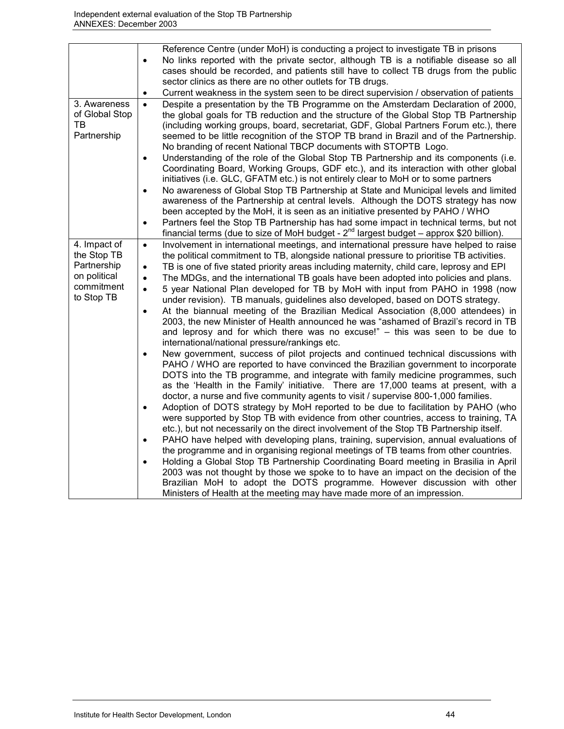|                                                                                        | Reference Centre (under MoH) is conducting a project to investigate TB in prisons                                                                                                                                                                                                                                                                                                                                                                                                                                                                                                                                                                                                                                                                                                                                                                                                                                                                                                                                                                                                                                                                                                                                                                                                                                                                                                                                                                                                                                                                                                                                                                                                                                                                                                                                                                                                                                                                                                                                                                                                                                                                                                                                  |
|----------------------------------------------------------------------------------------|--------------------------------------------------------------------------------------------------------------------------------------------------------------------------------------------------------------------------------------------------------------------------------------------------------------------------------------------------------------------------------------------------------------------------------------------------------------------------------------------------------------------------------------------------------------------------------------------------------------------------------------------------------------------------------------------------------------------------------------------------------------------------------------------------------------------------------------------------------------------------------------------------------------------------------------------------------------------------------------------------------------------------------------------------------------------------------------------------------------------------------------------------------------------------------------------------------------------------------------------------------------------------------------------------------------------------------------------------------------------------------------------------------------------------------------------------------------------------------------------------------------------------------------------------------------------------------------------------------------------------------------------------------------------------------------------------------------------------------------------------------------------------------------------------------------------------------------------------------------------------------------------------------------------------------------------------------------------------------------------------------------------------------------------------------------------------------------------------------------------------------------------------------------------------------------------------------------------|
|                                                                                        | No links reported with the private sector, although TB is a notifiable disease so all                                                                                                                                                                                                                                                                                                                                                                                                                                                                                                                                                                                                                                                                                                                                                                                                                                                                                                                                                                                                                                                                                                                                                                                                                                                                                                                                                                                                                                                                                                                                                                                                                                                                                                                                                                                                                                                                                                                                                                                                                                                                                                                              |
|                                                                                        | cases should be recorded, and patients still have to collect TB drugs from the public                                                                                                                                                                                                                                                                                                                                                                                                                                                                                                                                                                                                                                                                                                                                                                                                                                                                                                                                                                                                                                                                                                                                                                                                                                                                                                                                                                                                                                                                                                                                                                                                                                                                                                                                                                                                                                                                                                                                                                                                                                                                                                                              |
|                                                                                        | sector clinics as there are no other outlets for TB drugs.                                                                                                                                                                                                                                                                                                                                                                                                                                                                                                                                                                                                                                                                                                                                                                                                                                                                                                                                                                                                                                                                                                                                                                                                                                                                                                                                                                                                                                                                                                                                                                                                                                                                                                                                                                                                                                                                                                                                                                                                                                                                                                                                                         |
|                                                                                        | Current weakness in the system seen to be direct supervision / observation of patients<br>$\bullet$                                                                                                                                                                                                                                                                                                                                                                                                                                                                                                                                                                                                                                                                                                                                                                                                                                                                                                                                                                                                                                                                                                                                                                                                                                                                                                                                                                                                                                                                                                                                                                                                                                                                                                                                                                                                                                                                                                                                                                                                                                                                                                                |
| 3. Awareness<br>of Global Stop<br>ТB<br>Partnership                                    | Despite a presentation by the TB Programme on the Amsterdam Declaration of 2000,<br>$\bullet$<br>the global goals for TB reduction and the structure of the Global Stop TB Partnership<br>(including working groups, board, secretariat, GDF, Global Partners Forum etc.), there<br>seemed to be little recognition of the STOP TB brand in Brazil and of the Partnership.<br>No branding of recent National TBCP documents with STOPTB Logo.<br>Understanding of the role of the Global Stop TB Partnership and its components (i.e.<br>$\bullet$<br>Coordinating Board, Working Groups, GDF etc.), and its interaction with other global<br>initiatives (i.e. GLC, GFATM etc.) is not entirely clear to MoH or to some partners<br>No awareness of Global Stop TB Partnership at State and Municipal levels and limited<br>awareness of the Partnership at central levels. Although the DOTS strategy has now<br>been accepted by the MoH, it is seen as an initiative presented by PAHO / WHO<br>Partners feel the Stop TB Partnership has had some impact in technical terms, but not<br>٠                                                                                                                                                                                                                                                                                                                                                                                                                                                                                                                                                                                                                                                                                                                                                                                                                                                                                                                                                                                                                                                                                                                     |
|                                                                                        | financial terms (due to size of MoH budget - $2^{nd}$ largest budget – approx \$20 billion).                                                                                                                                                                                                                                                                                                                                                                                                                                                                                                                                                                                                                                                                                                                                                                                                                                                                                                                                                                                                                                                                                                                                                                                                                                                                                                                                                                                                                                                                                                                                                                                                                                                                                                                                                                                                                                                                                                                                                                                                                                                                                                                       |
| 4. Impact of<br>the Stop TB<br>Partnership<br>on political<br>commitment<br>to Stop TB | Involvement in international meetings, and international pressure have helped to raise<br>$\bullet$<br>the political commitment to TB, alongside national pressure to prioritise TB activities.<br>TB is one of five stated priority areas including maternity, child care, leprosy and EPI<br>$\bullet$<br>The MDGs, and the international TB goals have been adopted into policies and plans.<br>$\bullet$<br>5 year National Plan developed for TB by MoH with input from PAHO in 1998 (now<br>$\bullet$<br>under revision). TB manuals, guidelines also developed, based on DOTS strategy.<br>At the biannual meeting of the Brazilian Medical Association (8,000 attendees) in<br>$\bullet$<br>2003, the new Minister of Health announced he was "ashamed of Brazil's record in TB<br>and leprosy and for which there was no excuse!" - this was seen to be due to<br>international/national pressure/rankings etc.<br>New government, success of pilot projects and continued technical discussions with<br>$\bullet$<br>PAHO / WHO are reported to have convinced the Brazilian government to incorporate<br>DOTS into the TB programme, and integrate with family medicine programmes, such<br>as the 'Health in the Family' initiative. There are 17,000 teams at present, with a<br>doctor, a nurse and five community agents to visit / supervise 800-1,000 families.<br>Adoption of DOTS strategy by MoH reported to be due to facilitation by PAHO (who<br>$\bullet$<br>were supported by Stop TB with evidence from other countries, access to training, TA<br>etc.), but not necessarily on the direct involvement of the Stop TB Partnership itself.<br>PAHO have helped with developing plans, training, supervision, annual evaluations of<br>$\bullet$<br>the programme and in organising regional meetings of TB teams from other countries.<br>Holding a Global Stop TB Partnership Coordinating Board meeting in Brasilia in April<br>$\bullet$<br>2003 was not thought by those we spoke to to have an impact on the decision of the<br>Brazilian MoH to adopt the DOTS programme. However discussion with other<br>Ministers of Health at the meeting may have made more of an impression. |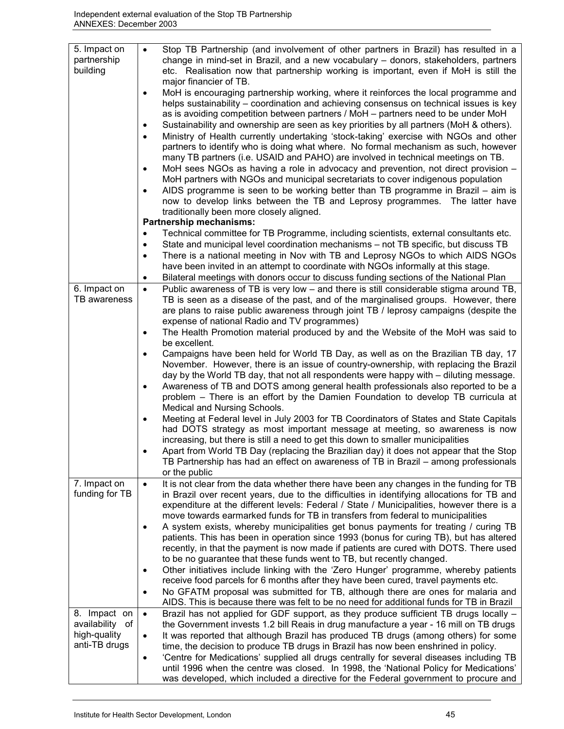| 5. Impact on<br>partnership<br>building | Stop TB Partnership (and involvement of other partners in Brazil) has resulted in a<br>$\bullet$<br>change in mind-set in Brazil, and a new vocabulary - donors, stakeholders, partners<br>etc. Realisation now that partnership working is important, even if MoH is still the<br>major financier of TB. |
|-----------------------------------------|-----------------------------------------------------------------------------------------------------------------------------------------------------------------------------------------------------------------------------------------------------------------------------------------------------------|
|                                         | MoH is encouraging partnership working, where it reinforces the local programme and<br>$\bullet$<br>helps sustainability – coordination and achieving consensus on technical issues is key                                                                                                                |
|                                         | as is avoiding competition between partners / MoH - partners need to be under MoH                                                                                                                                                                                                                         |
|                                         | Sustainability and ownership are seen as key priorities by all partners (MoH & others).<br>$\bullet$<br>Ministry of Health currently undertaking 'stock-taking' exercise with NGOs and other<br>$\bullet$                                                                                                 |
|                                         | partners to identify who is doing what where. No formal mechanism as such, however                                                                                                                                                                                                                        |
|                                         | many TB partners (i.e. USAID and PAHO) are involved in technical meetings on TB.                                                                                                                                                                                                                          |
|                                         | MoH sees NGOs as having a role in advocacy and prevention, not direct provision -<br>$\bullet$<br>MoH partners with NGOs and municipal secretariats to cover indigenous population                                                                                                                        |
|                                         | AIDS programme is seen to be working better than TB programme in Brazil $-$ aim is<br>$\bullet$                                                                                                                                                                                                           |
|                                         | now to develop links between the TB and Leprosy programmes. The latter have                                                                                                                                                                                                                               |
|                                         | traditionally been more closely aligned.<br>Partnership mechanisms:                                                                                                                                                                                                                                       |
|                                         | Technical committee for TB Programme, including scientists, external consultants etc.<br>٠                                                                                                                                                                                                                |
|                                         | State and municipal level coordination mechanisms - not TB specific, but discuss TB<br>٠                                                                                                                                                                                                                  |
|                                         | There is a national meeting in Nov with TB and Leprosy NGOs to which AIDS NGOs<br>$\bullet$                                                                                                                                                                                                               |
|                                         | have been invited in an attempt to coordinate with NGOs informally at this stage.                                                                                                                                                                                                                         |
|                                         | Bilateral meetings with donors occur to discuss funding sections of the National Plan<br>٠                                                                                                                                                                                                                |
| 6. Impact on<br>TB awareness            | Public awareness of TB is very low - and there is still considerable stigma around TB,<br>$\bullet$<br>TB is seen as a disease of the past, and of the marginalised groups. However, there                                                                                                                |
|                                         | are plans to raise public awareness through joint TB / leprosy campaigns (despite the                                                                                                                                                                                                                     |
|                                         | expense of national Radio and TV programmes)                                                                                                                                                                                                                                                              |
|                                         | The Health Promotion material produced by and the Website of the MoH was said to<br>٠                                                                                                                                                                                                                     |
|                                         | be excellent.                                                                                                                                                                                                                                                                                             |
|                                         | Campaigns have been held for World TB Day, as well as on the Brazilian TB day, 17<br>$\bullet$<br>November. However, there is an issue of country-ownership, with replacing the Brazil                                                                                                                    |
|                                         | day by the World TB day, that not all respondents were happy with – diluting message.                                                                                                                                                                                                                     |
|                                         | Awareness of TB and DOTS among general health professionals also reported to be a<br>$\bullet$                                                                                                                                                                                                            |
|                                         | problem – There is an effort by the Damien Foundation to develop TB curricula at                                                                                                                                                                                                                          |
|                                         | Medical and Nursing Schools.                                                                                                                                                                                                                                                                              |
|                                         | Meeting at Federal level in July 2003 for TB Coordinators of States and State Capitals<br>$\bullet$<br>had DOTS strategy as most important message at meeting, so awareness is now                                                                                                                        |
|                                         | increasing, but there is still a need to get this down to smaller municipalities                                                                                                                                                                                                                          |
|                                         | Apart from World TB Day (replacing the Brazilian day) it does not appear that the Stop<br>$\bullet$                                                                                                                                                                                                       |
|                                         | TB Partnership has had an effect on awareness of TB in Brazil - among professionals                                                                                                                                                                                                                       |
|                                         | or the public                                                                                                                                                                                                                                                                                             |
| 7. Impact on<br>funding for TB          | It is not clear from the data whether there have been any changes in the funding for TB<br>$\bullet$<br>in Brazil over recent years, due to the difficulties in identifying allocations for TB and                                                                                                        |
|                                         | expenditure at the different levels: Federal / State / Municipalities, however there is a                                                                                                                                                                                                                 |
|                                         | move towards earmarked funds for TB in transfers from federal to municipalities                                                                                                                                                                                                                           |
|                                         | A system exists, whereby municipalities get bonus payments for treating / curing TB<br>$\bullet$                                                                                                                                                                                                          |
|                                         | patients. This has been in operation since 1993 (bonus for curing TB), but has altered<br>recently, in that the payment is now made if patients are cured with DOTS. There used                                                                                                                           |
|                                         | to be no guarantee that these funds went to TB, but recently changed.                                                                                                                                                                                                                                     |
|                                         | Other initiatives include linking with the 'Zero Hunger' programme, whereby patients<br>٠                                                                                                                                                                                                                 |
|                                         | receive food parcels for 6 months after they have been cured, travel payments etc.                                                                                                                                                                                                                        |
|                                         | No GFATM proposal was submitted for TB, although there are ones for malaria and<br>٠<br>AIDS. This is because there was felt to be no need for additional funds for TB in Brazil                                                                                                                          |
| 8. Impact on                            | Brazil has not applied for GDF support, as they produce sufficient TB drugs locally -<br>$\bullet$                                                                                                                                                                                                        |
| availability<br>οf<br>high-quality      | the Government invests 1.2 bill Reais in drug manufacture a year - 16 mill on TB drugs                                                                                                                                                                                                                    |
| anti-TB drugs                           | It was reported that although Brazil has produced TB drugs (among others) for some<br>$\bullet$<br>time, the decision to produce TB drugs in Brazil has now been enshrined in policy.                                                                                                                     |
|                                         | 'Centre for Medications' supplied all drugs centrally for several diseases including TB<br>$\bullet$                                                                                                                                                                                                      |
|                                         | until 1996 when the centre was closed. In 1998, the 'National Policy for Medications'                                                                                                                                                                                                                     |
|                                         | was developed, which included a directive for the Federal government to procure and                                                                                                                                                                                                                       |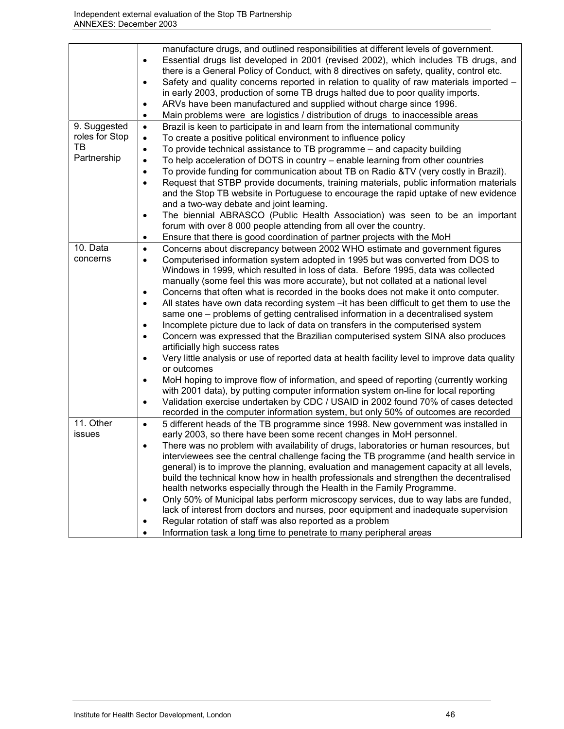|                | manufacture drugs, and outlined responsibilities at different levels of government.<br>Essential drugs list developed in 2001 (revised 2002), which includes TB drugs, and<br>$\bullet$<br>there is a General Policy of Conduct, with 8 directives on safety, quality, control etc.<br>Safety and quality concerns reported in relation to quality of raw materials imported -<br>$\bullet$<br>in early 2003, production of some TB drugs halted due to poor quality imports.<br>ARVs have been manufactured and supplied without charge since 1996.<br>Main problems were are logistics / distribution of drugs to inaccessible areas<br>$\bullet$                                                                                                  |
|----------------|------------------------------------------------------------------------------------------------------------------------------------------------------------------------------------------------------------------------------------------------------------------------------------------------------------------------------------------------------------------------------------------------------------------------------------------------------------------------------------------------------------------------------------------------------------------------------------------------------------------------------------------------------------------------------------------------------------------------------------------------------|
| 9. Suggested   | Brazil is keen to participate in and learn from the international community<br>$\bullet$                                                                                                                                                                                                                                                                                                                                                                                                                                                                                                                                                                                                                                                             |
| roles for Stop | To create a positive political environment to influence policy<br>$\bullet$                                                                                                                                                                                                                                                                                                                                                                                                                                                                                                                                                                                                                                                                          |
| TВ             | To provide technical assistance to TB programme - and capacity building<br>$\bullet$                                                                                                                                                                                                                                                                                                                                                                                                                                                                                                                                                                                                                                                                 |
| Partnership    | To help acceleration of DOTS in country - enable learning from other countries<br>$\bullet$                                                                                                                                                                                                                                                                                                                                                                                                                                                                                                                                                                                                                                                          |
|                | To provide funding for communication about TB on Radio &TV (very costly in Brazil).<br>$\bullet$                                                                                                                                                                                                                                                                                                                                                                                                                                                                                                                                                                                                                                                     |
|                | Request that STBP provide documents, training materials, public information materials<br>$\bullet$                                                                                                                                                                                                                                                                                                                                                                                                                                                                                                                                                                                                                                                   |
|                | and the Stop TB website in Portuguese to encourage the rapid uptake of new evidence<br>and a two-way debate and joint learning.                                                                                                                                                                                                                                                                                                                                                                                                                                                                                                                                                                                                                      |
|                | The biennial ABRASCO (Public Health Association) was seen to be an important<br>$\bullet$                                                                                                                                                                                                                                                                                                                                                                                                                                                                                                                                                                                                                                                            |
|                | forum with over 8 000 people attending from all over the country.                                                                                                                                                                                                                                                                                                                                                                                                                                                                                                                                                                                                                                                                                    |
|                | Ensure that there is good coordination of partner projects with the MoH<br>٠                                                                                                                                                                                                                                                                                                                                                                                                                                                                                                                                                                                                                                                                         |
| 10. Data       | Concerns about discrepancy between 2002 WHO estimate and government figures<br>$\bullet$                                                                                                                                                                                                                                                                                                                                                                                                                                                                                                                                                                                                                                                             |
| concerns       | Computerised information system adopted in 1995 but was converted from DOS to<br>$\bullet$<br>Windows in 1999, which resulted in loss of data. Before 1995, data was collected<br>manually (some feel this was more accurate), but not collated at a national level<br>Concerns that often what is recorded in the books does not make it onto computer.<br>$\bullet$<br>All states have own data recording system - it has been difficult to get them to use the<br>$\bullet$<br>same one – problems of getting centralised information in a decentralised system<br>Incomplete picture due to lack of data on transfers in the computerised system<br>Concern was expressed that the Brazilian computerised system SINA also produces<br>$\bullet$ |
|                | artificially high success rates<br>Very little analysis or use of reported data at health facility level to improve data quality                                                                                                                                                                                                                                                                                                                                                                                                                                                                                                                                                                                                                     |
|                | or outcomes                                                                                                                                                                                                                                                                                                                                                                                                                                                                                                                                                                                                                                                                                                                                          |
|                | MoH hoping to improve flow of information, and speed of reporting (currently working<br>with 2001 data), by putting computer information system on-line for local reporting                                                                                                                                                                                                                                                                                                                                                                                                                                                                                                                                                                          |
|                | Validation exercise undertaken by CDC / USAID in 2002 found 70% of cases detected<br>$\bullet$                                                                                                                                                                                                                                                                                                                                                                                                                                                                                                                                                                                                                                                       |
| 11. Other      | recorded in the computer information system, but only 50% of outcomes are recorded<br>5 different heads of the TB programme since 1998. New government was installed in<br>$\bullet$                                                                                                                                                                                                                                                                                                                                                                                                                                                                                                                                                                 |
| issues         | early 2003, so there have been some recent changes in MoH personnel.                                                                                                                                                                                                                                                                                                                                                                                                                                                                                                                                                                                                                                                                                 |
|                | There was no problem with availability of drugs, laboratories or human resources, but<br>$\bullet$                                                                                                                                                                                                                                                                                                                                                                                                                                                                                                                                                                                                                                                   |
|                | interviewees see the central challenge facing the TB programme (and health service in<br>general) is to improve the planning, evaluation and management capacity at all levels,<br>build the technical know how in health professionals and strengthen the decentralised<br>health networks especially through the Health in the Family Programme.                                                                                                                                                                                                                                                                                                                                                                                                   |
|                | Only 50% of Municipal labs perform microscopy services, due to way labs are funded,<br>$\bullet$<br>lack of interest from doctors and nurses, poor equipment and inadequate supervision<br>Regular rotation of staff was also reported as a problem<br>$\bullet$                                                                                                                                                                                                                                                                                                                                                                                                                                                                                     |
|                | Information task a long time to penetrate to many peripheral areas<br>٠                                                                                                                                                                                                                                                                                                                                                                                                                                                                                                                                                                                                                                                                              |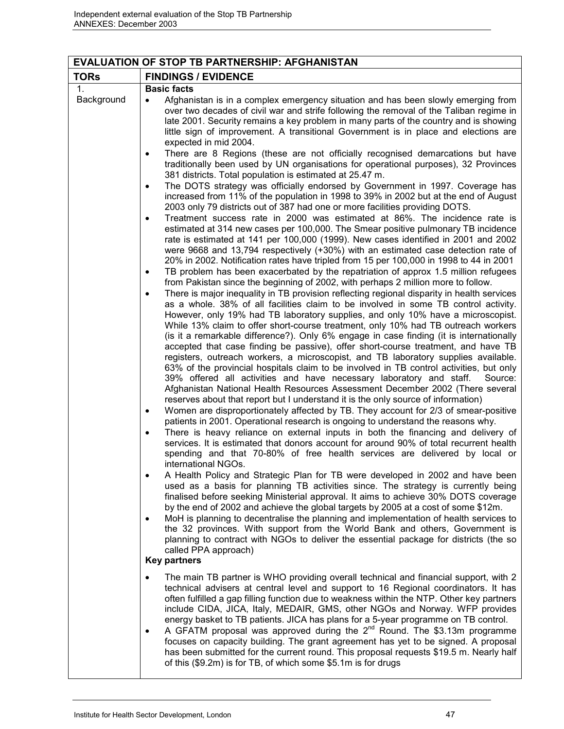| <b>EVALUATION OF STOP TB PARTNERSHIP: AFGHANISTAN</b> |                                                                                                                                                                                                                                                                                                                                                                                                                                                                                                                                                                                                                                                                                                                                                                                                                                                                                                                                                                                                                                                                                                                                                                                                                                                                                                                                                                                                                                                                                                                                                                                                                                                                                                                                                                                                                                                                                                                                                                                                                                                                                                       |  |
|-------------------------------------------------------|-------------------------------------------------------------------------------------------------------------------------------------------------------------------------------------------------------------------------------------------------------------------------------------------------------------------------------------------------------------------------------------------------------------------------------------------------------------------------------------------------------------------------------------------------------------------------------------------------------------------------------------------------------------------------------------------------------------------------------------------------------------------------------------------------------------------------------------------------------------------------------------------------------------------------------------------------------------------------------------------------------------------------------------------------------------------------------------------------------------------------------------------------------------------------------------------------------------------------------------------------------------------------------------------------------------------------------------------------------------------------------------------------------------------------------------------------------------------------------------------------------------------------------------------------------------------------------------------------------------------------------------------------------------------------------------------------------------------------------------------------------------------------------------------------------------------------------------------------------------------------------------------------------------------------------------------------------------------------------------------------------------------------------------------------------------------------------------------------------|--|
| <b>TORs</b>                                           | <b>FINDINGS / EVIDENCE</b>                                                                                                                                                                                                                                                                                                                                                                                                                                                                                                                                                                                                                                                                                                                                                                                                                                                                                                                                                                                                                                                                                                                                                                                                                                                                                                                                                                                                                                                                                                                                                                                                                                                                                                                                                                                                                                                                                                                                                                                                                                                                            |  |
| 1.                                                    | <b>Basic facts</b>                                                                                                                                                                                                                                                                                                                                                                                                                                                                                                                                                                                                                                                                                                                                                                                                                                                                                                                                                                                                                                                                                                                                                                                                                                                                                                                                                                                                                                                                                                                                                                                                                                                                                                                                                                                                                                                                                                                                                                                                                                                                                    |  |
| Background                                            | Afghanistan is in a complex emergency situation and has been slowly emerging from<br>over two decades of civil war and strife following the removal of the Taliban regime in<br>late 2001. Security remains a key problem in many parts of the country and is showing<br>little sign of improvement. A transitional Government is in place and elections are<br>expected in mid 2004.<br>There are 8 Regions (these are not officially recognised demarcations but have<br>traditionally been used by UN organisations for operational purposes), 32 Provinces                                                                                                                                                                                                                                                                                                                                                                                                                                                                                                                                                                                                                                                                                                                                                                                                                                                                                                                                                                                                                                                                                                                                                                                                                                                                                                                                                                                                                                                                                                                                        |  |
|                                                       | 381 districts. Total population is estimated at 25.47 m.<br>The DOTS strategy was officially endorsed by Government in 1997. Coverage has<br>$\bullet$<br>increased from 11% of the population in 1998 to 39% in 2002 but at the end of August                                                                                                                                                                                                                                                                                                                                                                                                                                                                                                                                                                                                                                                                                                                                                                                                                                                                                                                                                                                                                                                                                                                                                                                                                                                                                                                                                                                                                                                                                                                                                                                                                                                                                                                                                                                                                                                        |  |
|                                                       | 2003 only 79 districts out of 387 had one or more facilities providing DOTS.<br>Treatment success rate in 2000 was estimated at 86%. The incidence rate is<br>$\bullet$                                                                                                                                                                                                                                                                                                                                                                                                                                                                                                                                                                                                                                                                                                                                                                                                                                                                                                                                                                                                                                                                                                                                                                                                                                                                                                                                                                                                                                                                                                                                                                                                                                                                                                                                                                                                                                                                                                                               |  |
|                                                       | estimated at 314 new cases per 100,000. The Smear positive pulmonary TB incidence<br>rate is estimated at 141 per 100,000 (1999). New cases identified in 2001 and 2002<br>were 9668 and 13,794 respectively (+30%) with an estimated case detection rate of<br>20% in 2002. Notification rates have tripled from 15 per 100,000 in 1998 to 44 in 2001                                                                                                                                                                                                                                                                                                                                                                                                                                                                                                                                                                                                                                                                                                                                                                                                                                                                                                                                                                                                                                                                                                                                                                                                                                                                                                                                                                                                                                                                                                                                                                                                                                                                                                                                                |  |
|                                                       | TB problem has been exacerbated by the repatriation of approx 1.5 million refugees<br>٠<br>from Pakistan since the beginning of 2002, with perhaps 2 million more to follow.                                                                                                                                                                                                                                                                                                                                                                                                                                                                                                                                                                                                                                                                                                                                                                                                                                                                                                                                                                                                                                                                                                                                                                                                                                                                                                                                                                                                                                                                                                                                                                                                                                                                                                                                                                                                                                                                                                                          |  |
|                                                       | There is major inequality in TB provision reflecting regional disparity in health services<br>$\bullet$<br>as a whole. 38% of all facilities claim to be involved in some TB control activity.<br>However, only 19% had TB laboratory supplies, and only 10% have a microscopist.<br>While 13% claim to offer short-course treatment, only 10% had TB outreach workers<br>(is it a remarkable difference?). Only 6% engage in case finding (it is internationally<br>accepted that case finding be passive), offer short-course treatment, and have TB<br>registers, outreach workers, a microscopist, and TB laboratory supplies available.<br>63% of the provincial hospitals claim to be involved in TB control activities, but only<br>39% offered all activities and have necessary laboratory and staff.<br>Source:<br>Afghanistan National Health Resources Assessment December 2002 (There several<br>reserves about that report but I understand it is the only source of information)<br>Women are disproportionately affected by TB. They account for 2/3 of smear-positive<br>٠<br>patients in 2001. Operational research is ongoing to understand the reasons why.<br>There is heavy reliance on external inputs in both the financing and delivery of<br>services. It is estimated that donors account for around 90% of total recurrent health<br>spending and that 70-80% of free health services are delivered by local or<br>international NGOs.<br>A Health Policy and Strategic Plan for TB were developed in 2002 and have been<br>used as a basis for planning TB activities since. The strategy is currently being<br>finalised before seeking Ministerial approval. It aims to achieve 30% DOTS coverage<br>by the end of 2002 and achieve the global targets by 2005 at a cost of some \$12m.<br>MoH is planning to decentralise the planning and implementation of health services to<br>$\bullet$<br>the 32 provinces. With support from the World Bank and others, Government is<br>planning to contract with NGOs to deliver the essential package for districts (the so |  |
|                                                       | called PPA approach)<br><b>Key partners</b>                                                                                                                                                                                                                                                                                                                                                                                                                                                                                                                                                                                                                                                                                                                                                                                                                                                                                                                                                                                                                                                                                                                                                                                                                                                                                                                                                                                                                                                                                                                                                                                                                                                                                                                                                                                                                                                                                                                                                                                                                                                           |  |
|                                                       |                                                                                                                                                                                                                                                                                                                                                                                                                                                                                                                                                                                                                                                                                                                                                                                                                                                                                                                                                                                                                                                                                                                                                                                                                                                                                                                                                                                                                                                                                                                                                                                                                                                                                                                                                                                                                                                                                                                                                                                                                                                                                                       |  |
|                                                       | The main TB partner is WHO providing overall technical and financial support, with 2<br>technical advisers at central level and support to 16 Regional coordinators. It has<br>often fulfilled a gap filling function due to weakness within the NTP. Other key partners<br>include CIDA, JICA, Italy, MEDAIR, GMS, other NGOs and Norway. WFP provides<br>energy basket to TB patients. JICA has plans for a 5-year programme on TB control.<br>A GFATM proposal was approved during the $2^{nd}$ Round. The \$3.13m programme<br>٠<br>focuses on capacity building. The grant agreement has yet to be signed. A proposal<br>has been submitted for the current round. This proposal requests \$19.5 m. Nearly half<br>of this (\$9.2m) is for TB, of which some \$5.1m is for drugs                                                                                                                                                                                                                                                                                                                                                                                                                                                                                                                                                                                                                                                                                                                                                                                                                                                                                                                                                                                                                                                                                                                                                                                                                                                                                                                 |  |
|                                                       |                                                                                                                                                                                                                                                                                                                                                                                                                                                                                                                                                                                                                                                                                                                                                                                                                                                                                                                                                                                                                                                                                                                                                                                                                                                                                                                                                                                                                                                                                                                                                                                                                                                                                                                                                                                                                                                                                                                                                                                                                                                                                                       |  |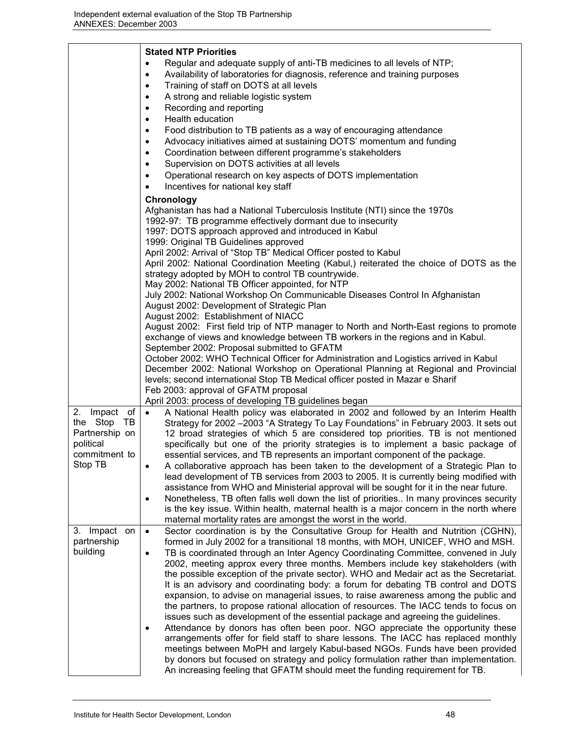|                                                                                                  | <b>Stated NTP Priorities</b><br>Regular and adequate supply of anti-TB medicines to all levels of NTP;<br>Availability of laboratories for diagnosis, reference and training purposes<br>$\bullet$<br>Training of staff on DOTS at all levels<br>$\bullet$<br>A strong and reliable logistic system<br>$\bullet$<br>Recording and reporting<br>$\bullet$<br>Health education<br>$\bullet$<br>Food distribution to TB patients as a way of encouraging attendance<br>$\bullet$<br>Advocacy initiatives aimed at sustaining DOTS' momentum and funding<br>$\bullet$<br>Coordination between different programme's stakeholders<br>$\bullet$<br>Supervision on DOTS activities at all levels<br>$\bullet$<br>Operational research on key aspects of DOTS implementation<br>$\bullet$<br>Incentives for national key staff<br>$\bullet$                                                                                                                                                                                                                                                                                                                                                                                                          |
|--------------------------------------------------------------------------------------------------|----------------------------------------------------------------------------------------------------------------------------------------------------------------------------------------------------------------------------------------------------------------------------------------------------------------------------------------------------------------------------------------------------------------------------------------------------------------------------------------------------------------------------------------------------------------------------------------------------------------------------------------------------------------------------------------------------------------------------------------------------------------------------------------------------------------------------------------------------------------------------------------------------------------------------------------------------------------------------------------------------------------------------------------------------------------------------------------------------------------------------------------------------------------------------------------------------------------------------------------------|
|                                                                                                  | Chronology<br>Afghanistan has had a National Tuberculosis Institute (NTI) since the 1970s<br>1992-97: TB programme effectively dormant due to insecurity<br>1997: DOTS approach approved and introduced in Kabul<br>1999: Original TB Guidelines approved<br>April 2002: Arrival of "Stop TB" Medical Officer posted to Kabul<br>April 2002: National Coordination Meeting (Kabul,) reiterated the choice of DOTS as the<br>strategy adopted by MOH to control TB countrywide.<br>May 2002: National TB Officer appointed, for NTP<br>July 2002: National Workshop On Communicable Diseases Control In Afghanistan<br>August 2002: Development of Strategic Plan<br>August 2002: Establishment of NIACC                                                                                                                                                                                                                                                                                                                                                                                                                                                                                                                                      |
|                                                                                                  | August 2002: First field trip of NTP manager to North and North-East regions to promote<br>exchange of views and knowledge between TB workers in the regions and in Kabul.<br>September 2002: Proposal submitted to GFATM<br>October 2002: WHO Technical Officer for Administration and Logistics arrived in Kabul<br>December 2002: National Workshop on Operational Planning at Regional and Provincial<br>levels; second international Stop TB Medical officer posted in Mazar e Sharif<br>Feb 2003: approval of GFATM proposal<br>April 2003: process of developing TB guidelines began                                                                                                                                                                                                                                                                                                                                                                                                                                                                                                                                                                                                                                                  |
| $Im$ pact of<br>2.<br>the Stop<br>TB.<br>Partnership on<br>political<br>commitment to<br>Stop TB | A National Health policy was elaborated in 2002 and followed by an Interim Health<br>$\bullet$<br>Strategy for 2002 -2003 "A Strategy To Lay Foundations" in February 2003. It sets out<br>12 broad strategies of which 5 are considered top priorities. TB is not mentioned<br>specifically but one of the priority strategies is to implement a basic package of<br>essential services, and TB represents an important component of the package.<br>A collaborative approach has been taken to the development of a Strategic Plan to<br>lead development of TB services from 2003 to 2005. It is currently being modified with<br>assistance from WHO and Ministerial approval will be sought for it in the near future.<br>Nonetheless, TB often falls well down the list of priorities In many provinces security<br>٠<br>is the key issue. Within health, maternal health is a major concern in the north where<br>maternal mortality rates are amongst the worst in the world.                                                                                                                                                                                                                                                        |
| 3. Impact on<br>partnership<br>building                                                          | Sector coordination is by the Consultative Group for Health and Nutrition (CGHN),<br>$\bullet$<br>formed in July 2002 for a transitional 18 months, with MOH, UNICEF, WHO and MSH.<br>TB is coordinated through an Inter Agency Coordinating Committee, convened in July<br>2002, meeting approx every three months. Members include key stakeholders (with<br>the possible exception of the private sector). WHO and Medair act as the Secretariat.<br>It is an advisory and coordinating body: a forum for debating TB control and DOTS<br>expansion, to advise on managerial issues, to raise awareness among the public and<br>the partners, to propose rational allocation of resources. The IACC tends to focus on<br>issues such as development of the essential package and agreeing the guidelines.<br>Attendance by donors has often been poor. NGO appreciate the opportunity these<br>arrangements offer for field staff to share lessons. The IACC has replaced monthly<br>meetings between MoPH and largely Kabul-based NGOs. Funds have been provided<br>by donors but focused on strategy and policy formulation rather than implementation.<br>An increasing feeling that GFATM should meet the funding requirement for TB. |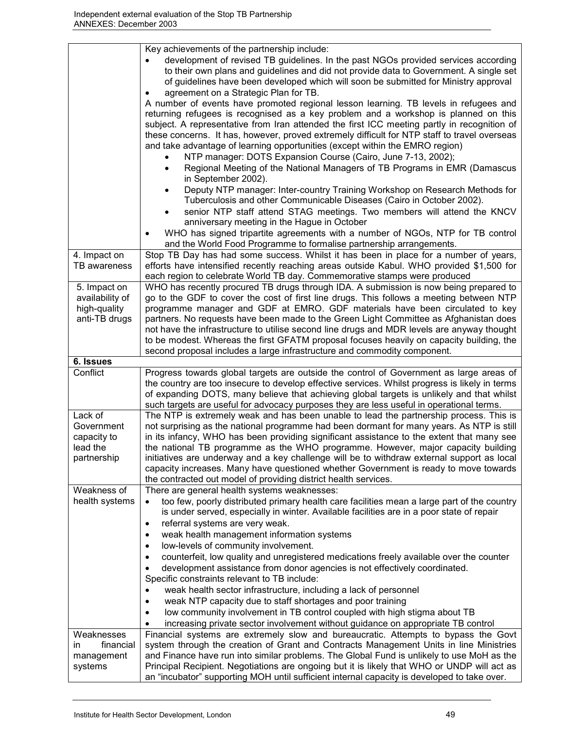|                                                                  | Key achievements of the partnership include:                                                                                                                                                                                                                                                                                                                                                                                                                                                                                                                                                                                  |
|------------------------------------------------------------------|-------------------------------------------------------------------------------------------------------------------------------------------------------------------------------------------------------------------------------------------------------------------------------------------------------------------------------------------------------------------------------------------------------------------------------------------------------------------------------------------------------------------------------------------------------------------------------------------------------------------------------|
|                                                                  | development of revised TB guidelines. In the past NGOs provided services according<br>to their own plans and guidelines and did not provide data to Government. A single set<br>of guidelines have been developed which will soon be submitted for Ministry approval                                                                                                                                                                                                                                                                                                                                                          |
|                                                                  | agreement on a Strategic Plan for TB.                                                                                                                                                                                                                                                                                                                                                                                                                                                                                                                                                                                         |
|                                                                  | A number of events have promoted regional lesson learning. TB levels in refugees and<br>returning refugees is recognised as a key problem and a workshop is planned on this<br>subject. A representative from Iran attended the first ICC meeting partly in recognition of<br>these concerns. It has, however, proved extremely difficult for NTP staff to travel overseas<br>and take advantage of learning opportunities (except within the EMRO region)                                                                                                                                                                    |
|                                                                  | NTP manager: DOTS Expansion Course (Cairo, June 7-13, 2002);<br>Regional Meeting of the National Managers of TB Programs in EMR (Damascus<br>in September 2002).                                                                                                                                                                                                                                                                                                                                                                                                                                                              |
|                                                                  | Deputy NTP manager: Inter-country Training Workshop on Research Methods for<br>Tuberculosis and other Communicable Diseases (Cairo in October 2002).                                                                                                                                                                                                                                                                                                                                                                                                                                                                          |
|                                                                  | senior NTP staff attend STAG meetings. Two members will attend the KNCV<br>anniversary meeting in the Hague in October                                                                                                                                                                                                                                                                                                                                                                                                                                                                                                        |
|                                                                  | WHO has signed tripartite agreements with a number of NGOs, NTP for TB control<br>and the World Food Programme to formalise partnership arrangements.                                                                                                                                                                                                                                                                                                                                                                                                                                                                         |
| 4. Impact on<br>TB awareness                                     | Stop TB Day has had some success. Whilst it has been in place for a number of years,<br>efforts have intensified recently reaching areas outside Kabul. WHO provided \$1,500 for<br>each region to celebrate World TB day. Commemorative stamps were produced                                                                                                                                                                                                                                                                                                                                                                 |
| 5. Impact on<br>availability of<br>high-quality<br>anti-TB drugs | WHO has recently procured TB drugs through IDA. A submission is now being prepared to<br>go to the GDF to cover the cost of first line drugs. This follows a meeting between NTP<br>programme manager and GDF at EMRO. GDF materials have been circulated to key<br>partners. No requests have been made to the Green Light Committee as Afghanistan does<br>not have the infrastructure to utilise second line drugs and MDR levels are anyway thought<br>to be modest. Whereas the first GFATM proposal focuses heavily on capacity building, the                                                                           |
|                                                                  | second proposal includes a large infrastructure and commodity component.                                                                                                                                                                                                                                                                                                                                                                                                                                                                                                                                                      |
| 6. Issues                                                        |                                                                                                                                                                                                                                                                                                                                                                                                                                                                                                                                                                                                                               |
|                                                                  |                                                                                                                                                                                                                                                                                                                                                                                                                                                                                                                                                                                                                               |
| Conflict                                                         | Progress towards global targets are outside the control of Government as large areas of<br>the country are too insecure to develop effective services. Whilst progress is likely in terms<br>of expanding DOTS, many believe that achieving global targets is unlikely and that whilst<br>such targets are useful for advocacy purposes they are less useful in operational terms.                                                                                                                                                                                                                                            |
| Lack of<br>Government<br>capacity to<br>lead the<br>partnership  | The NTP is extremely weak and has been unable to lead the partnership process. This is<br>not surprising as the national programme had been dormant for many years. As NTP is still<br>in its infancy, WHO has been providing significant assistance to the extent that many see<br>the national TB programme as the WHO programme. However, major capacity building<br>initiatives are underway and a key challenge will be to withdraw external support as local<br>capacity increases. Many have questioned whether Government is ready to move towards<br>the contracted out model of providing district health services. |
| Weakness of                                                      | There are general health systems weaknesses:                                                                                                                                                                                                                                                                                                                                                                                                                                                                                                                                                                                  |
| health systems                                                   | too few, poorly distributed primary health care facilities mean a large part of the country<br>$\bullet$<br>is under served, especially in winter. Available facilities are in a poor state of repair                                                                                                                                                                                                                                                                                                                                                                                                                         |
|                                                                  | referral systems are very weak.<br>$\bullet$                                                                                                                                                                                                                                                                                                                                                                                                                                                                                                                                                                                  |
|                                                                  | weak health management information systems<br>$\bullet$<br>$\bullet$                                                                                                                                                                                                                                                                                                                                                                                                                                                                                                                                                          |
|                                                                  | low-levels of community involvement.<br>$\bullet$                                                                                                                                                                                                                                                                                                                                                                                                                                                                                                                                                                             |
|                                                                  | counterfeit, low quality and unregistered medications freely available over the counter<br>development assistance from donor agencies is not effectively coordinated.<br>Specific constraints relevant to TB include:                                                                                                                                                                                                                                                                                                                                                                                                         |
|                                                                  | weak health sector infrastructure, including a lack of personnel<br>$\bullet$                                                                                                                                                                                                                                                                                                                                                                                                                                                                                                                                                 |
|                                                                  | weak NTP capacity due to staff shortages and poor training<br>$\bullet$                                                                                                                                                                                                                                                                                                                                                                                                                                                                                                                                                       |
|                                                                  | low community involvement in TB control coupled with high stigma about TB                                                                                                                                                                                                                                                                                                                                                                                                                                                                                                                                                     |
|                                                                  | increasing private sector involvement without guidance on appropriate TB control                                                                                                                                                                                                                                                                                                                                                                                                                                                                                                                                              |
| Weaknesses                                                       | Financial systems are extremely slow and bureaucratic. Attempts to bypass the Govt                                                                                                                                                                                                                                                                                                                                                                                                                                                                                                                                            |
| financial<br>in                                                  | system through the creation of Grant and Contracts Management Units in line Ministries                                                                                                                                                                                                                                                                                                                                                                                                                                                                                                                                        |
| management<br>systems                                            | and Finance have run into similar problems. The Global Fund is unlikely to use MoH as the<br>Principal Recipient. Negotiations are ongoing but it is likely that WHO or UNDP will act as                                                                                                                                                                                                                                                                                                                                                                                                                                      |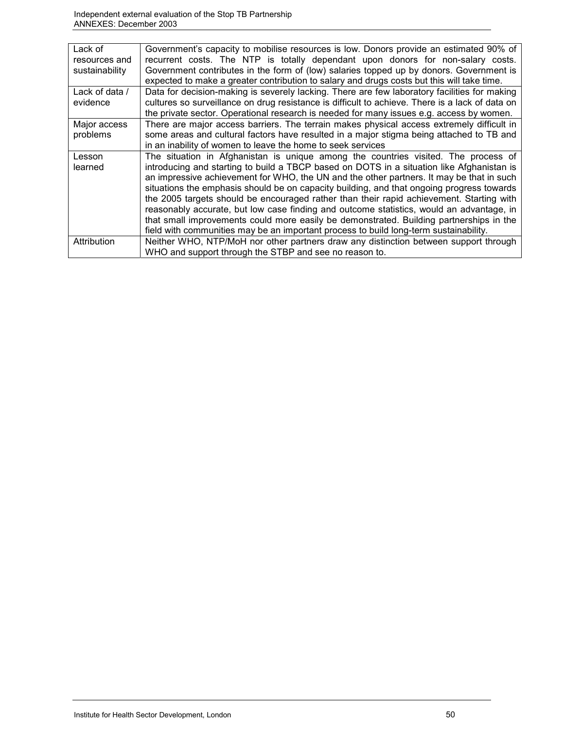| Lack of<br>resources and<br>sustainability | Government's capacity to mobilise resources is low. Donors provide an estimated 90% of<br>recurrent costs. The NTP is totally dependant upon donors for non-salary costs.<br>Government contributes in the form of (low) salaries topped up by donors. Government is<br>expected to make a greater contribution to salary and drugs costs but this will take time.                                                                                                                                                                                                                                                                                                                                                                                   |
|--------------------------------------------|------------------------------------------------------------------------------------------------------------------------------------------------------------------------------------------------------------------------------------------------------------------------------------------------------------------------------------------------------------------------------------------------------------------------------------------------------------------------------------------------------------------------------------------------------------------------------------------------------------------------------------------------------------------------------------------------------------------------------------------------------|
| Lack of data /<br>evidence                 | Data for decision-making is severely lacking. There are few laboratory facilities for making<br>cultures so surveillance on drug resistance is difficult to achieve. There is a lack of data on<br>the private sector. Operational research is needed for many issues e.g. access by women.                                                                                                                                                                                                                                                                                                                                                                                                                                                          |
| Major access<br>problems                   | There are major access barriers. The terrain makes physical access extremely difficult in<br>some areas and cultural factors have resulted in a major stigma being attached to TB and<br>in an inability of women to leave the home to seek services                                                                                                                                                                                                                                                                                                                                                                                                                                                                                                 |
| Lesson<br>learned                          | The situation in Afghanistan is unique among the countries visited. The process of<br>introducing and starting to build a TBCP based on DOTS in a situation like Afghanistan is<br>an impressive achievement for WHO, the UN and the other partners. It may be that in such<br>situations the emphasis should be on capacity building, and that ongoing progress towards<br>the 2005 targets should be encouraged rather than their rapid achievement. Starting with<br>reasonably accurate, but low case finding and outcome statistics, would an advantage, in<br>that small improvements could more easily be demonstrated. Building partnerships in the<br>field with communities may be an important process to build long-term sustainability. |
| Attribution                                | Neither WHO, NTP/MoH nor other partners draw any distinction between support through<br>WHO and support through the STBP and see no reason to.                                                                                                                                                                                                                                                                                                                                                                                                                                                                                                                                                                                                       |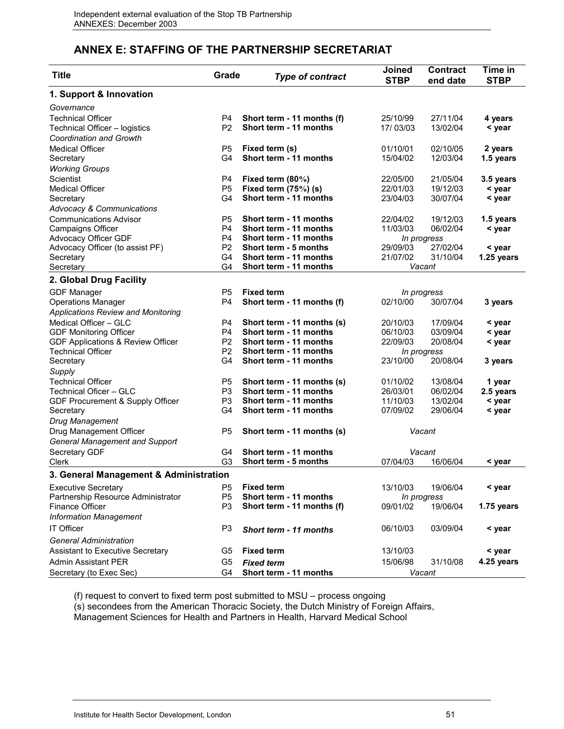# **ANNEX E: STAFFING OF THE PARTNERSHIP SECRETARIAT**

| 1. Support & Innovation                                                                                          |            |
|------------------------------------------------------------------------------------------------------------------|------------|
|                                                                                                                  |            |
| Governance                                                                                                       |            |
| <b>Technical Officer</b><br>P4<br>Short term - 11 months (f)<br>25/10/99<br>27/11/04                             | 4 years    |
| P <sub>2</sub><br>Short term - 11 months<br>Technical Officer - logistics<br>17/03/03<br>13/02/04                | < year     |
| <b>Coordination and Growth</b>                                                                                   |            |
| <b>Medical Officer</b><br>P <sub>5</sub><br>Fixed term (s)<br>01/10/01<br>02/10/05                               | 2 years    |
| G <sub>4</sub><br>Short term - 11 months<br>15/04/02<br>12/03/04<br>Secretary                                    | 1.5 years  |
| <b>Working Groups</b>                                                                                            |            |
| Scientist<br>P <sub>4</sub><br>Fixed term (80%)<br>22/05/00<br>21/05/04                                          | 3.5 years  |
| P <sub>5</sub><br>Fixed term $(75%)$ (s)<br>19/12/03<br><b>Medical Officer</b><br>22/01/03                       | < year     |
| Short term - 11 months<br>G <sub>4</sub><br>23/04/03<br>30/07/04<br>Secretary                                    | < year     |
| <b>Advocacy &amp; Communications</b>                                                                             |            |
| <b>Communications Advisor</b><br>P <sub>5</sub><br>Short term - 11 months<br>22/04/02<br>19/12/03                | 1.5 years  |
| P <sub>4</sub><br>Short term - 11 months<br>11/03/03<br>Campaigns Officer<br>06/02/04                            | < year     |
| Advocacy Officer GDF<br>P <sub>4</sub><br>Short term - 11 months<br>In progress                                  |            |
| P <sub>2</sub><br>Advocacy Officer (to assist PF)<br>Short term - 5 months<br>29/09/03<br>27/02/04               | < year     |
| 21/07/02<br>G4<br>Short term - 11 months<br>31/10/04<br>Secretary                                                | 1.25 years |
| G4<br>Short term - 11 months<br>Vacant<br>Secretary                                                              |            |
| 2. Global Drug Facility                                                                                          |            |
| P <sub>5</sub><br><b>Fixed term</b><br><b>GDF Manager</b><br>In progress                                         |            |
| P <sub>4</sub><br>Short term - 11 months (f)<br>02/10/00<br><b>Operations Manager</b><br>30/07/04                | 3 years    |
| <b>Applications Review and Monitoring</b>                                                                        |            |
| Medical Officer - GLC<br>P <sub>4</sub><br>Short term - 11 months (s)<br>20/10/03<br>17/09/04                    | < year     |
| P <sub>4</sub><br>Short term - 11 months<br>06/10/03<br><b>GDF Monitoring Officer</b><br>03/09/04                | < year     |
| P <sub>2</sub><br>Short term - 11 months<br><b>GDF Applications &amp; Review Officer</b><br>22/09/03<br>20/08/04 | < year     |
| P <sub>2</sub><br><b>Technical Officer</b><br>Short term - 11 months<br>In progress                              |            |
| 23/10/00<br>G4<br>Short term - 11 months<br>20/08/04<br>Secretary                                                | 3 years    |
| Supply                                                                                                           |            |
| P <sub>5</sub><br>Short term - 11 months (s)<br>01/10/02<br>13/08/04<br>Technical Officer                        | 1 year     |
| Short term - 11 months<br>P <sub>3</sub><br>26/03/01<br>06/02/04<br>Technical Oficer - GLC                       | 2.5 years  |
| P <sub>3</sub><br>Short term - 11 months<br>11/10/03<br>GDF Procurement & Supply Officer<br>13/02/04             | < year     |
| Short term - 11 months<br>07/09/02<br>G4<br>29/06/04<br>Secretary                                                | < year     |
| Drug Management                                                                                                  |            |
| Drug Management Officer<br>P <sub>5</sub><br>Short term - 11 months (s)<br>Vacant                                |            |
| <b>General Management and Support</b>                                                                            |            |
| Short term - 11 months<br>Secretary GDF<br>Vacant<br>G4                                                          |            |
| G <sub>3</sub><br>Short term - 5 months<br>07/04/03<br>Clerk<br>16/06/04                                         | < year     |
| 3. General Management & Administration                                                                           |            |
| <b>Fixed term</b><br><b>Executive Secretary</b><br>P <sub>5</sub><br>13/10/03<br>19/06/04                        | < year     |
| P <sub>5</sub><br>Partnership Resource Administrator<br>Short term - 11 months<br>In progress                    |            |
| Finance Officer<br>P <sub>3</sub><br>Short term - 11 months (f)<br>09/01/02<br>19/06/04                          | 1.75 years |
| <b>Information Management</b>                                                                                    |            |
| <b>IT Officer</b><br>P <sub>3</sub><br>06/10/03<br>03/09/04<br>Short term - 11 months                            | < year     |
| <b>General Administration</b>                                                                                    |            |
| <b>Fixed term</b><br><b>Assistant to Executive Secretary</b><br>G <sub>5</sub><br>13/10/03                       | < year     |
| <b>Admin Assistant PER</b><br>G <sub>5</sub><br>15/06/98<br>31/10/08<br><b>Fixed term</b>                        | 4.25 years |
| Secretary (to Exec Sec)<br>G4<br>Short term - 11 months<br>Vacant                                                |            |

(f) request to convert to fixed term post submitted to MSU – process ongoing

(s) secondees from the American Thoracic Society, the Dutch Ministry of Foreign Affairs,

Management Sciences for Health and Partners in Health, Harvard Medical School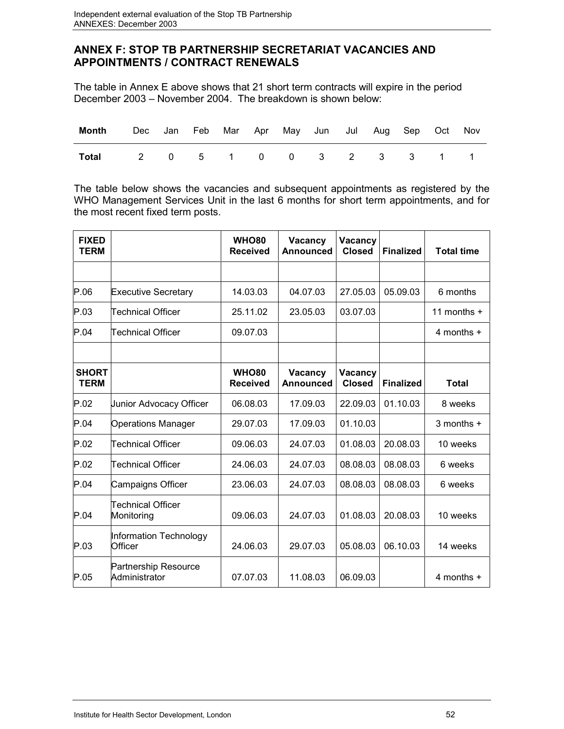# **ANNEX F: STOP TB PARTNERSHIP SECRETARIAT VACANCIES AND APPOINTMENTS / CONTRACT RENEWALS**

The table in Annex E above shows that 21 short term contracts will expire in the period December 2003 – November 2004. The breakdown is shown below:

| <b>Month</b> Dec Jan Feb Mar Apr May Jun Jul Aug Sep Oct Nov |  |  |  |  |  |  |
|--------------------------------------------------------------|--|--|--|--|--|--|
| Total 2 0 5 1 0 0 3 2 3 3 1 1                                |  |  |  |  |  |  |

The table below shows the vacancies and subsequent appointments as registered by the WHO Management Services Unit in the last 6 months for short term appointments, and for the most recent fixed term posts.

| <b>FIXED</b><br><b>TERM</b> |                                              | <b>WHO80</b><br><b>Received</b> | Vacancy<br>Announced | Vacancy<br><b>Closed</b> | <b>Finalized</b> | <b>Total time</b> |
|-----------------------------|----------------------------------------------|---------------------------------|----------------------|--------------------------|------------------|-------------------|
|                             |                                              |                                 |                      |                          |                  |                   |
| P.06                        | <b>Executive Secretary</b>                   | 14.03.03                        | 04.07.03             | 27.05.03                 | 05.09.03         | 6 months          |
| P.03                        | Technical Officer                            | 25.11.02                        | 23.05.03             | 03.07.03                 |                  | 11 months $+$     |
| P.04                        | Technical Officer                            | 09.07.03                        |                      |                          |                  | 4 months +        |
|                             |                                              |                                 |                      |                          |                  |                   |
| <b>SHORT</b><br><b>TERM</b> |                                              | <b>WHO80</b><br><b>Received</b> | Vacancy<br>Announced | Vacancy<br><b>Closed</b> | <b>Finalized</b> | <b>Total</b>      |
| P.02                        | Junior Advocacy Officer                      | 06.08.03                        | 17.09.03             | 22.09.03                 | 01.10.03         | 8 weeks           |
| P.04                        | <b>Operations Manager</b>                    | 29.07.03                        | 17.09.03             | 01.10.03                 |                  | 3 months +        |
| P.02                        | Technical Officer                            | 09.06.03                        | 24.07.03             | 01.08.03                 | 20.08.03         | 10 weeks          |
| P.02                        | Technical Officer                            | 24.06.03                        | 24.07.03             | 08.08.03                 | 08.08.03         | 6 weeks           |
| P.04                        | Campaigns Officer                            | 23.06.03                        | 24.07.03             | 08.08.03                 | 08.08.03         | 6 weeks           |
| P.04                        | <b>Technical Officer</b><br>Monitoring       | 09.06.03                        | 24.07.03             | 01.08.03                 | 20.08.03         | 10 weeks          |
| P.03                        | Information Technology<br>Officer            | 24.06.03                        | 29.07.03             | 05.08.03                 | 06.10.03         | 14 weeks          |
| P.05                        | <b>Partnership Resource</b><br>Administrator | 07.07.03                        | 11.08.03             | 06.09.03                 |                  | $4$ months $+$    |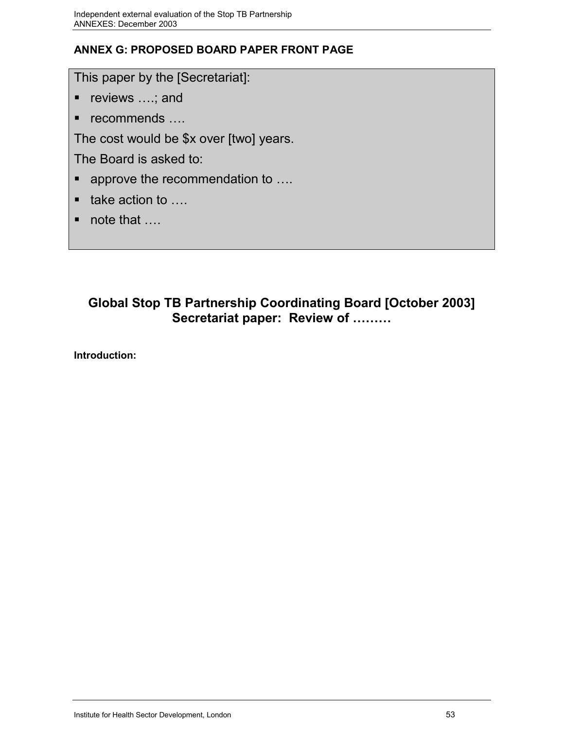# **ANNEX G: PROPOSED BOARD PAPER FRONT PAGE**

This paper by the [Secretariat]:

- reviews ....; and
- $\blacksquare$  recommends ....

The cost would be \$x over [two] years.

The Board is asked to:

- approve the recommendation to ....
- $\blacksquare$  take action to ....
- note that …

# **Global Stop TB Partnership Coordinating Board [October 2003] Secretariat paper: Review of ………**

**Introduction:**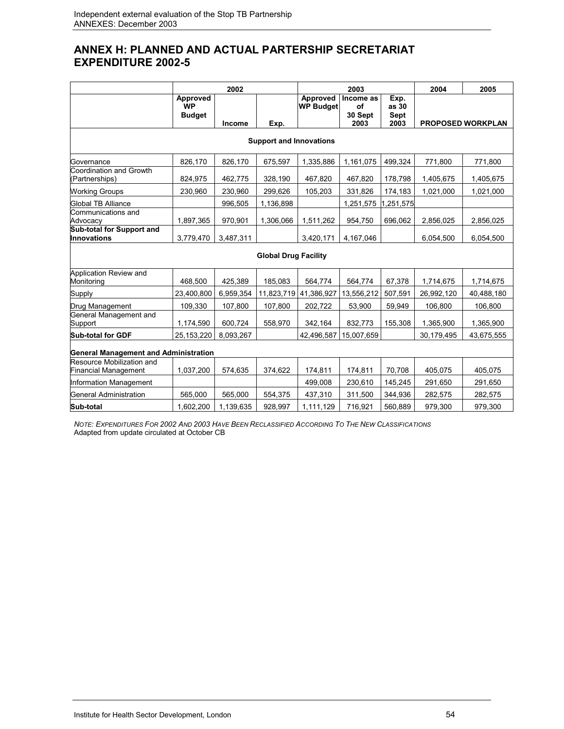# **ANNEX H: PLANNED AND ACTUAL PARTERSHIP SECRETARIAT EXPENDITURE 2002-5**

|                                                          |                                        | 2002      |                                |                              | 2003                       | 2004                  | 2005       |                          |
|----------------------------------------------------------|----------------------------------------|-----------|--------------------------------|------------------------------|----------------------------|-----------------------|------------|--------------------------|
|                                                          | Approved<br><b>WP</b><br><b>Budget</b> |           |                                | Approved<br><b>WP Budget</b> | Income as<br>of<br>30 Sept | Exp.<br>as 30<br>Sept |            |                          |
|                                                          |                                        | Income    | Exp.                           |                              | 2003                       | 2003                  |            | <b>PROPOSED WORKPLAN</b> |
|                                                          |                                        |           | <b>Support and Innovations</b> |                              |                            |                       |            |                          |
| Governance                                               | 826,170                                | 826,170   | 675,597                        | 1,335,886                    | 1,161,075                  | 499,324               | 771,800    | 771,800                  |
| Coordination and Growth<br>(Partnerships)                | 824,975                                | 462,775   | 328,190                        | 467,820                      | 467,820                    | 178,798               | 1,405,675  | 1,405,675                |
| <b>Working Groups</b>                                    | 230,960                                | 230,960   | 299,626                        | 105,203                      | 331,826                    | 174,183               | 1,021,000  | 1,021,000                |
| Global TB Alliance                                       |                                        | 996,505   | 1,136,898                      |                              | 1,251,575                  | 1,251,575             |            |                          |
| Communications and<br>Advocacy                           | 1,897,365                              | 970,901   | 1,306,066                      | 1,511,262                    | 954,750                    | 696,062               | 2,856,025  | 2,856,025                |
| Sub-total for Support and<br><b>Innovations</b>          | 3,779,470                              | 3,487,311 |                                | 3,420,171                    | 4,167,046                  |                       | 6,054,500  | 6,054,500                |
|                                                          |                                        |           | <b>Global Drug Facility</b>    |                              |                            |                       |            |                          |
| Application Review and<br>Monitoring                     | 468,500                                | 425,389   | 185,083                        | 564,774                      | 564,774                    | 67,378                | 1,714,675  | 1,714,675                |
| Supply                                                   | 23,400,800                             | 6,959,354 | 11,823,719                     | 41,386,927                   | 13,556,212                 | 507,591               | 26,992,120 | 40,488,180               |
| Drug Management                                          | 109,330                                | 107,800   | 107,800                        | 202,722                      | 53,900                     | 59,949                | 106,800    | 106,800                  |
| General Management and<br>Support                        | 1,174,590                              | 600,724   | 558,970                        | 342,164                      | 832,773                    | 155,308               | 1,365,900  | 1,365,900                |
| <b>Sub-total for GDF</b>                                 | 25, 153, 220                           | 8,093,267 |                                | 42,496,587                   | 15,007,659                 |                       | 30,179,495 | 43,675,555               |
| <b>General Management and Administration</b>             |                                        |           |                                |                              |                            |                       |            |                          |
| Resource Mobilization and<br><b>Financial Management</b> | 1,037,200                              | 574,635   | 374,622                        | 174,811                      | 174,811                    | 70,708                | 405,075    | 405,075                  |
| Information Management                                   |                                        |           |                                | 499,008                      | 230,610                    | 145,245               | 291,650    | 291,650                  |
| General Administration                                   | 565,000                                | 565,000   | 554,375                        | 437,310                      | 311,500                    | 344,936               | 282,575    | 282,575                  |
| Sub-total                                                | 1,602,200                              | 1,139,635 | 928,997                        | 1,111,129                    | 716,921                    | 560,889               | 979,300    | 979,300                  |

*NOTE: EXPENDITURES FOR 2002 AND 2003 HAVE BEEN RECLASSIFIED ACCORDING TO THE NEW CLASSIFICATIONS* Adapted from update circulated at October CB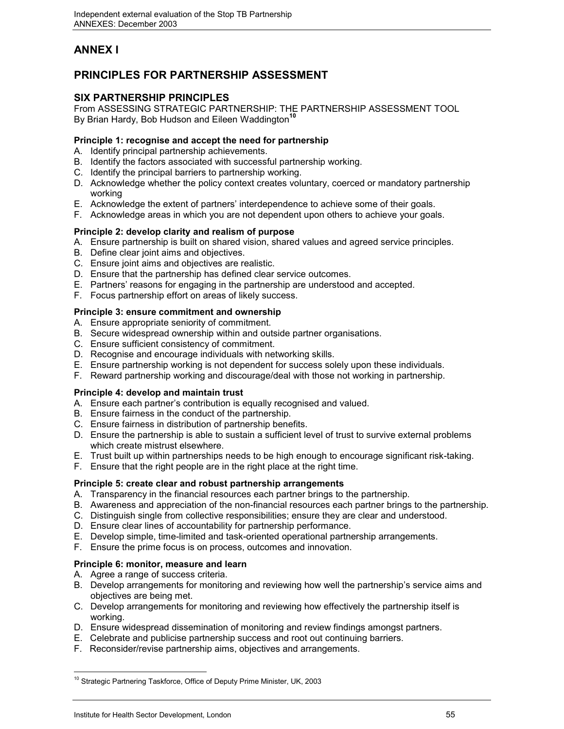# **ANNEX I**

# **PRINCIPLES FOR PARTNERSHIP ASSESSMENT**

# **SIX PARTNERSHIP PRINCIPLES**

From ASSESSING STRATEGIC PARTNERSHIP: THE PARTNERSHIP ASSESSMENT TOOL By Brian Hardy, Bob Hudson and Eileen Waddington**<sup>10</sup>**

### **Principle 1: recognise and accept the need for partnership**

- A. Identify principal partnership achievements.
- B. Identify the factors associated with successful partnership working.
- C. Identify the principal barriers to partnership working.
- D. Acknowledge whether the policy context creates voluntary, coerced or mandatory partnership working
- E. Acknowledge the extent of partners' interdependence to achieve some of their goals.
- F. Acknowledge areas in which you are not dependent upon others to achieve your goals.

### **Principle 2: develop clarity and realism of purpose**

- A. Ensure partnership is built on shared vision, shared values and agreed service principles.
- B. Define clear joint aims and objectives.
- C. Ensure joint aims and objectives are realistic.
- D. Ensure that the partnership has defined clear service outcomes.
- E. Partners' reasons for engaging in the partnership are understood and accepted.
- F. Focus partnership effort on areas of likely success.

### **Principle 3: ensure commitment and ownership**

- A. Ensure appropriate seniority of commitment.
- B. Secure widespread ownership within and outside partner organisations.
- C. Ensure sufficient consistency of commitment.
- D. Recognise and encourage individuals with networking skills.
- E. Ensure partnership working is not dependent for success solely upon these individuals.
- F. Reward partnership working and discourage/deal with those not working in partnership.

### **Principle 4: develop and maintain trust**

- A. Ensure each partner's contribution is equally recognised and valued.
- B. Ensure fairness in the conduct of the partnership.
- C. Ensure fairness in distribution of partnership benefits.
- D. Ensure the partnership is able to sustain a sufficient level of trust to survive external problems which create mistrust elsewhere.
- E. Trust built up within partnerships needs to be high enough to encourage significant risk-taking.
- F. Ensure that the right people are in the right place at the right time.

### **Principle 5: create clear and robust partnership arrangements**

- A. Transparency in the financial resources each partner brings to the partnership.
- B. Awareness and appreciation of the non-financial resources each partner brings to the partnership.
- C. Distinguish single from collective responsibilities; ensure they are clear and understood.
- D. Ensure clear lines of accountability for partnership performance.
- E. Develop simple, time-limited and task-oriented operational partnership arrangements.
- F. Ensure the prime focus is on process, outcomes and innovation.

### **Principle 6: monitor, measure and learn**

- A. Agree a range of success criteria.
- B. Develop arrangements for monitoring and reviewing how well the partnership's service aims and objectives are being met.
- C. Develop arrangements for monitoring and reviewing how effectively the partnership itself is working.
- D. Ensure widespread dissemination of monitoring and review findings amongst partners.
- E. Celebrate and publicise partnership success and root out continuing barriers.
- F. Reconsider/revise partnership aims, objectives and arrangements.

 $\overline{a}$ <sup>10</sup> Strategic Partnering Taskforce, Office of Deputy Prime Minister, UK, 2003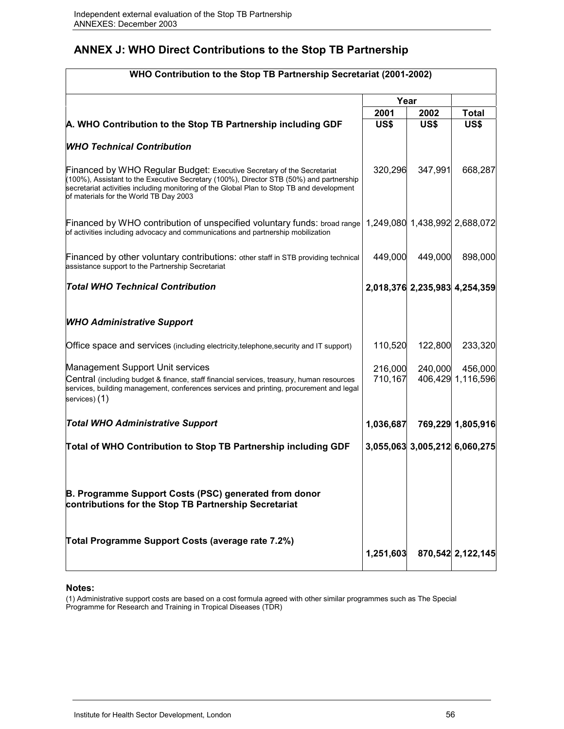# **ANNEX J: WHO Direct Contributions to the Stop TB Partnership**

| WHO Contribution to the Stop TB Partnership Secretariat (2001-2002)                                                                                                                                                                                                                                             |           |             |                               |
|-----------------------------------------------------------------------------------------------------------------------------------------------------------------------------------------------------------------------------------------------------------------------------------------------------------------|-----------|-------------|-------------------------------|
|                                                                                                                                                                                                                                                                                                                 | Year      |             |                               |
|                                                                                                                                                                                                                                                                                                                 | 2001      | 2002        | Total                         |
| A. WHO Contribution to the Stop TB Partnership including GDF                                                                                                                                                                                                                                                    | US\$      | <b>US\$</b> | <b>US\$</b>                   |
| <b>WHO Technical Contribution</b>                                                                                                                                                                                                                                                                               |           |             |                               |
| <b>Financed by WHO Regular Budget: Executive Secretary of the Secretariat</b><br>(100%), Assistant to the Executive Secretary (100%), Director STB (50%) and partnership<br>secretariat activities including monitoring of the Global Plan to Stop TB and development<br>of materials for the World TB Day 2003 | 320,296   | 347,991     | 668,287                       |
| Financed by WHO contribution of unspecified voluntary funds: broad range<br>of activities including advocacy and communications and partnership mobilization                                                                                                                                                    |           |             | 1,249,080 1,438,992 2,688,072 |
| Financed by other voluntary contributions: other staff in STB providing technical<br>assistance support to the Partnership Secretariat                                                                                                                                                                          | 449,000   | 449,000     | 898,000                       |
| Total WHO Technical Contribution                                                                                                                                                                                                                                                                                |           |             | 2,018,376 2,235,983 4,254,359 |
| <b>WHO Administrative Support</b>                                                                                                                                                                                                                                                                               |           |             |                               |
| Office space and services (including electricity, telephone, security and IT support)                                                                                                                                                                                                                           | 110,520   | 122,800     | 233,320                       |
| Management Support Unit services                                                                                                                                                                                                                                                                                | 216,000   | 240,000     | 456,000                       |
| Central (including budget & finance, staff financial services, treasury, human resources<br>services, building management, conferences services and printing, procurement and legal<br>services) (1)                                                                                                            | 710,167   |             | 406,429 1,116,596             |
| <b>Total WHO Administrative Support</b>                                                                                                                                                                                                                                                                         | 1,036,687 |             | 769,229 1,805,916             |
| Total of WHO Contribution to Stop TB Partnership including GDF                                                                                                                                                                                                                                                  |           |             | 3,055,063 3,005,212 6,060,275 |
| B. Programme Support Costs (PSC) generated from donor<br>contributions for the Stop TB Partnership Secretariat                                                                                                                                                                                                  |           |             |                               |
| Total Programme Support Costs (average rate 7.2%)                                                                                                                                                                                                                                                               | 1,251,603 |             | 870,542 2,122,145             |

### **Notes:**

(1) Administrative support costs are based on a cost formula agreed with other similar programmes such as The Special Programme for Research and Training in Tropical Diseases (TDR)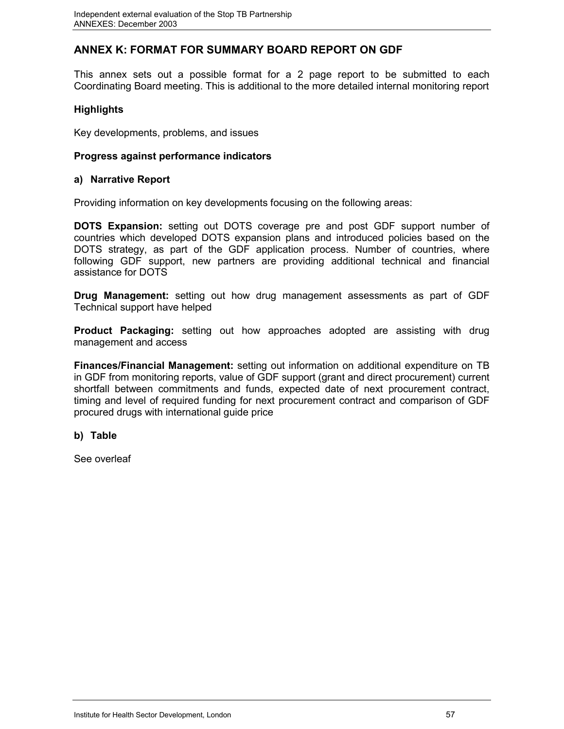# **ANNEX K: FORMAT FOR SUMMARY BOARD REPORT ON GDF**

This annex sets out a possible format for a 2 page report to be submitted to each Coordinating Board meeting. This is additional to the more detailed internal monitoring report

# **Highlights**

Key developments, problems, and issues

## **Progress against performance indicators**

### **a) Narrative Report**

Providing information on key developments focusing on the following areas:

**DOTS Expansion:** setting out DOTS coverage pre and post GDF support number of countries which developed DOTS expansion plans and introduced policies based on the DOTS strategy, as part of the GDF application process. Number of countries, where following GDF support, new partners are providing additional technical and financial assistance for DOTS

**Drug Management:** setting out how drug management assessments as part of GDF Technical support have helped

**Product Packaging:** setting out how approaches adopted are assisting with drug management and access

**Finances/Financial Management:** setting out information on additional expenditure on TB in GDF from monitoring reports, value of GDF support (grant and direct procurement) current shortfall between commitments and funds, expected date of next procurement contract, timing and level of required funding for next procurement contract and comparison of GDF procured drugs with international guide price

## **b) Table**

See overleaf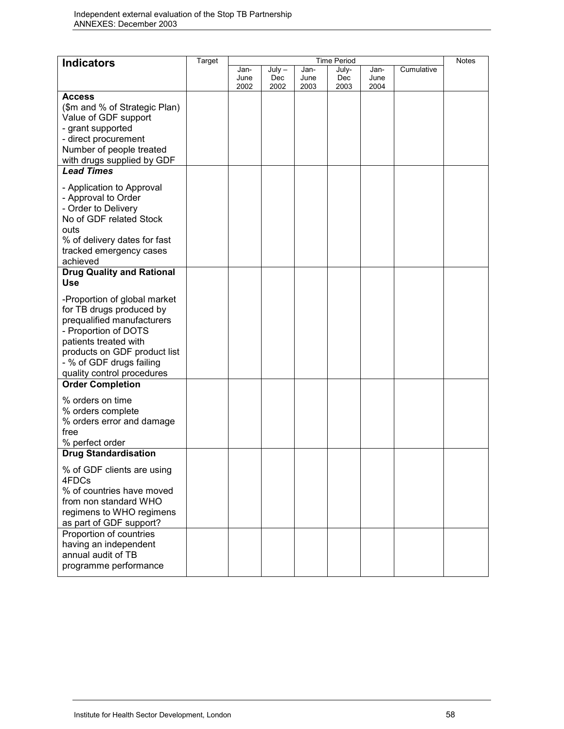| <b>Indicators</b>                                                                                                                                                                                                                 | <b>Target</b><br><b>Time Period</b> |              |             | <b>Notes</b> |             |              |            |  |
|-----------------------------------------------------------------------------------------------------------------------------------------------------------------------------------------------------------------------------------|-------------------------------------|--------------|-------------|--------------|-------------|--------------|------------|--|
|                                                                                                                                                                                                                                   |                                     | Jan-         | $July -$    | Jan-         | July-       | Jan-         | Cumulative |  |
|                                                                                                                                                                                                                                   |                                     | June<br>2002 | Dec<br>2002 | June<br>2003 | Dec<br>2003 | June<br>2004 |            |  |
| <b>Access</b>                                                                                                                                                                                                                     |                                     |              |             |              |             |              |            |  |
| (\$m and % of Strategic Plan)                                                                                                                                                                                                     |                                     |              |             |              |             |              |            |  |
| Value of GDF support                                                                                                                                                                                                              |                                     |              |             |              |             |              |            |  |
| - grant supported                                                                                                                                                                                                                 |                                     |              |             |              |             |              |            |  |
| - direct procurement                                                                                                                                                                                                              |                                     |              |             |              |             |              |            |  |
| Number of people treated                                                                                                                                                                                                          |                                     |              |             |              |             |              |            |  |
| with drugs supplied by GDF                                                                                                                                                                                                        |                                     |              |             |              |             |              |            |  |
| <b>Lead Times</b>                                                                                                                                                                                                                 |                                     |              |             |              |             |              |            |  |
| - Application to Approval<br>- Approval to Order<br>- Order to Delivery<br>No of GDF related Stock<br>outs<br>% of delivery dates for fast<br>tracked emergency cases<br>achieved                                                 |                                     |              |             |              |             |              |            |  |
| <b>Drug Quality and Rational</b><br><b>Use</b>                                                                                                                                                                                    |                                     |              |             |              |             |              |            |  |
| -Proportion of global market<br>for TB drugs produced by<br>prequalified manufacturers<br>- Proportion of DOTS<br>patients treated with<br>products on GDF product list<br>- % of GDF drugs failing<br>quality control procedures |                                     |              |             |              |             |              |            |  |
| <b>Order Completion</b>                                                                                                                                                                                                           |                                     |              |             |              |             |              |            |  |
| % orders on time                                                                                                                                                                                                                  |                                     |              |             |              |             |              |            |  |
| % orders complete                                                                                                                                                                                                                 |                                     |              |             |              |             |              |            |  |
| % orders error and damage                                                                                                                                                                                                         |                                     |              |             |              |             |              |            |  |
| free                                                                                                                                                                                                                              |                                     |              |             |              |             |              |            |  |
| % perfect order                                                                                                                                                                                                                   |                                     |              |             |              |             |              |            |  |
| <b>Drug Standardisation</b>                                                                                                                                                                                                       |                                     |              |             |              |             |              |            |  |
| % of GDF clients are using<br>4FDCs                                                                                                                                                                                               |                                     |              |             |              |             |              |            |  |
| % of countries have moved                                                                                                                                                                                                         |                                     |              |             |              |             |              |            |  |
| from non standard WHO                                                                                                                                                                                                             |                                     |              |             |              |             |              |            |  |
| regimens to WHO regimens                                                                                                                                                                                                          |                                     |              |             |              |             |              |            |  |
| as part of GDF support?                                                                                                                                                                                                           |                                     |              |             |              |             |              |            |  |
| Proportion of countries                                                                                                                                                                                                           |                                     |              |             |              |             |              |            |  |
| having an independent<br>annual audit of TB                                                                                                                                                                                       |                                     |              |             |              |             |              |            |  |
| programme performance                                                                                                                                                                                                             |                                     |              |             |              |             |              |            |  |
|                                                                                                                                                                                                                                   |                                     |              |             |              |             |              |            |  |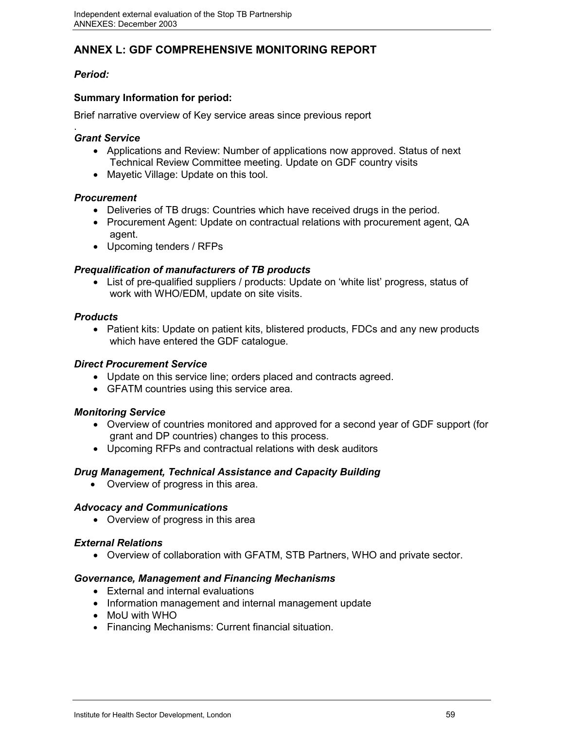# **ANNEX L: GDF COMPREHENSIVE MONITORING REPORT**

# *Period:*

# **Summary Information for period:**

Brief narrative overview of Key service areas since previous report

### . *Grant Service*

- Applications and Review: Number of applications now approved. Status of next Technical Review Committee meeting. Update on GDF country visits
- Mayetic Village: Update on this tool.

## *Procurement*

- Deliveries of TB drugs: Countries which have received drugs in the period.
- Procurement Agent: Update on contractual relations with procurement agent, QA agent.
- Upcoming tenders / RFPs

# *Prequalification of manufacturers of TB products*

 List of pre-qualified suppliers / products: Update on 'white list' progress, status of work with WHO/EDM, update on site visits.

# *Products*

• Patient kits: Update on patient kits, blistered products, FDCs and any new products which have entered the GDF catalogue.

### *Direct Procurement Service*

- Update on this service line; orders placed and contracts agreed.
- GFATM countries using this service area.

## *Monitoring Service*

- Overview of countries monitored and approved for a second year of GDF support (for grant and DP countries) changes to this process.
- Upcoming RFPs and contractual relations with desk auditors

## *Drug Management, Technical Assistance and Capacity Building*

• Overview of progress in this area.

## *Advocacy and Communications*

• Overview of progress in this area

## *External Relations*

Overview of collaboration with GFATM, STB Partners, WHO and private sector.

## *Governance, Management and Financing Mechanisms*

- External and internal evaluations
- Information management and internal management update
- MoU with WHO
- Financing Mechanisms: Current financial situation.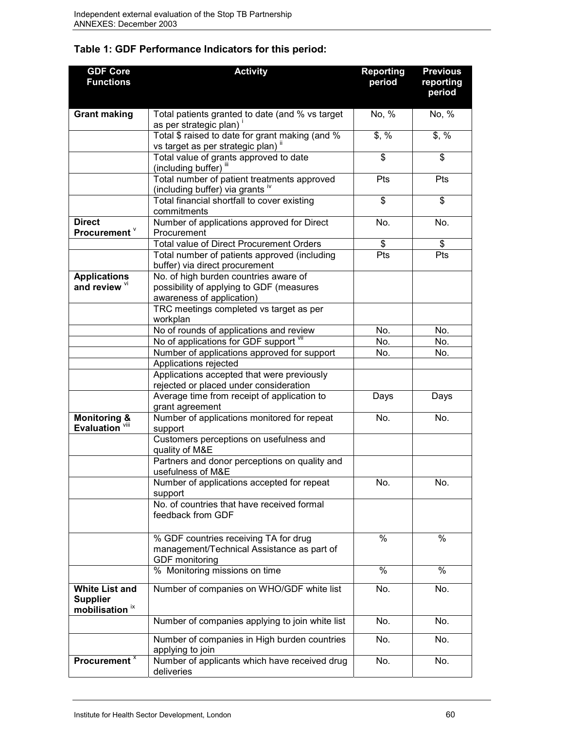| <b>GDF Core</b><br><b>Functions</b>                                    | <b>Activity</b>                                                                                                | <b>Reporting</b><br>period | <b>Previous</b><br>reporting<br>period |
|------------------------------------------------------------------------|----------------------------------------------------------------------------------------------------------------|----------------------------|----------------------------------------|
| <b>Grant making</b>                                                    | Total patients granted to date (and % vs target<br>as per strategic plan)                                      | No, %                      | No, %                                  |
|                                                                        | Total \$ raised to date for grant making (and %<br>vs target as per strategic plan)"                           | \$, %                      | \$, %                                  |
|                                                                        | Total value of grants approved to date<br>(including buffer) "                                                 | \$                         | \$                                     |
|                                                                        | Total number of patient treatments approved<br>(including buffer) via grants iv                                | <b>Pts</b>                 | <b>Pts</b>                             |
|                                                                        | Total financial shortfall to cover existing<br>commitments                                                     | \$                         | \$                                     |
| <b>Direct</b><br>Procurement <sup>V</sup>                              | Number of applications approved for Direct<br>Procurement                                                      | No.                        | No.                                    |
|                                                                        | Total value of Direct Procurement Orders                                                                       | \$                         | \$                                     |
|                                                                        | Total number of patients approved (including<br>buffer) via direct procurement                                 | Pts                        | Pts                                    |
| <b>Applications</b><br>and review vi                                   | No. of high burden countries aware of<br>possibility of applying to GDF (measures<br>awareness of application) |                            |                                        |
|                                                                        | TRC meetings completed vs target as per<br>workplan                                                            |                            |                                        |
|                                                                        | No of rounds of applications and review                                                                        | No.                        | No.                                    |
|                                                                        | No of applications for GDF support VII                                                                         | No.                        | No.                                    |
|                                                                        | Number of applications approved for support                                                                    | No.                        | No.                                    |
|                                                                        | Applications rejected                                                                                          |                            |                                        |
|                                                                        | Applications accepted that were previously<br>rejected or placed under consideration                           |                            |                                        |
|                                                                        | Average time from receipt of application to<br>grant agreement                                                 | Days                       | Days                                   |
| <b>Monitoring &amp;</b><br>Evaluation <sup>viii</sup>                  | Number of applications monitored for repeat<br>support                                                         | No.                        | No.                                    |
|                                                                        | Customers perceptions on usefulness and<br>quality of M&E                                                      |                            |                                        |
|                                                                        | Partners and donor perceptions on quality and<br>usefulness of M&E                                             |                            |                                        |
|                                                                        | Number of applications accepted for repeat<br>support                                                          | No.                        | No.                                    |
|                                                                        | No. of countries that have received formal<br>feedback from GDF                                                |                            |                                        |
|                                                                        | % GDF countries receiving TA for drug<br>management/Technical Assistance as part of<br><b>GDF</b> monitoring   | $\%$                       | $\%$                                   |
|                                                                        | % Monitoring missions on time                                                                                  | $\%$                       | $\%$                                   |
| <b>White List and</b><br><b>Supplier</b><br>mobilisation <sup>ix</sup> | Number of companies on WHO/GDF white list                                                                      | No.                        | No.                                    |
|                                                                        | Number of companies applying to join white list                                                                | No.                        | No.                                    |
|                                                                        | Number of companies in High burden countries<br>applying to join                                               | No.                        | No.                                    |
| Procurement <sup>x</sup>                                               | Number of applicants which have received drug<br>deliveries                                                    | No.                        | No.                                    |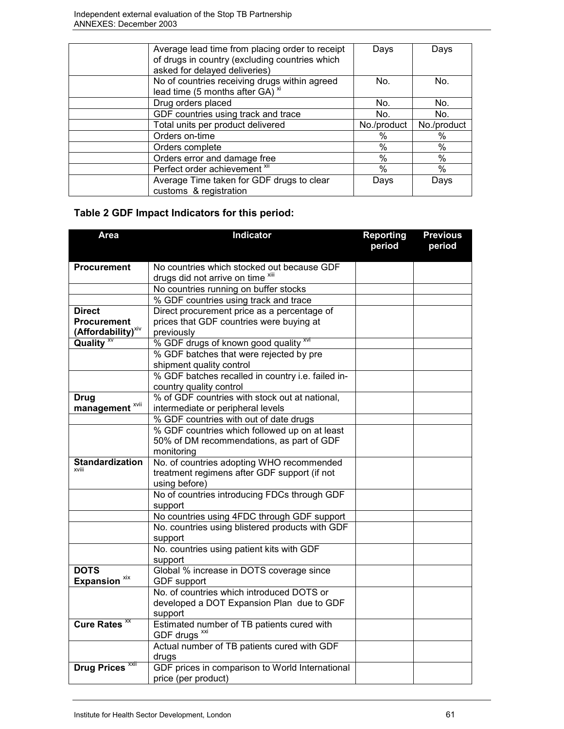| Average lead time from placing order to receipt<br>of drugs in country (excluding countries which<br>asked for delayed deliveries) | Days        | Days        |
|------------------------------------------------------------------------------------------------------------------------------------|-------------|-------------|
| No of countries receiving drugs within agreed<br>lead time (5 months after GA) <sup>*</sup>                                        | No.         | No.         |
| Drug orders placed                                                                                                                 | No.         | No.         |
| GDF countries using track and trace                                                                                                | No.         | No.         |
| Total units per product delivered                                                                                                  | No./product | No./product |
| Orders on-time                                                                                                                     | $\%$        | ℅           |
| Orders complete                                                                                                                    | $\%$        | $\%$        |
| Orders error and damage free                                                                                                       | $\%$        | %           |
| Perfect order achievement <sup>xii</sup>                                                                                           | %           | %           |
| Average Time taken for GDF drugs to clear<br>customs & registration                                                                | Days        | Days        |

# **Table 2 GDF Impact Indicators for this period:**

| <b>Area</b>                               | Indicator                                                                 | <b>Reporting</b><br>period | <b>Previous</b><br>period |
|-------------------------------------------|---------------------------------------------------------------------------|----------------------------|---------------------------|
| <b>Procurement</b>                        | No countries which stocked out because GDF                                |                            |                           |
|                                           | drugs did not arrive on time xill                                         |                            |                           |
|                                           | No countries running on buffer stocks                                     |                            |                           |
|                                           | % GDF countries using track and trace                                     |                            |                           |
| <b>Direct</b>                             | Direct procurement price as a percentage of                               |                            |                           |
| <b>Procurement</b>                        | prices that GDF countries were buying at                                  |                            |                           |
| (Affordability) <sup>xiv</sup>            | previously                                                                |                            |                           |
| Quality <sup>x</sup>                      | % GDF drugs of known good quality xvi                                     |                            |                           |
|                                           | % GDF batches that were rejected by pre                                   |                            |                           |
|                                           | shipment quality control                                                  |                            |                           |
|                                           | % GDF batches recalled in country i.e. failed in-                         |                            |                           |
|                                           | country quality control<br>% of GDF countries with stock out at national, |                            |                           |
| <b>Drug</b><br>management <sup>xvii</sup> | intermediate or peripheral levels                                         |                            |                           |
|                                           | % GDF countries with out of date drugs                                    |                            |                           |
|                                           | % GDF countries which followed up on at least                             |                            |                           |
|                                           | 50% of DM recommendations, as part of GDF                                 |                            |                           |
|                                           | monitoring                                                                |                            |                           |
| <b>Standardization</b>                    | No. of countries adopting WHO recommended                                 |                            |                           |
| xviii                                     | treatment regimens after GDF support (if not                              |                            |                           |
|                                           | using before)                                                             |                            |                           |
|                                           | No of countries introducing FDCs through GDF                              |                            |                           |
|                                           | support                                                                   |                            |                           |
|                                           | No countries using 4FDC through GDF support                               |                            |                           |
|                                           | No. countries using blistered products with GDF                           |                            |                           |
|                                           | support                                                                   |                            |                           |
|                                           | No. countries using patient kits with GDF                                 |                            |                           |
|                                           | support                                                                   |                            |                           |
| <b>DOTS</b>                               | Global % increase in DOTS coverage since                                  |                            |                           |
| Expansion <sup>xix</sup>                  | <b>GDF</b> support                                                        |                            |                           |
|                                           | No. of countries which introduced DOTS or                                 |                            |                           |
|                                           | developed a DOT Expansion Plan due to GDF                                 |                            |                           |
| <b>Cure Rates XX</b>                      | support<br>Estimated number of TB patients cured with                     |                            |                           |
|                                           | GDF drugs <sup>xxi</sup>                                                  |                            |                           |
|                                           | Actual number of TB patients cured with GDF                               |                            |                           |
|                                           | drugs                                                                     |                            |                           |
| XXII<br><b>Drug Prices</b>                | GDF prices in comparison to World International                           |                            |                           |
|                                           | price (per product)                                                       |                            |                           |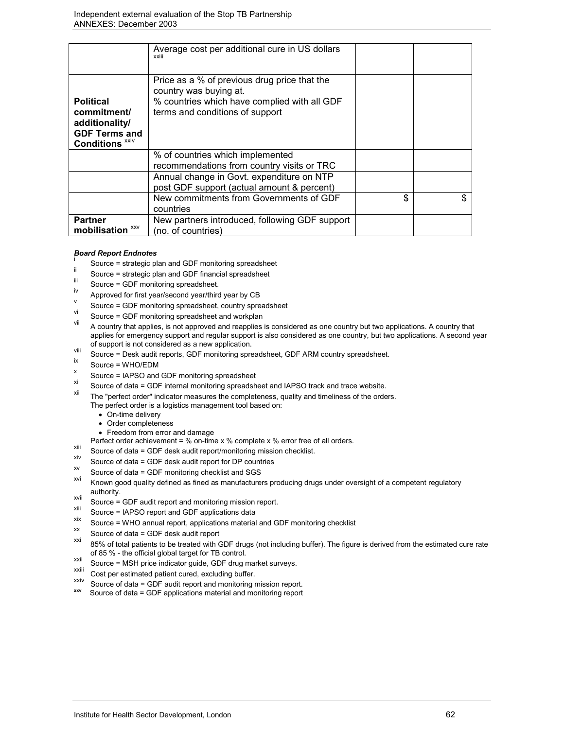|                            | Average cost per additional cure in US dollars<br>xxiii                |    |
|----------------------------|------------------------------------------------------------------------|----|
|                            |                                                                        |    |
|                            | Price as a % of previous drug price that the<br>country was buying at. |    |
| <b>Political</b>           | % countries which have complied with all GDF                           |    |
| commitment/                | terms and conditions of support                                        |    |
| additionality/             |                                                                        |    |
| <b>GDF Terms and</b>       |                                                                        |    |
| Conditions <sup>xxiv</sup> |                                                                        |    |
|                            | % of countries which implemented                                       |    |
|                            | recommendations from country visits or TRC                             |    |
|                            | Annual change in Govt. expenditure on NTP                              |    |
|                            | post GDF support (actual amount & percent)                             |    |
|                            | New commitments from Governments of GDF                                | \$ |
|                            | countries                                                              |    |
| <b>Partner</b>             | New partners introduced, following GDF support                         |    |
| XXV<br>mobilisation        | (no. of countries)                                                     |    |

#### *Board Report Endnotes*

- i Source = strategic plan and GDF monitoring spreadsheet
- <sup>"</sup> Source = strategic plan and GDF financial spreadsheet
- $\frac{1}{11}$  Source = GDF monitoring spreadsheet.
- 
- <sup>1</sup> Approved for first year/second year/third year by CB<br>
Source = GDF monitoring spreadsheet, country spreadsheet
- Source = GDF monitoring spreadsheet and workplan
- A country that applies, is not approved and reapplies is considered as one country but two applications. A country that applies for emergency support and regular support is also considered as one country, but two applications. A second year
- of support is not considered as a new application.<br>
Vill Source = Desk audit reports, GDF monitoring spreadsheet, GDF ARM country spreadsheet.<br>  $\frac{1}{10}$
- 
- $\frac{x}{x}$  Source = WHO/EDM<br>  $\frac{x}{x}$  Source = IAPSO and GDF monitoring spreadsheet
- $x_i$  Source of data = GDF internal monitoring spreadsheet and IAPSO track and trace website.
- The "perfect order" indicator measures the completeness, quality and timeliness of the orders. The perfect order is a logistics management tool based on:
	- On-time delivery
	- Order completeness
	- Freedom from error and damage
- Perfect order achievement = % on-time x % complete x % error free of all orders.<br>Source of data = GDF desk audit report/monitoring mission checklist.
	-
- x<sup>xiv</sup> Source of data = GDF desk audit report for DP countries  $\frac{xy}{x}$  Source of data = GDF monitoring checklist and SGS
- 
- Known good quality defined as fined as manufacturers producing drugs under oversight of a competent regulatory
- authority.<br>
Source = GDF audit report and monitoring mission report.<br>
<sup>XIII</sup> 2011 1999 1999 1995 1995 1995 1995 1995 1997 1997 1998 1999 1999 1999 1999 1999 1999 1999 1999 1999 1999
- $\frac{x}{x}$  Source = IAPSO report and GDF applications data
- xix Source = WHO annual report, applications material and GDF monitoring checklist<br>  $\frac{xx}{x}$  Source of data = GDF desk audit report
- 
- 85% of total patients to be treated with GDF drugs (not including buffer). The figure is derived from the estimated cure rate
- of 85 % the official global target for TB control.<br>
Source = MSH price indicator guide, GDF drug market surveys.<br>
XXIII
- $\frac{x}{x}$  Cost per estimated patient cured, excluding buffer.
- xxiv Source of data = GDF audit report and monitoring mission report. **xxv** Source of data = GDF applications material and monitoring report
-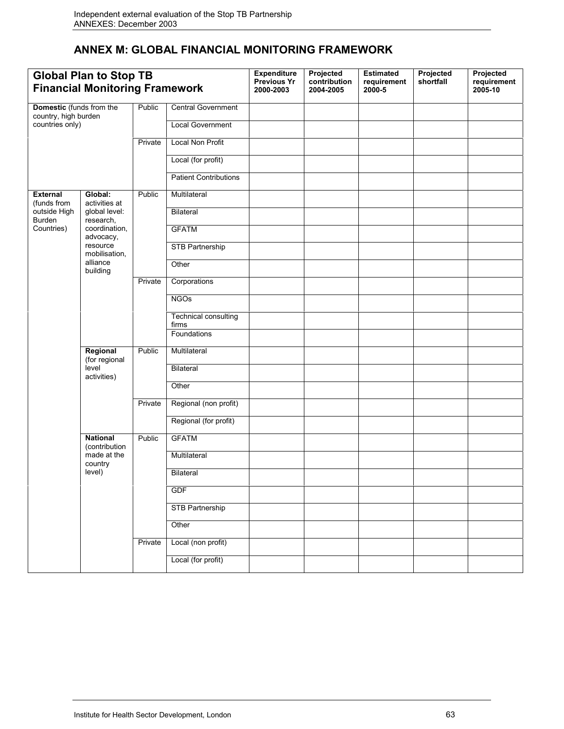# **ANNEX M: GLOBAL FINANCIAL MONITORING FRAMEWORK**

| <b>Global Plan to Stop TB</b><br><b>Financial Monitoring Framework</b> |                                                                      |         | <b>Expenditure</b><br><b>Previous Yr</b><br>2000-2003 | Projected<br>contribution<br>2004-2005 | <b>Estimated</b><br>requirement<br>2000-5 | Projected<br>shortfall | Projected<br>requirement<br>2005-10 |  |
|------------------------------------------------------------------------|----------------------------------------------------------------------|---------|-------------------------------------------------------|----------------------------------------|-------------------------------------------|------------------------|-------------------------------------|--|
| Domestic (funds from the<br>country, high burden<br>countries only)    |                                                                      | Public  | <b>Central Government</b>                             |                                        |                                           |                        |                                     |  |
|                                                                        |                                                                      |         | <b>Local Government</b>                               |                                        |                                           |                        |                                     |  |
|                                                                        |                                                                      | Private | <b>Local Non Profit</b>                               |                                        |                                           |                        |                                     |  |
|                                                                        |                                                                      |         | Local (for profit)                                    |                                        |                                           |                        |                                     |  |
|                                                                        |                                                                      |         | <b>Patient Contributions</b>                          |                                        |                                           |                        |                                     |  |
| <b>External</b><br>(funds from                                         | Global:<br>activities at                                             | Public  | Multilateral                                          |                                        |                                           |                        |                                     |  |
| outside High<br>Burden                                                 | global level:<br>research,                                           |         | <b>Bilateral</b>                                      |                                        |                                           |                        |                                     |  |
| Countries)                                                             | coordination,<br>advocacy,                                           |         | <b>GFATM</b>                                          |                                        |                                           |                        |                                     |  |
|                                                                        | resource<br>mobilisation,                                            |         | <b>STB Partnership</b>                                |                                        |                                           |                        |                                     |  |
|                                                                        | alliance<br>building                                                 |         | Other                                                 |                                        |                                           |                        |                                     |  |
|                                                                        |                                                                      | Private | Corporations                                          |                                        |                                           |                        |                                     |  |
|                                                                        |                                                                      |         | <b>NGOs</b>                                           |                                        |                                           |                        |                                     |  |
|                                                                        |                                                                      |         | Technical consulting<br>firms                         |                                        |                                           |                        |                                     |  |
|                                                                        |                                                                      |         | Foundations                                           |                                        |                                           |                        |                                     |  |
|                                                                        | Regional<br>(for regional<br>level<br>activities)                    | Public  | Multilateral                                          |                                        |                                           |                        |                                     |  |
|                                                                        |                                                                      |         | <b>Bilateral</b>                                      |                                        |                                           |                        |                                     |  |
|                                                                        |                                                                      |         | Other                                                 |                                        |                                           |                        |                                     |  |
|                                                                        |                                                                      | Private | Regional (non profit)                                 |                                        |                                           |                        |                                     |  |
|                                                                        |                                                                      |         | Regional (for profit)                                 |                                        |                                           |                        |                                     |  |
|                                                                        | <b>National</b><br>(contribution<br>made at the<br>country<br>level) | Public  | <b>GFATM</b>                                          |                                        |                                           |                        |                                     |  |
|                                                                        |                                                                      |         | Multilateral                                          |                                        |                                           |                        |                                     |  |
|                                                                        |                                                                      |         | <b>Bilateral</b>                                      |                                        |                                           |                        |                                     |  |
|                                                                        |                                                                      |         | <b>GDF</b>                                            |                                        |                                           |                        |                                     |  |
|                                                                        |                                                                      |         | STB Partnership                                       |                                        |                                           |                        |                                     |  |
|                                                                        |                                                                      |         | Other                                                 |                                        |                                           |                        |                                     |  |
|                                                                        |                                                                      | Private | Local (non profit)                                    |                                        |                                           |                        |                                     |  |
|                                                                        |                                                                      |         | Local (for profit)                                    |                                        |                                           |                        |                                     |  |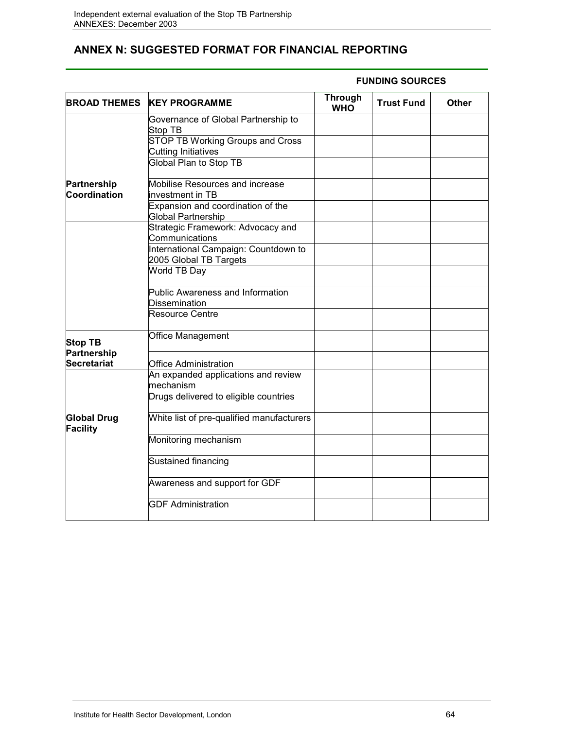# **ANNEX N: SUGGESTED FORMAT FOR FINANCIAL REPORTING**

| <b>BROAD THEMES</b>                   | <b>KEY PROGRAMME</b>                                            | <b>Through</b><br><b>WHO</b> | <b>Trust Fund</b> | Other |
|---------------------------------------|-----------------------------------------------------------------|------------------------------|-------------------|-------|
|                                       | Governance of Global Partnership to<br>Stop TB                  |                              |                   |       |
|                                       | STOP TB Working Groups and Cross<br><b>Cutting Initiatives</b>  |                              |                   |       |
|                                       | Global Plan to Stop TB                                          |                              |                   |       |
| Partnership<br>Coordination           | Mobilise Resources and increase<br>investment in TB             |                              |                   |       |
|                                       | Expansion and coordination of the<br>Global Partnership         |                              |                   |       |
|                                       | Strategic Framework: Advocacy and<br>Communications             |                              |                   |       |
|                                       | International Campaign: Countdown to<br>2005 Global TB Targets  |                              |                   |       |
|                                       | World TB Day                                                    |                              |                   |       |
|                                       | <b>Public Awareness and Information</b><br><b>Dissemination</b> |                              |                   |       |
|                                       | <b>Resource Centre</b>                                          |                              |                   |       |
| <b>Stop TB</b><br>Partnership         | Office Management                                               |                              |                   |       |
| Secretariat                           | <b>Office Administration</b>                                    |                              |                   |       |
|                                       | An expanded applications and review<br>mechanism                |                              |                   |       |
|                                       | Drugs delivered to eligible countries                           |                              |                   |       |
| <b>Global Drug</b><br><b>Facility</b> | White list of pre-qualified manufacturers                       |                              |                   |       |
|                                       | Monitoring mechanism                                            |                              |                   |       |
|                                       | Sustained financing                                             |                              |                   |       |
|                                       | Awareness and support for GDF                                   |                              |                   |       |
|                                       | <b>GDF Administration</b>                                       |                              |                   |       |

### **FUNDING SOURCES**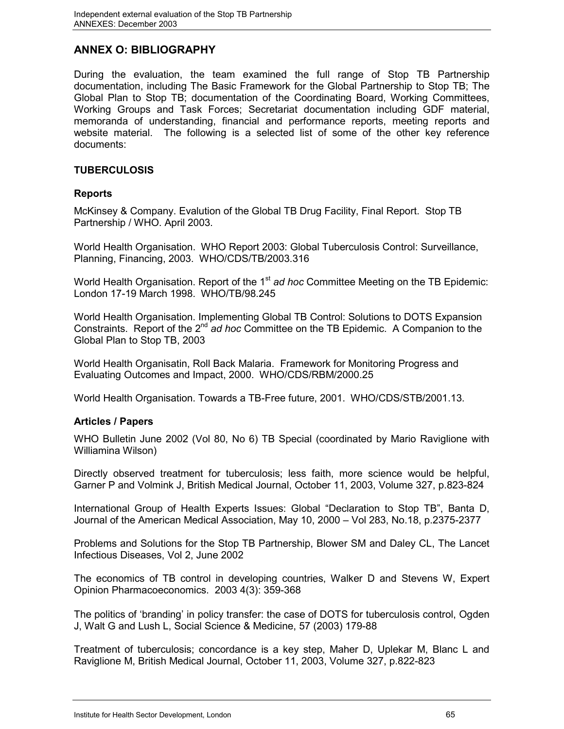# **ANNEX O: BIBLIOGRAPHY**

During the evaluation, the team examined the full range of Stop TB Partnership documentation, including The Basic Framework for the Global Partnership to Stop TB; The Global Plan to Stop TB; documentation of the Coordinating Board, Working Committees, Working Groups and Task Forces; Secretariat documentation including GDF material, memoranda of understanding, financial and performance reports, meeting reports and website material. The following is a selected list of some of the other key reference documents:

### **TUBERCULOSIS**

### **Reports**

McKinsey & Company. Evalution of the Global TB Drug Facility, Final Report. Stop TB Partnership / WHO. April 2003.

World Health Organisation. WHO Report 2003: Global Tuberculosis Control: Surveillance, Planning, Financing, 2003. WHO/CDS/TB/2003.316

World Health Organisation. Report of the 1<sup>st</sup> ad hoc Committee Meeting on the TB Epidemic: London 17-19 March 1998. WHO/TB/98.245

World Health Organisation. Implementing Global TB Control: Solutions to DOTS Expansion Constraints. Report of the 2<sup>nd</sup> ad hoc Committee on the TB Epidemic. A Companion to the Global Plan to Stop TB, 2003

World Health Organisatin, Roll Back Malaria. Framework for Monitoring Progress and Evaluating Outcomes and Impact, 2000. WHO/CDS/RBM/2000.25

World Health Organisation. Towards a TB-Free future, 2001. WHO/CDS/STB/2001.13.

### **Articles / Papers**

WHO Bulletin June 2002 (Vol 80, No 6) TB Special (coordinated by Mario Raviglione with Williamina Wilson)

Directly observed treatment for tuberculosis; less faith, more science would be helpful, Garner P and Volmink J, British Medical Journal, October 11, 2003, Volume 327, p.823-824

International Group of Health Experts Issues: Global "Declaration to Stop TB", Banta D, Journal of the American Medical Association, May 10, 2000 – Vol 283, No.18, p.2375-2377

Problems and Solutions for the Stop TB Partnership, Blower SM and Daley CL, The Lancet Infectious Diseases, Vol 2, June 2002

The economics of TB control in developing countries, Walker D and Stevens W, Expert Opinion Pharmacoeconomics. 2003 4(3): 359-368

The politics of 'branding' in policy transfer: the case of DOTS for tuberculosis control, Ogden J, Walt G and Lush L, Social Science & Medicine, 57 (2003) 179-88

Treatment of tuberculosis; concordance is a key step, Maher D, Uplekar M, Blanc L and Raviglione M, British Medical Journal, October 11, 2003, Volume 327, p.822-823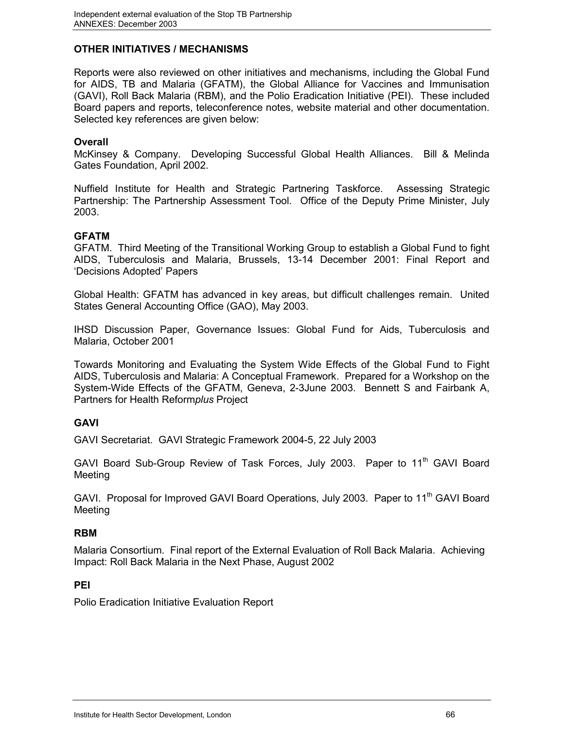# **OTHER INITIATIVES / MECHANISMS**

Reports were also reviewed on other initiatives and mechanisms, including the Global Fund for AIDS, TB and Malaria (GFATM), the Global Alliance for Vaccines and Immunisation (GAVI), Roll Back Malaria (RBM), and the Polio Eradication Initiative (PEI). These included Board papers and reports, teleconference notes, website material and other documentation. Selected key references are given below:

### **Overall**

McKinsey & Company. Developing Successful Global Health Alliances. Bill & Melinda Gates Foundation, April 2002.

Nuffield Institute for Health and Strategic Partnering Taskforce. Assessing Strategic Partnership: The Partnership Assessment Tool. Office of the Deputy Prime Minister, July 2003.

### **GFATM**

GFATM. Third Meeting of the Transitional Working Group to establish a Global Fund to fight AIDS, Tuberculosis and Malaria, Brussels, 13-14 December 2001: Final Report and 'Decisions Adopted' Papers

Global Health: GFATM has advanced in key areas, but difficult challenges remain. United States General Accounting Office (GAO), May 2003.

IHSD Discussion Paper, Governance Issues: Global Fund for Aids, Tuberculosis and Malaria, October 2001

Towards Monitoring and Evaluating the System Wide Effects of the Global Fund to Fight AIDS, Tuberculosis and Malaria: A Conceptual Framework. Prepared for a Workshop on the System-Wide Effects of the GFATM, Geneva, 2-3June 2003. Bennett S and Fairbank A, Partners for Health Reform*plus* Project

## **GAVI**

GAVI Secretariat. GAVI Strategic Framework 2004-5, 22 July 2003

GAVI Board Sub-Group Review of Task Forces, July 2003. Paper to 11<sup>th</sup> GAVI Board Meeting

GAVI. Proposal for Improved GAVI Board Operations, July 2003. Paper to 11<sup>th</sup> GAVI Board Meeting

### **RBM**

Malaria Consortium. Final report of the External Evaluation of Roll Back Malaria. Achieving Impact: Roll Back Malaria in the Next Phase, August 2002

### **PEI**

Polio Eradication Initiative Evaluation Report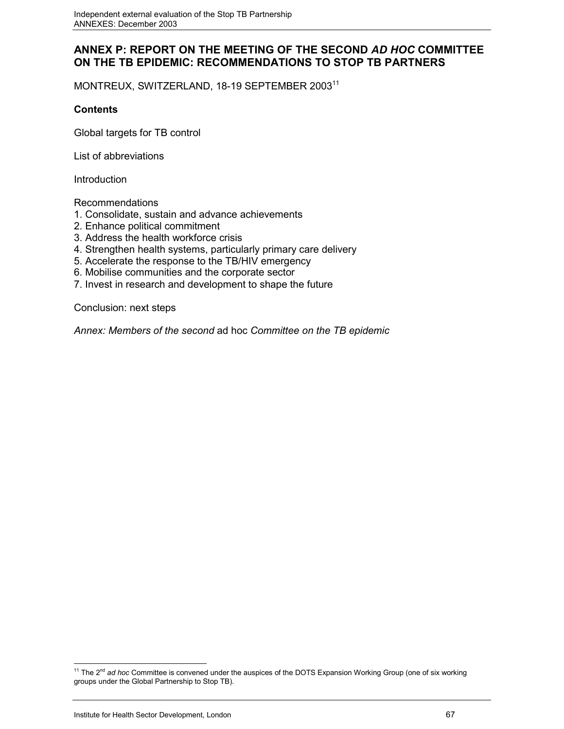# **ANNEX P: REPORT ON THE MEETING OF THE SECOND** *AD HOC* **COMMITTEE ON THE TB EPIDEMIC: RECOMMENDATIONS TO STOP TB PARTNERS**

MONTREUX, SWITZERLAND, 18-19 SEPTEMBER 200311

### **Contents**

Global targets for TB control

List of abbreviations

Introduction

Recommendations

- 1. Consolidate, sustain and advance achievements
- 2. Enhance political commitment
- 3. Address the health workforce crisis
- 4. Strengthen health systems, particularly primary care delivery
- 5. Accelerate the response to the TB/HIV emergency
- 6. Mobilise communities and the corporate sector
- 7. Invest in research and development to shape the future

Conclusion: next steps

*Annex: Members of the second* ad hoc *Committee on the TB epidemic*

 $\overline{a}$ <sup>11</sup> The 2<sup>nd</sup> ad hoc Committee is convened under the auspices of the DOTS Expansion Working Group (one of six working groups under the Global Partnership to Stop TB).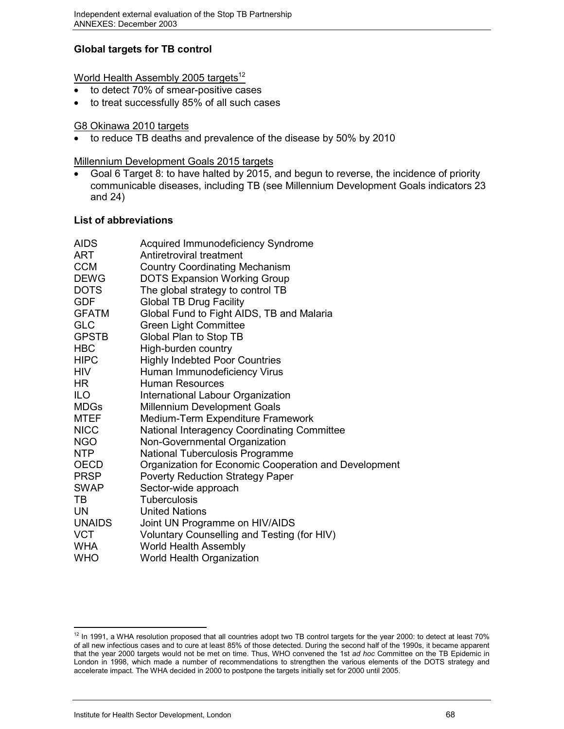# **Global targets for TB control**

World Health Assembly 2005 targets $12$ 

- to detect 70% of smear-positive cases
- to treat successfully 85% of all such cases

### G8 Okinawa 2010 targets

to reduce TB deaths and prevalence of the disease by 50% by 2010

Millennium Development Goals 2015 targets

 Goal 6 Target 8: to have halted by 2015, and begun to reverse, the incidence of priority communicable diseases, including TB (see Millennium Development Goals indicators 23 and 24)

## **List of abbreviations**

| <b>AIDS</b>   | Acquired Immunodeficiency Syndrome                    |
|---------------|-------------------------------------------------------|
| ART           | Antiretroviral treatment                              |
| <b>CCM</b>    | <b>Country Coordinating Mechanism</b>                 |
| <b>DEWG</b>   | <b>DOTS Expansion Working Group</b>                   |
| <b>DOTS</b>   | The global strategy to control TB                     |
| <b>GDF</b>    | <b>Global TB Drug Facility</b>                        |
| <b>GFATM</b>  | Global Fund to Fight AIDS, TB and Malaria             |
| <b>GLC</b>    | <b>Green Light Committee</b>                          |
| <b>GPSTB</b>  | Global Plan to Stop TB                                |
| <b>HBC</b>    | High-burden country                                   |
| <b>HIPC</b>   | <b>Highly Indebted Poor Countries</b>                 |
| <b>HIV</b>    | Human Immunodeficiency Virus                          |
| HR.           | <b>Human Resources</b>                                |
| <b>ILO</b>    | International Labour Organization                     |
| <b>MDGs</b>   | <b>Millennium Development Goals</b>                   |
| <b>MTEF</b>   | Medium-Term Expenditure Framework                     |
| <b>NICC</b>   | National Interagency Coordinating Committee           |
| <b>NGO</b>    | Non-Governmental Organization                         |
| <b>NTP</b>    | National Tuberculosis Programme                       |
| <b>OECD</b>   | Organization for Economic Cooperation and Development |
| <b>PRSP</b>   | <b>Poverty Reduction Strategy Paper</b>               |
| <b>SWAP</b>   | Sector-wide approach                                  |
| <b>TB</b>     | <b>Tuberculosis</b>                                   |
| <b>UN</b>     | <b>United Nations</b>                                 |
| <b>UNAIDS</b> | Joint UN Programme on HIV/AIDS                        |
| <b>VCT</b>    | Voluntary Counselling and Testing (for HIV)           |
| <b>WHA</b>    | World Health Assembly                                 |
| <b>WHO</b>    | World Health Organization                             |

 $\overline{a}$  $12$  In 1991, a WHA resolution proposed that all countries adopt two TB control targets for the year 2000: to detect at least 70% of all new infectious cases and to cure at least 85% of those detected. During the second half of the 1990s, it became apparent that the year 2000 targets would not be met on time. Thus, WHO convened the 1st *ad hoc* Committee on the TB Epidemic in London in 1998, which made a number of recommendations to strengthen the various elements of the DOTS strategy and accelerate impact. The WHA decided in 2000 to postpone the targets initially set for 2000 until 2005.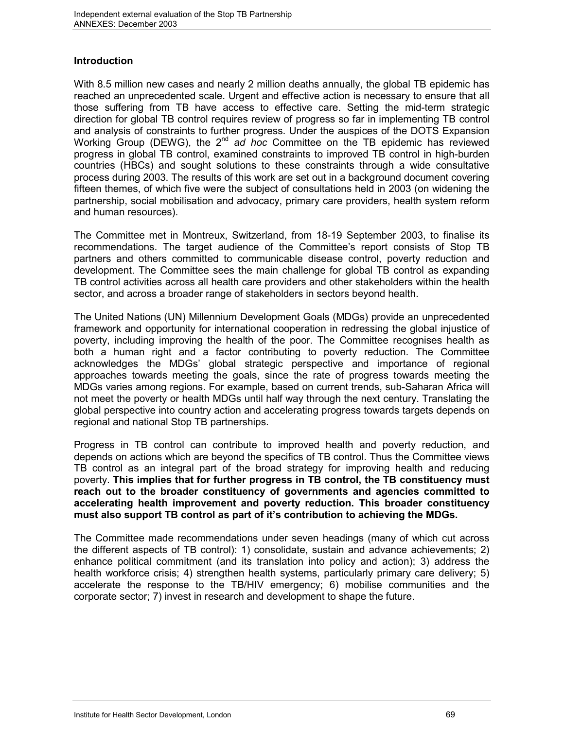## **Introduction**

With 8.5 million new cases and nearly 2 million deaths annually, the global TB epidemic has reached an unprecedented scale. Urgent and effective action is necessary to ensure that all those suffering from TB have access to effective care. Setting the mid-term strategic direction for global TB control requires review of progress so far in implementing TB control and analysis of constraints to further progress. Under the auspices of the DOTS Expansion Working Group (DEWG), the 2<sup>nd</sup> ad hoc Committee on the TB epidemic has reviewed progress in global TB control, examined constraints to improved TB control in high-burden countries (HBCs) and sought solutions to these constraints through a wide consultative process during 2003. The results of this work are set out in a background document covering fifteen themes, of which five were the subject of consultations held in 2003 (on widening the partnership, social mobilisation and advocacy, primary care providers, health system reform and human resources).

The Committee met in Montreux, Switzerland, from 18-19 September 2003, to finalise its recommendations. The target audience of the Committee's report consists of Stop TB partners and others committed to communicable disease control, poverty reduction and development. The Committee sees the main challenge for global TB control as expanding TB control activities across all health care providers and other stakeholders within the health sector, and across a broader range of stakeholders in sectors beyond health.

The United Nations (UN) Millennium Development Goals (MDGs) provide an unprecedented framework and opportunity for international cooperation in redressing the global injustice of poverty, including improving the health of the poor. The Committee recognises health as both a human right and a factor contributing to poverty reduction. The Committee acknowledges the MDGs' global strategic perspective and importance of regional approaches towards meeting the goals, since the rate of progress towards meeting the MDGs varies among regions. For example, based on current trends, sub-Saharan Africa will not meet the poverty or health MDGs until half way through the next century. Translating the global perspective into country action and accelerating progress towards targets depends on regional and national Stop TB partnerships.

Progress in TB control can contribute to improved health and poverty reduction, and depends on actions which are beyond the specifics of TB control. Thus the Committee views TB control as an integral part of the broad strategy for improving health and reducing poverty. **This implies that for further progress in TB control, the TB constituency must reach out to the broader constituency of governments and agencies committed to accelerating health improvement and poverty reduction. This broader constituency must also support TB control as part of it's contribution to achieving the MDGs.**

The Committee made recommendations under seven headings (many of which cut across the different aspects of TB control): 1) consolidate, sustain and advance achievements; 2) enhance political commitment (and its translation into policy and action); 3) address the health workforce crisis; 4) strengthen health systems, particularly primary care delivery; 5) accelerate the response to the TB/HIV emergency; 6) mobilise communities and the corporate sector; 7) invest in research and development to shape the future.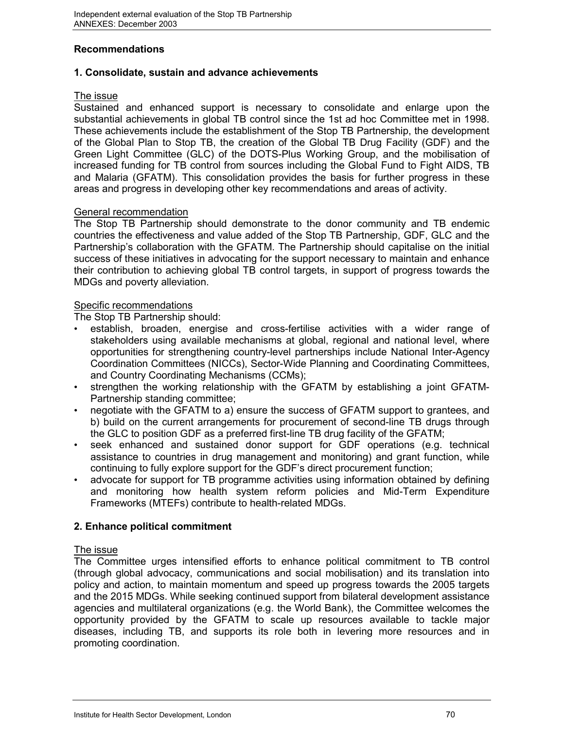# **Recommendations**

### **1. Consolidate, sustain and advance achievements**

### The issue

Sustained and enhanced support is necessary to consolidate and enlarge upon the substantial achievements in global TB control since the 1st ad hoc Committee met in 1998. These achievements include the establishment of the Stop TB Partnership, the development of the Global Plan to Stop TB, the creation of the Global TB Drug Facility (GDF) and the Green Light Committee (GLC) of the DOTS-Plus Working Group, and the mobilisation of increased funding for TB control from sources including the Global Fund to Fight AIDS, TB and Malaria (GFATM). This consolidation provides the basis for further progress in these areas and progress in developing other key recommendations and areas of activity.

### General recommendation

The Stop TB Partnership should demonstrate to the donor community and TB endemic countries the effectiveness and value added of the Stop TB Partnership, GDF, GLC and the Partnership's collaboration with the GFATM. The Partnership should capitalise on the initial success of these initiatives in advocating for the support necessary to maintain and enhance their contribution to achieving global TB control targets, in support of progress towards the MDGs and poverty alleviation.

## Specific recommendations

The Stop TB Partnership should:

- establish, broaden, energise and cross-fertilise activities with a wider range of stakeholders using available mechanisms at global, regional and national level, where opportunities for strengthening country-level partnerships include National Inter-Agency Coordination Committees (NICCs), Sector-Wide Planning and Coordinating Committees, and Country Coordinating Mechanisms (CCMs);
- strengthen the working relationship with the GFATM by establishing a joint GFATM-Partnership standing committee;
- negotiate with the GFATM to a) ensure the success of GFATM support to grantees, and b) build on the current arrangements for procurement of second-line TB drugs through the GLC to position GDF as a preferred first-line TB drug facility of the GFATM;
- seek enhanced and sustained donor support for GDF operations (e.g. technical assistance to countries in drug management and monitoring) and grant function, while continuing to fully explore support for the GDF's direct procurement function;
- advocate for support for TB programme activities using information obtained by defining and monitoring how health system reform policies and Mid-Term Expenditure Frameworks (MTEFs) contribute to health-related MDGs.

## **2. Enhance political commitment**

### The issue

The Committee urges intensified efforts to enhance political commitment to TB control (through global advocacy, communications and social mobilisation) and its translation into policy and action, to maintain momentum and speed up progress towards the 2005 targets and the 2015 MDGs. While seeking continued support from bilateral development assistance agencies and multilateral organizations (e.g. the World Bank), the Committee welcomes the opportunity provided by the GFATM to scale up resources available to tackle major diseases, including TB, and supports its role both in levering more resources and in promoting coordination.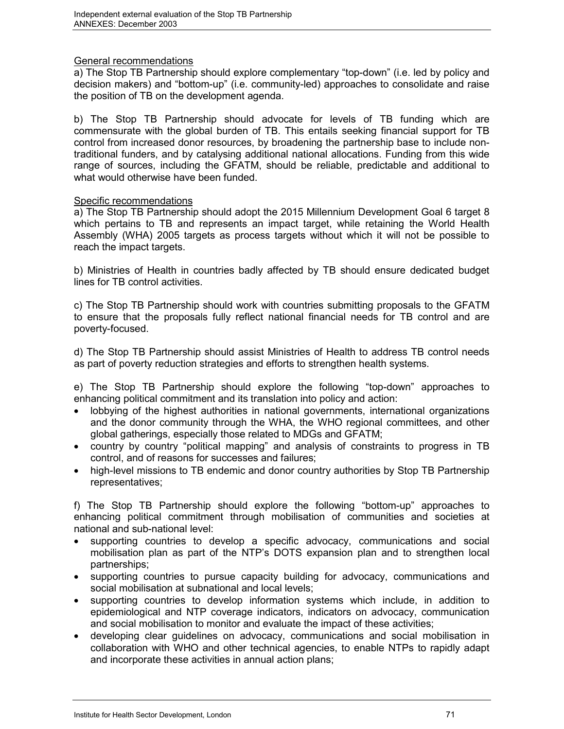## General recommendations

a) The Stop TB Partnership should explore complementary "top-down" (i.e. led by policy and decision makers) and "bottom-up" (i.e. community-led) approaches to consolidate and raise the position of TB on the development agenda.

b) The Stop TB Partnership should advocate for levels of TB funding which are commensurate with the global burden of TB. This entails seeking financial support for TB control from increased donor resources, by broadening the partnership base to include nontraditional funders, and by catalysing additional national allocations. Funding from this wide range of sources, including the GFATM, should be reliable, predictable and additional to what would otherwise have been funded.

### Specific recommendations

a) The Stop TB Partnership should adopt the 2015 Millennium Development Goal 6 target 8 which pertains to TB and represents an impact target, while retaining the World Health Assembly (WHA) 2005 targets as process targets without which it will not be possible to reach the impact targets.

b) Ministries of Health in countries badly affected by TB should ensure dedicated budget lines for TB control activities.

c) The Stop TB Partnership should work with countries submitting proposals to the GFATM to ensure that the proposals fully reflect national financial needs for TB control and are poverty-focused.

d) The Stop TB Partnership should assist Ministries of Health to address TB control needs as part of poverty reduction strategies and efforts to strengthen health systems.

e) The Stop TB Partnership should explore the following "top-down" approaches to enhancing political commitment and its translation into policy and action:

- lobbying of the highest authorities in national governments, international organizations and the donor community through the WHA, the WHO regional committees, and other global gatherings, especially those related to MDGs and GFATM;
- country by country "political mapping" and analysis of constraints to progress in TB control, and of reasons for successes and failures;
- high-level missions to TB endemic and donor country authorities by Stop TB Partnership representatives;

f) The Stop TB Partnership should explore the following "bottom-up" approaches to enhancing political commitment through mobilisation of communities and societies at national and sub-national level:

- supporting countries to develop a specific advocacy, communications and social mobilisation plan as part of the NTP's DOTS expansion plan and to strengthen local partnerships;
- supporting countries to pursue capacity building for advocacy, communications and social mobilisation at subnational and local levels;
- supporting countries to develop information systems which include, in addition to epidemiological and NTP coverage indicators, indicators on advocacy, communication and social mobilisation to monitor and evaluate the impact of these activities;
- developing clear guidelines on advocacy, communications and social mobilisation in collaboration with WHO and other technical agencies, to enable NTPs to rapidly adapt and incorporate these activities in annual action plans;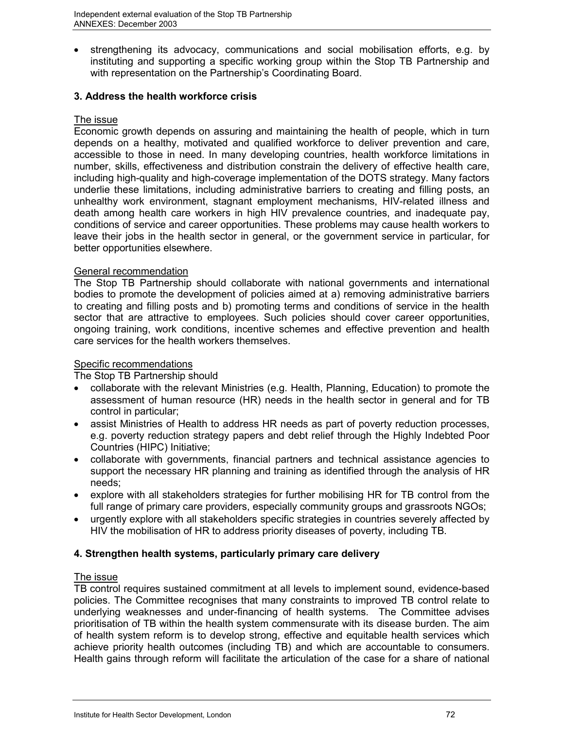strengthening its advocacy, communications and social mobilisation efforts, e.g. by instituting and supporting a specific working group within the Stop TB Partnership and with representation on the Partnership's Coordinating Board.

# **3. Address the health workforce crisis**

# The issue

Economic growth depends on assuring and maintaining the health of people, which in turn depends on a healthy, motivated and qualified workforce to deliver prevention and care, accessible to those in need. In many developing countries, health workforce limitations in number, skills, effectiveness and distribution constrain the delivery of effective health care, including high-quality and high-coverage implementation of the DOTS strategy. Many factors underlie these limitations, including administrative barriers to creating and filling posts, an unhealthy work environment, stagnant employment mechanisms, HIV-related illness and death among health care workers in high HIV prevalence countries, and inadequate pay, conditions of service and career opportunities. These problems may cause health workers to leave their jobs in the health sector in general, or the government service in particular, for better opportunities elsewhere.

#### General recommendation

The Stop TB Partnership should collaborate with national governments and international bodies to promote the development of policies aimed at a) removing administrative barriers to creating and filling posts and b) promoting terms and conditions of service in the health sector that are attractive to employees. Such policies should cover career opportunities, ongoing training, work conditions, incentive schemes and effective prevention and health care services for the health workers themselves.

# Specific recommendations

The Stop TB Partnership should

- collaborate with the relevant Ministries (e.g. Health, Planning, Education) to promote the assessment of human resource (HR) needs in the health sector in general and for TB control in particular;
- assist Ministries of Health to address HR needs as part of poverty reduction processes, e.g. poverty reduction strategy papers and debt relief through the Highly Indebted Poor Countries (HIPC) Initiative;
- collaborate with governments, financial partners and technical assistance agencies to support the necessary HR planning and training as identified through the analysis of HR needs;
- explore with all stakeholders strategies for further mobilising HR for TB control from the full range of primary care providers, especially community groups and grassroots NGOs;
- urgently explore with all stakeholders specific strategies in countries severely affected by HIV the mobilisation of HR to address priority diseases of poverty, including TB.

# **4. Strengthen health systems, particularly primary care delivery**

# The issue

TB control requires sustained commitment at all levels to implement sound, evidence-based policies. The Committee recognises that many constraints to improved TB control relate to underlying weaknesses and under-financing of health systems. The Committee advises prioritisation of TB within the health system commensurate with its disease burden. The aim of health system reform is to develop strong, effective and equitable health services which achieve priority health outcomes (including TB) and which are accountable to consumers. Health gains through reform will facilitate the articulation of the case for a share of national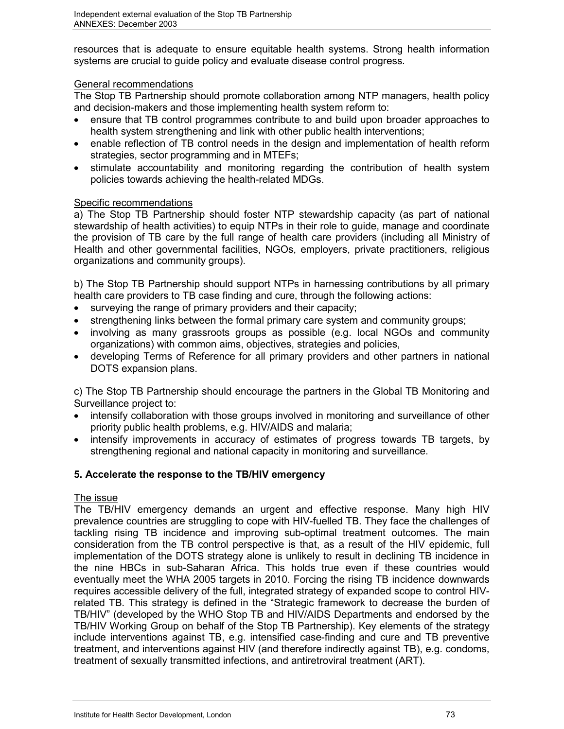resources that is adequate to ensure equitable health systems. Strong health information systems are crucial to guide policy and evaluate disease control progress.

# General recommendations

The Stop TB Partnership should promote collaboration among NTP managers, health policy and decision-makers and those implementing health system reform to:

- ensure that TB control programmes contribute to and build upon broader approaches to health system strengthening and link with other public health interventions;
- enable reflection of TB control needs in the design and implementation of health reform strategies, sector programming and in MTEFs;
- stimulate accountability and monitoring regarding the contribution of health system policies towards achieving the health-related MDGs.

# Specific recommendations

a) The Stop TB Partnership should foster NTP stewardship capacity (as part of national stewardship of health activities) to equip NTPs in their role to guide, manage and coordinate the provision of TB care by the full range of health care providers (including all Ministry of Health and other governmental facilities, NGOs, employers, private practitioners, religious organizations and community groups).

b) The Stop TB Partnership should support NTPs in harnessing contributions by all primary health care providers to TB case finding and cure, through the following actions:

- surveying the range of primary providers and their capacity;
- strengthening links between the formal primary care system and community groups;
- involving as many grassroots groups as possible (e.g. local NGOs and community organizations) with common aims, objectives, strategies and policies,
- developing Terms of Reference for all primary providers and other partners in national DOTS expansion plans.

c) The Stop TB Partnership should encourage the partners in the Global TB Monitoring and Surveillance project to:

- intensify collaboration with those groups involved in monitoring and surveillance of other priority public health problems, e.g. HIV/AIDS and malaria;
- intensify improvements in accuracy of estimates of progress towards TB targets, by strengthening regional and national capacity in monitoring and surveillance.

# **5. Accelerate the response to the TB/HIV emergency**

# The issue

The TB/HIV emergency demands an urgent and effective response. Many high HIV prevalence countries are struggling to cope with HIV-fuelled TB. They face the challenges of tackling rising TB incidence and improving sub-optimal treatment outcomes. The main consideration from the TB control perspective is that, as a result of the HIV epidemic, full implementation of the DOTS strategy alone is unlikely to result in declining TB incidence in the nine HBCs in sub-Saharan Africa. This holds true even if these countries would eventually meet the WHA 2005 targets in 2010. Forcing the rising TB incidence downwards requires accessible delivery of the full, integrated strategy of expanded scope to control HIVrelated TB. This strategy is defined in the "Strategic framework to decrease the burden of TB/HIV" (developed by the WHO Stop TB and HIV/AIDS Departments and endorsed by the TB/HIV Working Group on behalf of the Stop TB Partnership). Key elements of the strategy include interventions against TB, e.g. intensified case-finding and cure and TB preventive treatment, and interventions against HIV (and therefore indirectly against TB), e.g. condoms, treatment of sexually transmitted infections, and antiretroviral treatment (ART).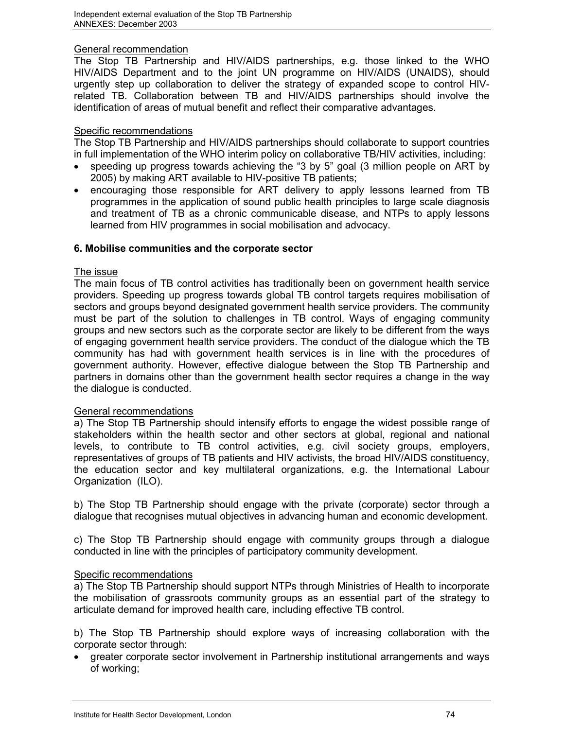#### General recommendation

The Stop TB Partnership and HIV/AIDS partnerships, e.g. those linked to the WHO HIV/AIDS Department and to the joint UN programme on HIV/AIDS (UNAIDS), should urgently step up collaboration to deliver the strategy of expanded scope to control HIVrelated TB. Collaboration between TB and HIV/AIDS partnerships should involve the identification of areas of mutual benefit and reflect their comparative advantages.

#### Specific recommendations

The Stop TB Partnership and HIV/AIDS partnerships should collaborate to support countries in full implementation of the WHO interim policy on collaborative TB/HIV activities, including:

- speeding up progress towards achieving the "3 by 5" goal (3 million people on ART by 2005) by making ART available to HIV-positive TB patients;
- encouraging those responsible for ART delivery to apply lessons learned from TB programmes in the application of sound public health principles to large scale diagnosis and treatment of TB as a chronic communicable disease, and NTPs to apply lessons learned from HIV programmes in social mobilisation and advocacy.

# **6. Mobilise communities and the corporate sector**

#### The issue

The main focus of TB control activities has traditionally been on government health service providers. Speeding up progress towards global TB control targets requires mobilisation of sectors and groups beyond designated government health service providers. The community must be part of the solution to challenges in TB control. Ways of engaging community groups and new sectors such as the corporate sector are likely to be different from the ways of engaging government health service providers. The conduct of the dialogue which the TB community has had with government health services is in line with the procedures of government authority. However, effective dialogue between the Stop TB Partnership and partners in domains other than the government health sector requires a change in the way the dialogue is conducted.

# General recommendations

a) The Stop TB Partnership should intensify efforts to engage the widest possible range of stakeholders within the health sector and other sectors at global, regional and national levels, to contribute to TB control activities, e.g. civil society groups, employers, representatives of groups of TB patients and HIV activists, the broad HIV/AIDS constituency, the education sector and key multilateral organizations, e.g. the International Labour Organization (ILO).

b) The Stop TB Partnership should engage with the private (corporate) sector through a dialogue that recognises mutual objectives in advancing human and economic development.

c) The Stop TB Partnership should engage with community groups through a dialogue conducted in line with the principles of participatory community development.

# Specific recommendations

a) The Stop TB Partnership should support NTPs through Ministries of Health to incorporate the mobilisation of grassroots community groups as an essential part of the strategy to articulate demand for improved health care, including effective TB control.

b) The Stop TB Partnership should explore ways of increasing collaboration with the corporate sector through:

 greater corporate sector involvement in Partnership institutional arrangements and ways of working;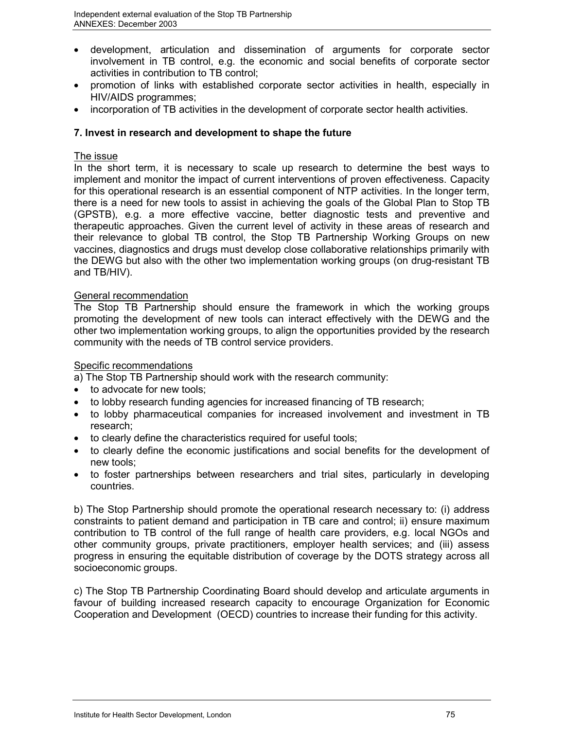- development, articulation and dissemination of arguments for corporate sector involvement in TB control, e.g. the economic and social benefits of corporate sector activities in contribution to TB control;
- promotion of links with established corporate sector activities in health, especially in HIV/AIDS programmes;
- incorporation of TB activities in the development of corporate sector health activities.

# **7. Invest in research and development to shape the future**

# The issue

In the short term, it is necessary to scale up research to determine the best ways to implement and monitor the impact of current interventions of proven effectiveness. Capacity for this operational research is an essential component of NTP activities. In the longer term, there is a need for new tools to assist in achieving the goals of the Global Plan to Stop TB (GPSTB), e.g. a more effective vaccine, better diagnostic tests and preventive and therapeutic approaches. Given the current level of activity in these areas of research and their relevance to global TB control, the Stop TB Partnership Working Groups on new vaccines, diagnostics and drugs must develop close collaborative relationships primarily with the DEWG but also with the other two implementation working groups (on drug-resistant TB and TB/HIV).

# General recommendation

The Stop TB Partnership should ensure the framework in which the working groups promoting the development of new tools can interact effectively with the DEWG and the other two implementation working groups, to align the opportunities provided by the research community with the needs of TB control service providers.

# Specific recommendations

a) The Stop TB Partnership should work with the research community:

- to advocate for new tools;
- to lobby research funding agencies for increased financing of TB research;
- to lobby pharmaceutical companies for increased involvement and investment in TB research;
- to clearly define the characteristics required for useful tools;
- to clearly define the economic justifications and social benefits for the development of new tools;
- to foster partnerships between researchers and trial sites, particularly in developing countries.

b) The Stop Partnership should promote the operational research necessary to: (i) address constraints to patient demand and participation in TB care and control; ii) ensure maximum contribution to TB control of the full range of health care providers, e.g. local NGOs and other community groups, private practitioners, employer health services; and (iii) assess progress in ensuring the equitable distribution of coverage by the DOTS strategy across all socioeconomic groups.

c) The Stop TB Partnership Coordinating Board should develop and articulate arguments in favour of building increased research capacity to encourage Organization for Economic Cooperation and Development (OECD) countries to increase their funding for this activity.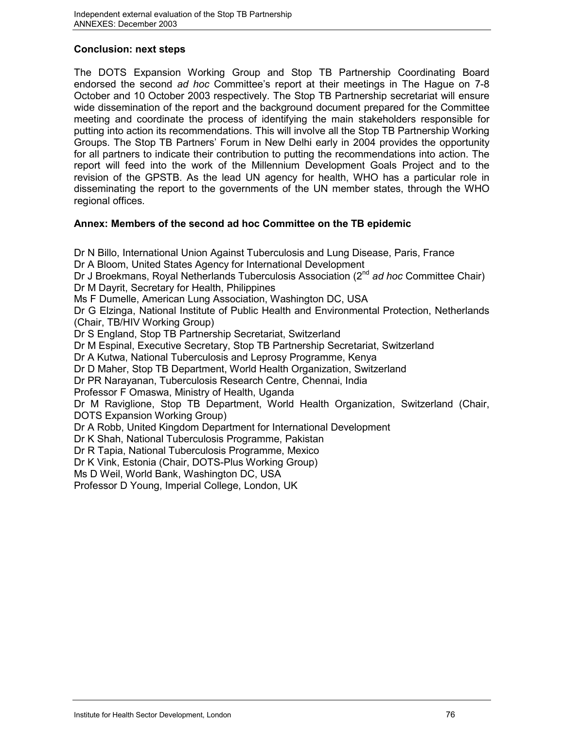# **Conclusion: next steps**

The DOTS Expansion Working Group and Stop TB Partnership Coordinating Board endorsed the second *ad hoc* Committee's report at their meetings in The Hague on 7-8 October and 10 October 2003 respectively. The Stop TB Partnership secretariat will ensure wide dissemination of the report and the background document prepared for the Committee meeting and coordinate the process of identifying the main stakeholders responsible for putting into action its recommendations. This will involve all the Stop TB Partnership Working Groups. The Stop TB Partners' Forum in New Delhi early in 2004 provides the opportunity for all partners to indicate their contribution to putting the recommendations into action. The report will feed into the work of the Millennium Development Goals Project and to the revision of the GPSTB. As the lead UN agency for health, WHO has a particular role in disseminating the report to the governments of the UN member states, through the WHO regional offices.

# **Annex: Members of the second ad hoc Committee on the TB epidemic**

Dr N Billo, International Union Against Tuberculosis and Lung Disease, Paris, France Dr A Bloom, United States Agency for International Development Dr J Broekmans, Royal Netherlands Tuberculosis Association (2nd *ad hoc* Committee Chair) Dr M Dayrit, Secretary for Health, Philippines Ms F Dumelle, American Lung Association, Washington DC, USA Dr G Elzinga, National Institute of Public Health and Environmental Protection, Netherlands (Chair, TB/HIV Working Group) Dr S England, Stop TB Partnership Secretariat, Switzerland Dr M Espinal, Executive Secretary, Stop TB Partnership Secretariat, Switzerland Dr A Kutwa, National Tuberculosis and Leprosy Programme, Kenya Dr D Maher, Stop TB Department, World Health Organization, Switzerland Dr PR Narayanan, Tuberculosis Research Centre, Chennai, India Professor F Omaswa, Ministry of Health, Uganda Dr M Raviglione, Stop TB Department, World Health Organization, Switzerland (Chair, DOTS Expansion Working Group) Dr A Robb, United Kingdom Department for International Development Dr K Shah, National Tuberculosis Programme, Pakistan Dr R Tapia, National Tuberculosis Programme, Mexico Dr K Vink, Estonia (Chair, DOTS-Plus Working Group) Ms D Weil, World Bank, Washington DC, USA Professor D Young, Imperial College, London, UK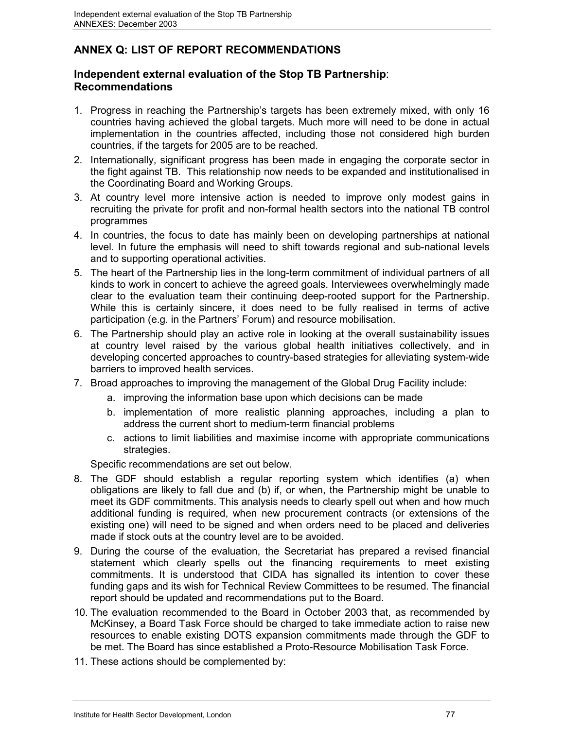# **ANNEX Q: LIST OF REPORT RECOMMENDATIONS**

# **Independent external evaluation of the Stop TB Partnership**: **Recommendations**

- 1. Progress in reaching the Partnership's targets has been extremely mixed, with only 16 countries having achieved the global targets. Much more will need to be done in actual implementation in the countries affected, including those not considered high burden countries, if the targets for 2005 are to be reached.
- 2. Internationally, significant progress has been made in engaging the corporate sector in the fight against TB. This relationship now needs to be expanded and institutionalised in the Coordinating Board and Working Groups.
- 3. At country level more intensive action is needed to improve only modest gains in recruiting the private for profit and non-formal health sectors into the national TB control programmes
- 4. In countries, the focus to date has mainly been on developing partnerships at national level. In future the emphasis will need to shift towards regional and sub-national levels and to supporting operational activities.
- 5. The heart of the Partnership lies in the long-term commitment of individual partners of all kinds to work in concert to achieve the agreed goals. Interviewees overwhelmingly made clear to the evaluation team their continuing deep-rooted support for the Partnership. While this is certainly sincere, it does need to be fully realised in terms of active participation (e.g. in the Partners' Forum) and resource mobilisation.
- 6. The Partnership should play an active role in looking at the overall sustainability issues at country level raised by the various global health initiatives collectively, and in developing concerted approaches to country-based strategies for alleviating system-wide barriers to improved health services.
- 7. Broad approaches to improving the management of the Global Drug Facility include:
	- a. improving the information base upon which decisions can be made
	- b. implementation of more realistic planning approaches, including a plan to address the current short to medium-term financial problems
	- c. actions to limit liabilities and maximise income with appropriate communications strategies.

Specific recommendations are set out below.

- 8. The GDF should establish a regular reporting system which identifies (a) when obligations are likely to fall due and (b) if, or when, the Partnership might be unable to meet its GDF commitments. This analysis needs to clearly spell out when and how much additional funding is required, when new procurement contracts (or extensions of the existing one) will need to be signed and when orders need to be placed and deliveries made if stock outs at the country level are to be avoided.
- 9. During the course of the evaluation, the Secretariat has prepared a revised financial statement which clearly spells out the financing requirements to meet existing commitments. It is understood that CIDA has signalled its intention to cover these funding gaps and its wish for Technical Review Committees to be resumed. The financial report should be updated and recommendations put to the Board.
- 10. The evaluation recommended to the Board in October 2003 that, as recommended by McKinsey, a Board Task Force should be charged to take immediate action to raise new resources to enable existing DOTS expansion commitments made through the GDF to be met. The Board has since established a Proto-Resource Mobilisation Task Force.
- 11. These actions should be complemented by: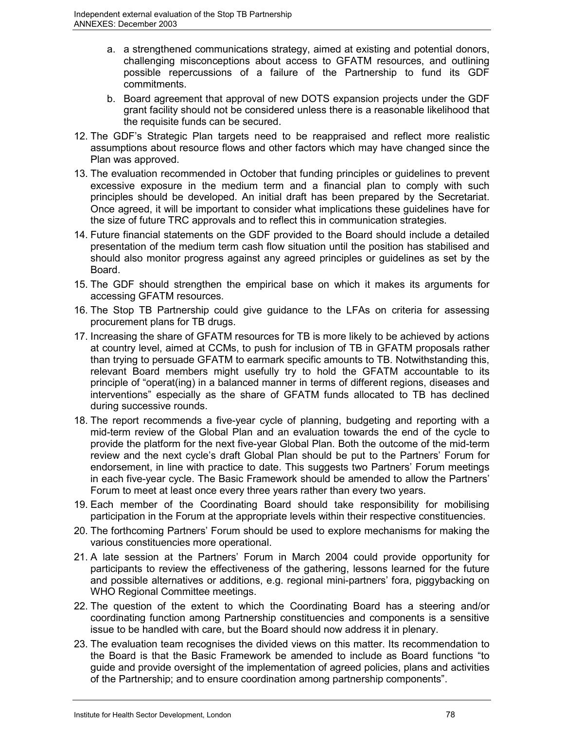- a. a strengthened communications strategy, aimed at existing and potential donors, challenging misconceptions about access to GFATM resources, and outlining possible repercussions of a failure of the Partnership to fund its GDF commitments.
- b. Board agreement that approval of new DOTS expansion projects under the GDF grant facility should not be considered unless there is a reasonable likelihood that the requisite funds can be secured.
- 12. The GDF's Strategic Plan targets need to be reappraised and reflect more realistic assumptions about resource flows and other factors which may have changed since the Plan was approved.
- 13. The evaluation recommended in October that funding principles or guidelines to prevent excessive exposure in the medium term and a financial plan to comply with such principles should be developed. An initial draft has been prepared by the Secretariat. Once agreed, it will be important to consider what implications these guidelines have for the size of future TRC approvals and to reflect this in communication strategies.
- 14. Future financial statements on the GDF provided to the Board should include a detailed presentation of the medium term cash flow situation until the position has stabilised and should also monitor progress against any agreed principles or guidelines as set by the Board.
- 15. The GDF should strengthen the empirical base on which it makes its arguments for accessing GFATM resources.
- 16. The Stop TB Partnership could give guidance to the LFAs on criteria for assessing procurement plans for TB drugs.
- 17. Increasing the share of GFATM resources for TB is more likely to be achieved by actions at country level, aimed at CCMs, to push for inclusion of TB in GFATM proposals rather than trying to persuade GFATM to earmark specific amounts to TB. Notwithstanding this, relevant Board members might usefully try to hold the GFATM accountable to its principle of "operat(ing) in a balanced manner in terms of different regions, diseases and interventions" especially as the share of GFATM funds allocated to TB has declined during successive rounds.
- 18. The report recommends a five-year cycle of planning, budgeting and reporting with a mid-term review of the Global Plan and an evaluation towards the end of the cycle to provide the platform for the next five-year Global Plan. Both the outcome of the mid-term review and the next cycle's draft Global Plan should be put to the Partners' Forum for endorsement, in line with practice to date. This suggests two Partners' Forum meetings in each five-year cycle. The Basic Framework should be amended to allow the Partners' Forum to meet at least once every three years rather than every two years.
- 19. Each member of the Coordinating Board should take responsibility for mobilising participation in the Forum at the appropriate levels within their respective constituencies.
- 20. The forthcoming Partners' Forum should be used to explore mechanisms for making the various constituencies more operational.
- 21. A late session at the Partners' Forum in March 2004 could provide opportunity for participants to review the effectiveness of the gathering, lessons learned for the future and possible alternatives or additions, e.g. regional mini-partners' fora, piggybacking on WHO Regional Committee meetings.
- 22. The question of the extent to which the Coordinating Board has a steering and/or coordinating function among Partnership constituencies and components is a sensitive issue to be handled with care, but the Board should now address it in plenary.
- 23. The evaluation team recognises the divided views on this matter. Its recommendation to the Board is that the Basic Framework be amended to include as Board functions "to guide and provide oversight of the implementation of agreed policies, plans and activities of the Partnership; and to ensure coordination among partnership components".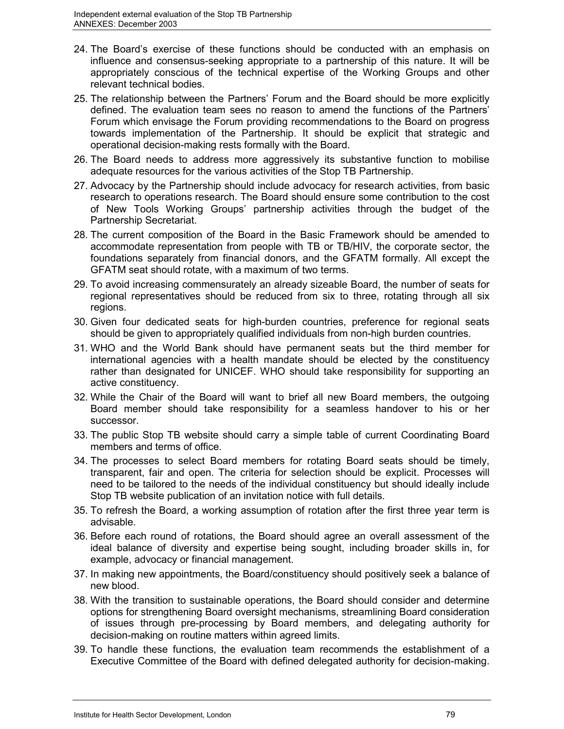- 24. The Board's exercise of these functions should be conducted with an emphasis on influence and consensus-seeking appropriate to a partnership of this nature. It will be appropriately conscious of the technical expertise of the Working Groups and other relevant technical bodies.
- 25. The relationship between the Partners' Forum and the Board should be more explicitly defined. The evaluation team sees no reason to amend the functions of the Partners' Forum which envisage the Forum providing recommendations to the Board on progress towards implementation of the Partnership. It should be explicit that strategic and operational decision-making rests formally with the Board.
- 26. The Board needs to address more aggressively its substantive function to mobilise adequate resources for the various activities of the Stop TB Partnership.
- 27. Advocacy by the Partnership should include advocacy for research activities, from basic research to operations research. The Board should ensure some contribution to the cost of New Tools Working Groups' partnership activities through the budget of the Partnership Secretariat.
- 28. The current composition of the Board in the Basic Framework should be amended to accommodate representation from people with TB or TB/HIV, the corporate sector, the foundations separately from financial donors, and the GFATM formally. All except the GFATM seat should rotate, with a maximum of two terms.
- 29. To avoid increasing commensurately an already sizeable Board, the number of seats for regional representatives should be reduced from six to three, rotating through all six regions.
- 30. Given four dedicated seats for high-burden countries, preference for regional seats should be given to appropriately qualified individuals from non-high burden countries.
- 31. WHO and the World Bank should have permanent seats but the third member for international agencies with a health mandate should be elected by the constituency rather than designated for UNICEF. WHO should take responsibility for supporting an active constituency.
- 32. While the Chair of the Board will want to brief all new Board members, the outgoing Board member should take responsibility for a seamless handover to his or her successor.
- 33. The public Stop TB website should carry a simple table of current Coordinating Board members and terms of office.
- 34. The processes to select Board members for rotating Board seats should be timely, transparent, fair and open. The criteria for selection should be explicit. Processes will need to be tailored to the needs of the individual constituency but should ideally include Stop TB website publication of an invitation notice with full details.
- 35. To refresh the Board, a working assumption of rotation after the first three year term is advisable.
- 36. Before each round of rotations, the Board should agree an overall assessment of the ideal balance of diversity and expertise being sought, including broader skills in, for example, advocacy or financial management.
- 37. In making new appointments, the Board/constituency should positively seek a balance of new blood.
- 38. With the transition to sustainable operations, the Board should consider and determine options for strengthening Board oversight mechanisms, streamlining Board consideration of issues through pre-processing by Board members, and delegating authority for decision-making on routine matters within agreed limits.
- 39. To handle these functions, the evaluation team recommends the establishment of a Executive Committee of the Board with defined delegated authority for decision-making.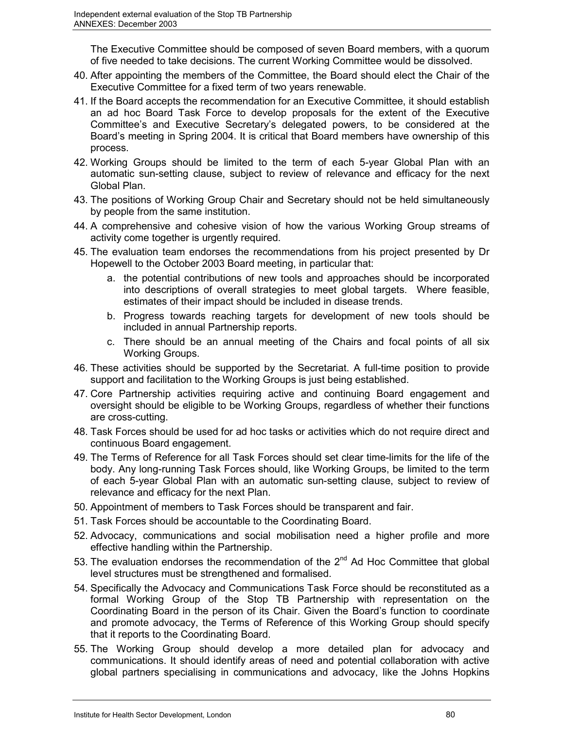The Executive Committee should be composed of seven Board members, with a quorum of five needed to take decisions. The current Working Committee would be dissolved.

- 40. After appointing the members of the Committee, the Board should elect the Chair of the Executive Committee for a fixed term of two years renewable.
- 41. If the Board accepts the recommendation for an Executive Committee, it should establish an ad hoc Board Task Force to develop proposals for the extent of the Executive Committee's and Executive Secretary's delegated powers, to be considered at the Board's meeting in Spring 2004. It is critical that Board members have ownership of this process.
- 42. Working Groups should be limited to the term of each 5-year Global Plan with an automatic sun-setting clause, subject to review of relevance and efficacy for the next Global Plan.
- 43. The positions of Working Group Chair and Secretary should not be held simultaneously by people from the same institution.
- 44. A comprehensive and cohesive vision of how the various Working Group streams of activity come together is urgently required.
- 45. The evaluation team endorses the recommendations from his project presented by Dr Hopewell to the October 2003 Board meeting, in particular that:
	- a. the potential contributions of new tools and approaches should be incorporated into descriptions of overall strategies to meet global targets. Where feasible, estimates of their impact should be included in disease trends.
	- b. Progress towards reaching targets for development of new tools should be included in annual Partnership reports.
	- c. There should be an annual meeting of the Chairs and focal points of all six Working Groups.
- 46. These activities should be supported by the Secretariat. A full-time position to provide support and facilitation to the Working Groups is just being established.
- 47. Core Partnership activities requiring active and continuing Board engagement and oversight should be eligible to be Working Groups, regardless of whether their functions are cross-cutting.
- 48. Task Forces should be used for ad hoc tasks or activities which do not require direct and continuous Board engagement.
- 49. The Terms of Reference for all Task Forces should set clear time-limits for the life of the body. Any long-running Task Forces should, like Working Groups, be limited to the term of each 5-year Global Plan with an automatic sun-setting clause, subject to review of relevance and efficacy for the next Plan.
- 50. Appointment of members to Task Forces should be transparent and fair.
- 51. Task Forces should be accountable to the Coordinating Board.
- 52. Advocacy, communications and social mobilisation need a higher profile and more effective handling within the Partnership.
- 53. The evaluation endorses the recommendation of the 2<sup>nd</sup> Ad Hoc Committee that global level structures must be strengthened and formalised.
- 54. Specifically the Advocacy and Communications Task Force should be reconstituted as a formal Working Group of the Stop TB Partnership with representation on the Coordinating Board in the person of its Chair. Given the Board's function to coordinate and promote advocacy, the Terms of Reference of this Working Group should specify that it reports to the Coordinating Board.
- 55. The Working Group should develop a more detailed plan for advocacy and communications. It should identify areas of need and potential collaboration with active global partners specialising in communications and advocacy, like the Johns Hopkins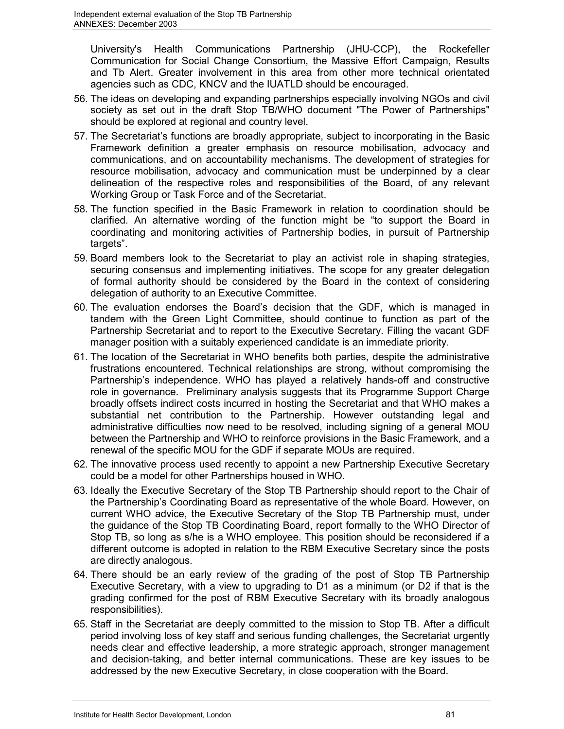University's Health Communications Partnership (JHU-CCP), the Rockefeller Communication for Social Change Consortium, the Massive Effort Campaign, Results and Tb Alert. Greater involvement in this area from other more technical orientated agencies such as CDC, KNCV and the IUATLD should be encouraged.

- 56. The ideas on developing and expanding partnerships especially involving NGOs and civil society as set out in the draft Stop TB/WHO document "The Power of Partnerships" should be explored at regional and country level.
- 57. The Secretariat's functions are broadly appropriate, subject to incorporating in the Basic Framework definition a greater emphasis on resource mobilisation, advocacy and communications, and on accountability mechanisms. The development of strategies for resource mobilisation, advocacy and communication must be underpinned by a clear delineation of the respective roles and responsibilities of the Board, of any relevant Working Group or Task Force and of the Secretariat.
- 58. The function specified in the Basic Framework in relation to coordination should be clarified. An alternative wording of the function might be "to support the Board in coordinating and monitoring activities of Partnership bodies, in pursuit of Partnership targets".
- 59. Board members look to the Secretariat to play an activist role in shaping strategies, securing consensus and implementing initiatives. The scope for any greater delegation of formal authority should be considered by the Board in the context of considering delegation of authority to an Executive Committee.
- 60. The evaluation endorses the Board's decision that the GDF, which is managed in tandem with the Green Light Committee, should continue to function as part of the Partnership Secretariat and to report to the Executive Secretary. Filling the vacant GDF manager position with a suitably experienced candidate is an immediate priority.
- 61. The location of the Secretariat in WHO benefits both parties, despite the administrative frustrations encountered. Technical relationships are strong, without compromising the Partnership's independence. WHO has played a relatively hands-off and constructive role in governance. Preliminary analysis suggests that its Programme Support Charge broadly offsets indirect costs incurred in hosting the Secretariat and that WHO makes a substantial net contribution to the Partnership. However outstanding legal and administrative difficulties now need to be resolved, including signing of a general MOU between the Partnership and WHO to reinforce provisions in the Basic Framework, and a renewal of the specific MOU for the GDF if separate MOUs are required.
- 62. The innovative process used recently to appoint a new Partnership Executive Secretary could be a model for other Partnerships housed in WHO.
- 63. Ideally the Executive Secretary of the Stop TB Partnership should report to the Chair of the Partnership's Coordinating Board as representative of the whole Board. However, on current WHO advice, the Executive Secretary of the Stop TB Partnership must, under the guidance of the Stop TB Coordinating Board, report formally to the WHO Director of Stop TB, so long as s/he is a WHO employee. This position should be reconsidered if a different outcome is adopted in relation to the RBM Executive Secretary since the posts are directly analogous.
- 64. There should be an early review of the grading of the post of Stop TB Partnership Executive Secretary, with a view to upgrading to D1 as a minimum (or D2 if that is the grading confirmed for the post of RBM Executive Secretary with its broadly analogous responsibilities).
- 65. Staff in the Secretariat are deeply committed to the mission to Stop TB. After a difficult period involving loss of key staff and serious funding challenges, the Secretariat urgently needs clear and effective leadership, a more strategic approach, stronger management and decision-taking, and better internal communications. These are key issues to be addressed by the new Executive Secretary, in close cooperation with the Board.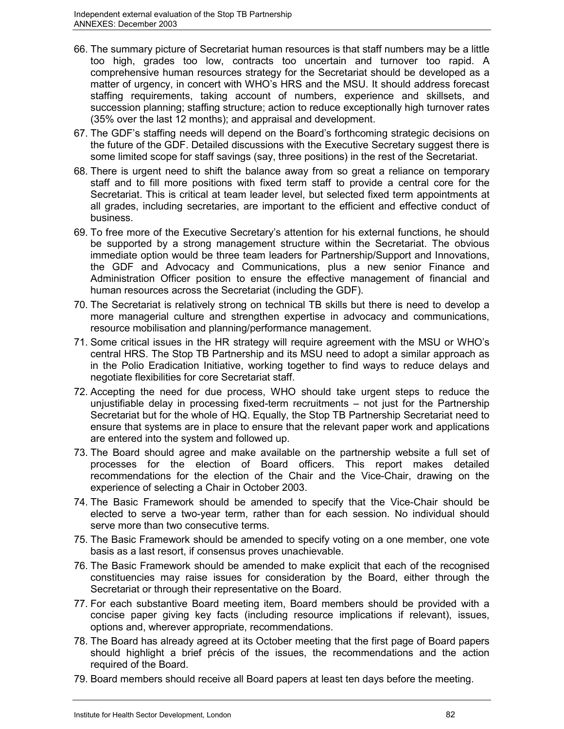- 66. The summary picture of Secretariat human resources is that staff numbers may be a little too high, grades too low, contracts too uncertain and turnover too rapid. A comprehensive human resources strategy for the Secretariat should be developed as a matter of urgency, in concert with WHO's HRS and the MSU. It should address forecast staffing requirements, taking account of numbers, experience and skillsets, and succession planning; staffing structure; action to reduce exceptionally high turnover rates (35% over the last 12 months); and appraisal and development.
- 67. The GDF's staffing needs will depend on the Board's forthcoming strategic decisions on the future of the GDF. Detailed discussions with the Executive Secretary suggest there is some limited scope for staff savings (say, three positions) in the rest of the Secretariat.
- 68. There is urgent need to shift the balance away from so great a reliance on temporary staff and to fill more positions with fixed term staff to provide a central core for the Secretariat. This is critical at team leader level, but selected fixed term appointments at all grades, including secretaries, are important to the efficient and effective conduct of business.
- 69. To free more of the Executive Secretary's attention for his external functions, he should be supported by a strong management structure within the Secretariat. The obvious immediate option would be three team leaders for Partnership/Support and Innovations, the GDF and Advocacy and Communications, plus a new senior Finance and Administration Officer position to ensure the effective management of financial and human resources across the Secretariat (including the GDF).
- 70. The Secretariat is relatively strong on technical TB skills but there is need to develop a more managerial culture and strengthen expertise in advocacy and communications, resource mobilisation and planning/performance management.
- 71. Some critical issues in the HR strategy will require agreement with the MSU or WHO's central HRS. The Stop TB Partnership and its MSU need to adopt a similar approach as in the Polio Eradication Initiative, working together to find ways to reduce delays and negotiate flexibilities for core Secretariat staff.
- 72. Accepting the need for due process, WHO should take urgent steps to reduce the unjustifiable delay in processing fixed-term recruitments – not just for the Partnership Secretariat but for the whole of HQ. Equally, the Stop TB Partnership Secretariat need to ensure that systems are in place to ensure that the relevant paper work and applications are entered into the system and followed up.
- 73. The Board should agree and make available on the partnership website a full set of processes for the election of Board officers. This report makes detailed recommendations for the election of the Chair and the Vice-Chair, drawing on the experience of selecting a Chair in October 2003.
- 74. The Basic Framework should be amended to specify that the Vice-Chair should be elected to serve a two-year term, rather than for each session. No individual should serve more than two consecutive terms.
- 75. The Basic Framework should be amended to specify voting on a one member, one vote basis as a last resort, if consensus proves unachievable.
- 76. The Basic Framework should be amended to make explicit that each of the recognised constituencies may raise issues for consideration by the Board, either through the Secretariat or through their representative on the Board.
- 77. For each substantive Board meeting item, Board members should be provided with a concise paper giving key facts (including resource implications if relevant), issues, options and, wherever appropriate, recommendations.
- 78. The Board has already agreed at its October meeting that the first page of Board papers should highlight a brief précis of the issues, the recommendations and the action required of the Board.
- 79. Board members should receive all Board papers at least ten days before the meeting.